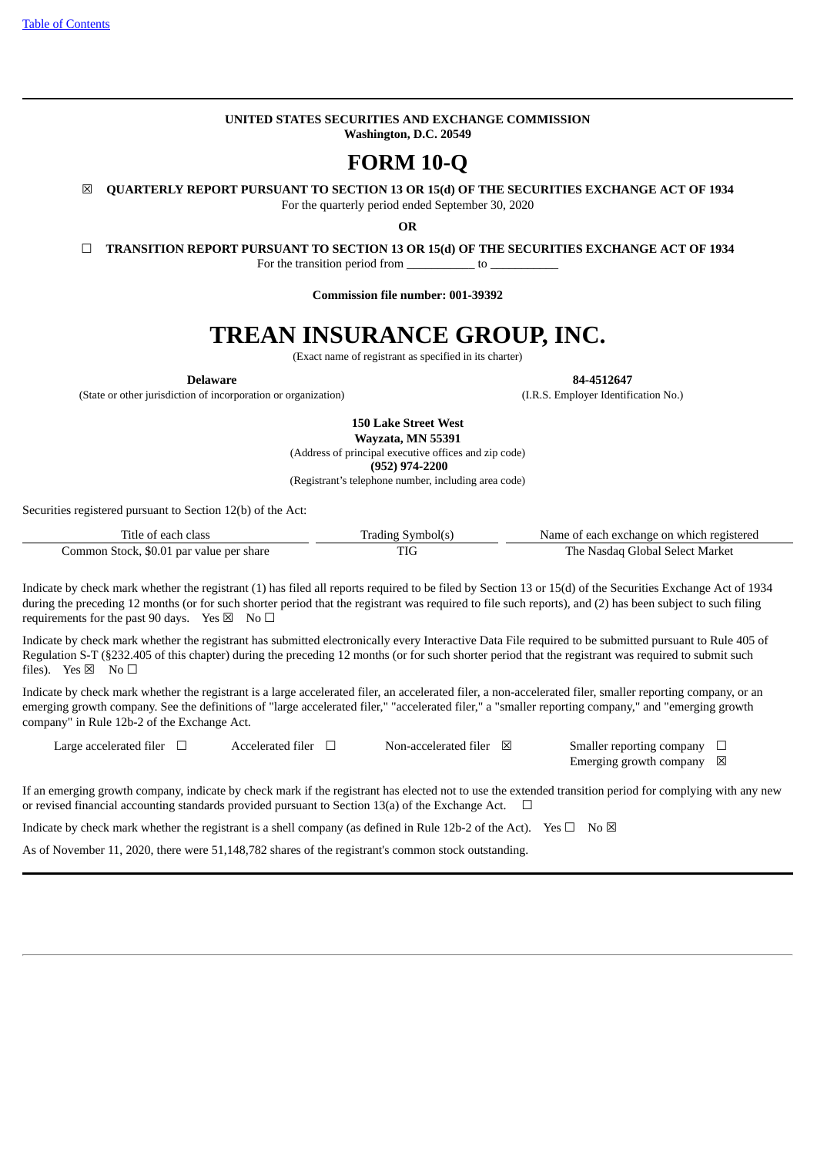### **UNITED STATES SECURITIES AND EXCHANGE COMMISSION Washington, D.C. 20549**

# **FORM 10-Q**

☒ **QUARTERLY REPORT PURSUANT TO SECTION 13 OR 15(d) OF THE SECURITIES EXCHANGE ACT OF 1934** For the quarterly period ended September 30, 2020

**OR**

☐ **TRANSITION REPORT PURSUANT TO SECTION 13 OR 15(d) OF THE SECURITIES EXCHANGE ACT OF 1934**

For the transition period from \_\_\_\_\_\_\_\_\_\_\_\_\_ to \_

**Commission file number: 001-39392**

# **TREAN INSURANCE GROUP, INC.**

(Exact name of registrant as specified in its charter)

(State or other jurisdiction of incorporation or organization) (I.R.S. Employer Identification No.)

**Delaware 84-4512647**

**150 Lake Street West**

**Wayzata, MN 55391** (Address of principal executive offices and zip code) **(952) 974-2200** (Registrant's telephone number, including area code)

Securities registered pursuant to Section 12(b) of the Act:

| fitle of each class                      | Symbol(s)<br>radıng . | Name of each exchange on which registered |
|------------------------------------------|-----------------------|-------------------------------------------|
| Common Stock. \$0.01 par value per share | TT 7                  | The .<br>∙ Nasdag Global Select Market    |

Indicate by check mark whether the registrant (1) has filed all reports required to be filed by Section 13 or 15(d) of the Securities Exchange Act of 1934 during the preceding 12 months (or for such shorter period that the registrant was required to file such reports), and (2) has been subject to such filing requirements for the past 90 days. Yes  $\boxtimes$  No  $\Box$ 

Indicate by check mark whether the registrant has submitted electronically every Interactive Data File required to be submitted pursuant to Rule 405 of Regulation S-T (§232.405 of this chapter) during the preceding 12 months (or for such shorter period that the registrant was required to submit such files). Yes  $\boxtimes$  No  $\square$ 

Indicate by check mark whether the registrant is a large accelerated filer, an accelerated filer, a non-accelerated filer, smaller reporting company, or an emerging growth company. See the definitions of "large accelerated filer," "accelerated filer," a "smaller reporting company," and "emerging growth company" in Rule 12b-2 of the Exchange Act.

Large accelerated filer □ Accelerated filer □ Non-accelerated filer ⊠ Smaller reporting company □

Emerging growth company  $\boxtimes$ 

If an emerging growth company, indicate by check mark if the registrant has elected not to use the extended transition period for complying with any new or revised financial accounting standards provided pursuant to Section 13(a) of the Exchange Act.  $\Box$ 

Indicate by check mark whether the registrant is a shell company (as defined in Rule 12b-2 of the Act). Yes  $\square$  No  $\boxtimes$ 

<span id="page-0-0"></span>As of November 11, 2020, there were 51,148,782 shares of the registrant's common stock outstanding.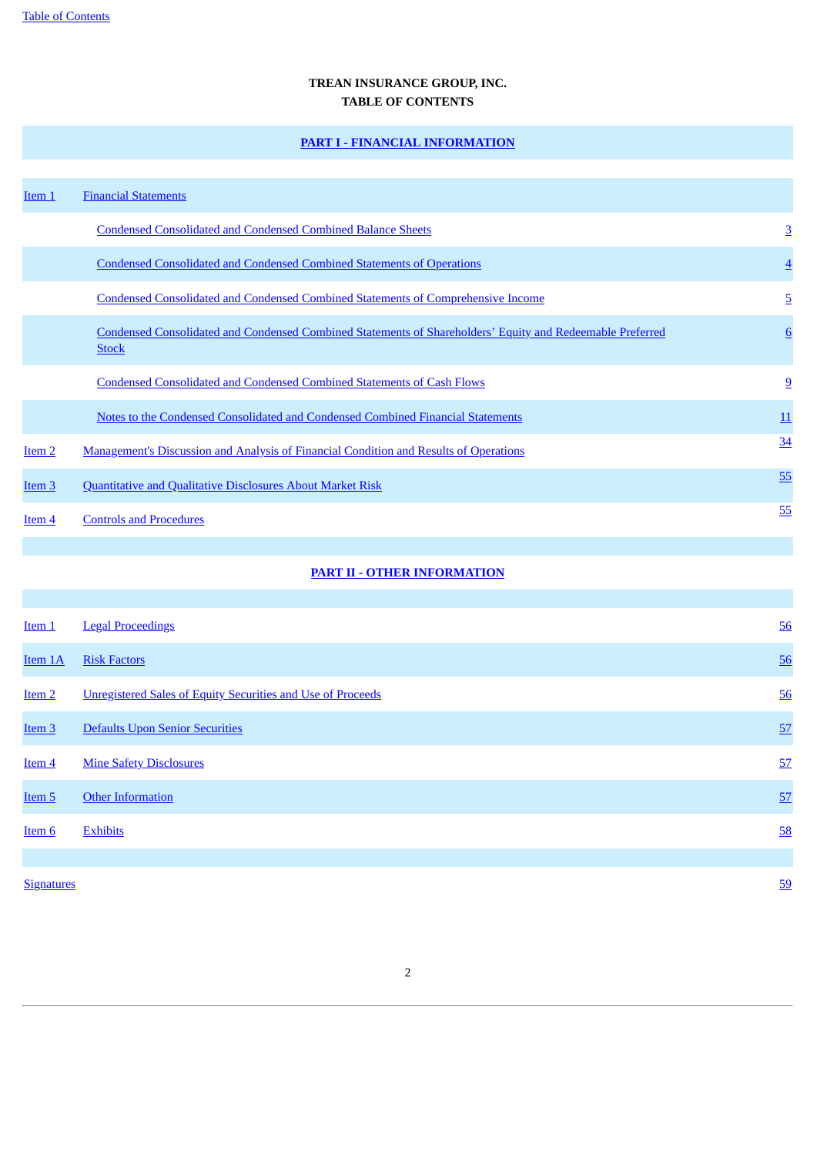# **TREAN INSURANCE GROUP, INC. TABLE OF CONTENTS**

# **PART I - FINANCIAL [INFORMATION](#page-1-0)**

| Item 1 | <b>Financial Statements</b>                                                                                               |                 |
|--------|---------------------------------------------------------------------------------------------------------------------------|-----------------|
|        | <b>Condensed Consolidated and Condensed Combined Balance Sheets</b>                                                       | $\overline{3}$  |
|        | <b>Condensed Consolidated and Condensed Combined Statements of Operations</b>                                             | $\overline{4}$  |
|        | <b>Condensed Consolidated and Condensed Combined Statements of Comprehensive Income</b>                                   | <u>5</u>        |
|        | Condensed Consolidated and Condensed Combined Statements of Shareholders' Equity and Redeemable Preferred<br><b>Stock</b> | $6\overline{6}$ |
|        | <b>Condensed Consolidated and Condensed Combined Statements of Cash Flows</b>                                             | 9               |
|        | <b>Notes to the Condensed Consolidated and Condensed Combined Financial Statements</b>                                    | 11              |
| Item 2 | <b>Management's Discussion and Analysis of Financial Condition and Results of Operations</b>                              | 34              |
| Item 3 | <b>Quantitative and Qualitative Disclosures About Market Risk</b>                                                         | 55              |
| Item 4 | <b>Controls and Procedures</b>                                                                                            | $\overline{55}$ |

# **PART II - OTHER [INFORMATION](#page-54-1)**

<span id="page-1-0"></span>

| Item 1            | <b>Legal Proceedings</b>                                           | 56 |
|-------------------|--------------------------------------------------------------------|----|
| Item 1A           | <b>Risk Factors</b>                                                | 56 |
| Item 2            | <b>Unregistered Sales of Equity Securities and Use of Proceeds</b> | 56 |
| Item $3$          | Defaults Upon Senior Securities                                    | 57 |
| Item 4            | <b>Mine Safety Disclosures</b>                                     | 57 |
| Item $5$          | <b>Other Information</b>                                           | 57 |
| Item 6            | <b>Exhibits</b>                                                    | 58 |
|                   |                                                                    |    |
| <b>Signatures</b> |                                                                    | 59 |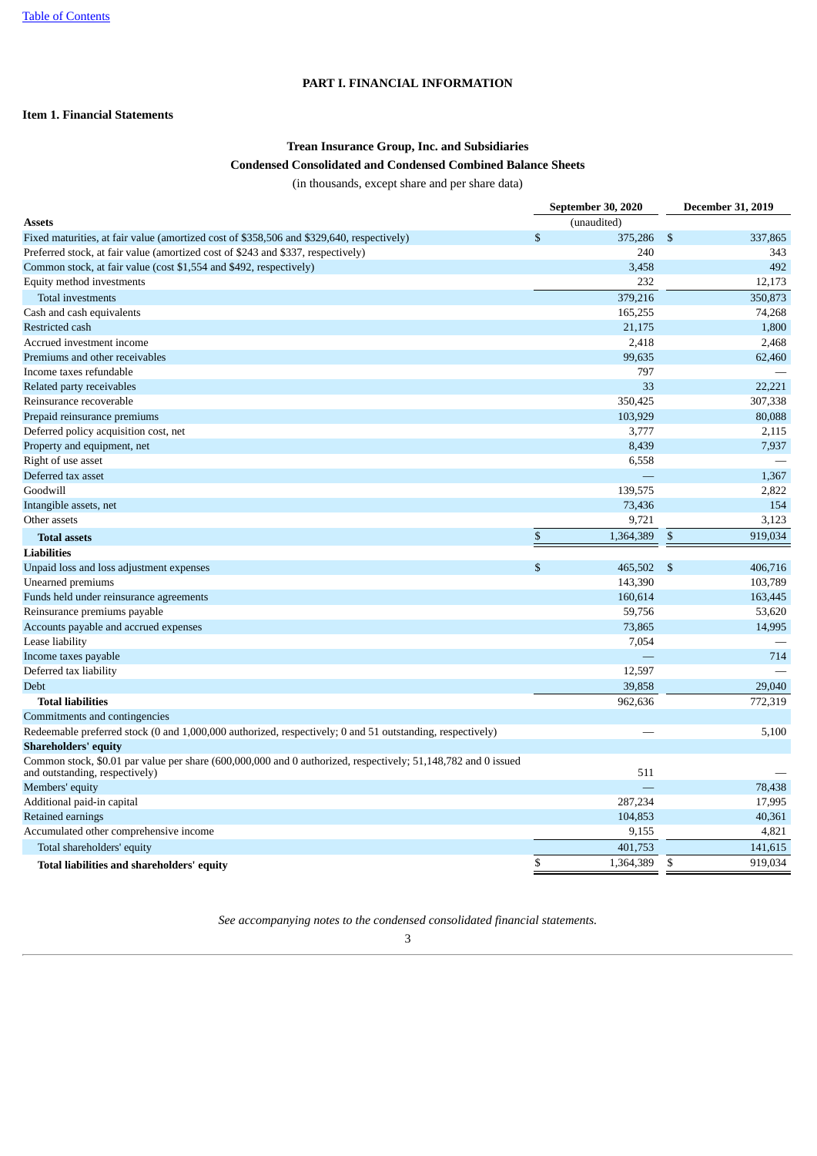# **PART I. FINANCIAL INFORMATION**

# <span id="page-2-1"></span><span id="page-2-0"></span>**Item 1. Financial Statements**

# **Trean Insurance Group, Inc. and Subsidiaries**

# **Condensed Consolidated and Condensed Combined Balance Sheets**

(in thousands, except share and per share data)

|                                                                                                                                                 |              | September 30, 2020 | <b>December 31, 2019</b> |
|-------------------------------------------------------------------------------------------------------------------------------------------------|--------------|--------------------|--------------------------|
| Assets                                                                                                                                          |              | (unaudited)        |                          |
| Fixed maturities, at fair value (amortized cost of \$358,506 and \$329,640, respectively)                                                       | \$           | 375,286            | \$<br>337,865            |
| Preferred stock, at fair value (amortized cost of \$243 and \$337, respectively)                                                                |              | 240                | 343                      |
| Common stock, at fair value (cost \$1,554 and \$492, respectively)                                                                              |              | 3,458              | 492                      |
| Equity method investments                                                                                                                       |              | 232                | 12,173                   |
| Total investments                                                                                                                               |              | 379,216            | 350,873                  |
| Cash and cash equivalents                                                                                                                       |              | 165,255            | 74,268                   |
| Restricted cash                                                                                                                                 |              | 21,175             | 1,800                    |
| Accrued investment income                                                                                                                       |              | 2,418              | 2,468                    |
| Premiums and other receivables                                                                                                                  |              | 99,635             | 62,460                   |
| Income taxes refundable                                                                                                                         |              | 797                |                          |
| Related party receivables                                                                                                                       |              | 33                 | 22,221                   |
| Reinsurance recoverable                                                                                                                         |              | 350,425            | 307,338                  |
| Prepaid reinsurance premiums                                                                                                                    |              | 103,929            | 80,088                   |
| Deferred policy acquisition cost, net                                                                                                           |              | 3,777              | 2,115                    |
| Property and equipment, net                                                                                                                     |              | 8,439              | 7,937                    |
| Right of use asset                                                                                                                              |              | 6,558              |                          |
| Deferred tax asset                                                                                                                              |              |                    | 1,367                    |
| Goodwill                                                                                                                                        |              | 139,575            | 2,822                    |
| Intangible assets, net                                                                                                                          |              | 73,436             | 154                      |
| Other assets                                                                                                                                    |              | 9,721              | 3,123                    |
| <b>Total assets</b>                                                                                                                             | $\mathbb{S}$ | 1,364,389          | \$<br>919,034            |
| <b>Liabilities</b>                                                                                                                              |              |                    |                          |
| Unpaid loss and loss adjustment expenses                                                                                                        | \$           | 465,502            | \$<br>406,716            |
| <b>Unearned</b> premiums                                                                                                                        |              | 143,390            | 103,789                  |
| Funds held under reinsurance agreements                                                                                                         |              | 160,614            | 163,445                  |
| Reinsurance premiums payable                                                                                                                    |              | 59,756             | 53,620                   |
| Accounts payable and accrued expenses                                                                                                           |              | 73,865             | 14,995                   |
| Lease liability                                                                                                                                 |              | 7,054              |                          |
| Income taxes payable                                                                                                                            |              |                    | 714                      |
| Deferred tax liability                                                                                                                          |              | 12,597             |                          |
| <b>Debt</b>                                                                                                                                     |              | 39,858             | 29,040                   |
| <b>Total liabilities</b>                                                                                                                        |              | 962,636            | 772,319                  |
| Commitments and contingencies                                                                                                                   |              |                    |                          |
| Redeemable preferred stock (0 and 1,000,000 authorized, respectively; 0 and 51 outstanding, respectively)                                       |              |                    | 5,100                    |
| <b>Shareholders' equity</b>                                                                                                                     |              |                    |                          |
| Common stock, \$0.01 par value per share (600,000,000 and 0 authorized, respectively; 51,148,782 and 0 issued<br>and outstanding, respectively) |              | 511                |                          |
| Members' equity                                                                                                                                 |              |                    | 78,438                   |
| Additional paid-in capital                                                                                                                      |              | 287,234            | 17,995                   |
| Retained earnings                                                                                                                               |              | 104,853            | 40,361                   |
| Accumulated other comprehensive income                                                                                                          |              | 9,155              | 4,821                    |
| Total shareholders' equity                                                                                                                      |              | 401,753            | 141,615                  |
| Total liabilities and shareholders' equity                                                                                                      | \$           | 1,364,389          | \$<br>919.034            |

<span id="page-2-2"></span>*See accompanying notes to the condensed consolidated financial statements.*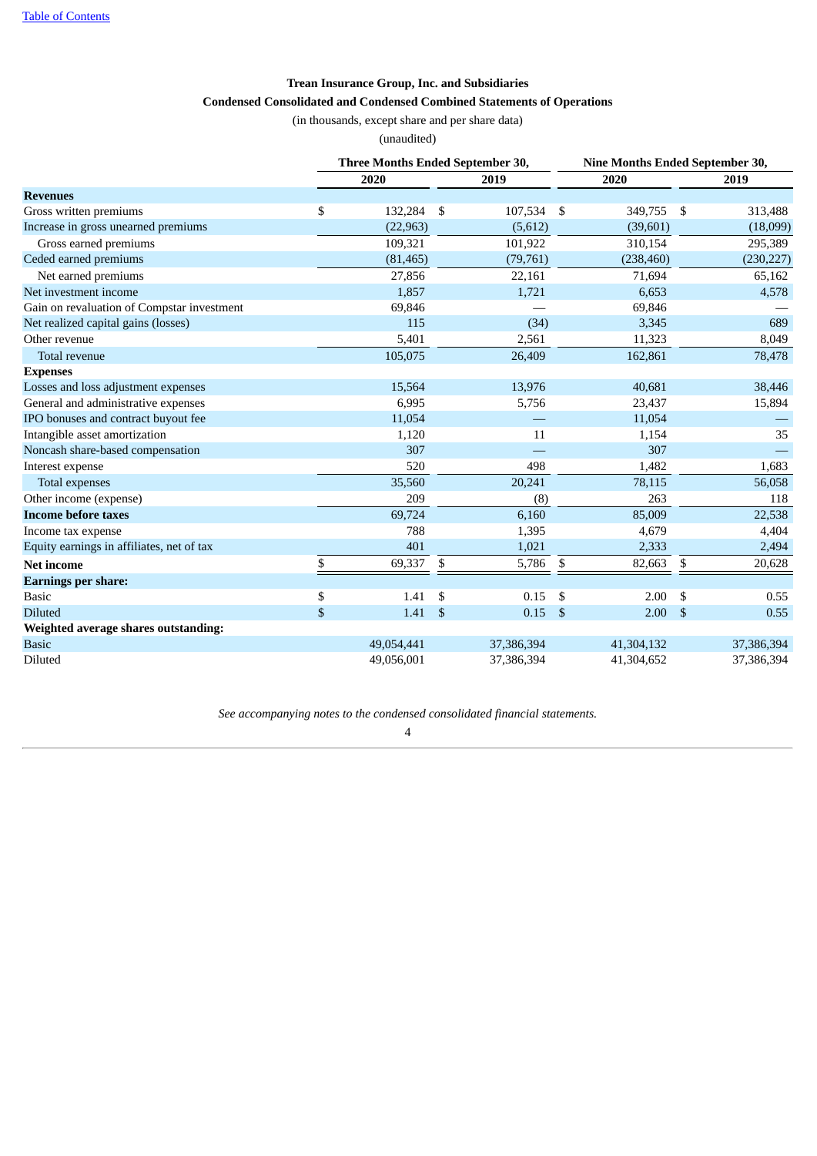# **Condensed Consolidated and Condensed Combined Statements of Operations**

(in thousands, except share and per share data)

(unaudited)

|                                            | Three Months Ended September 30, |              |            | Nine Months Ended September 30, |            |                |            |  |
|--------------------------------------------|----------------------------------|--------------|------------|---------------------------------|------------|----------------|------------|--|
|                                            | 2020                             |              | 2019       |                                 | 2020       |                | 2019       |  |
| <b>Revenues</b>                            |                                  |              |            |                                 |            |                |            |  |
| Gross written premiums                     | \$<br>132,284                    | -\$          | 107,534    | -\$                             | 349,755    | \$             | 313,488    |  |
| Increase in gross unearned premiums        | (22, 963)                        |              | (5,612)    |                                 | (39,601)   |                | (18,099)   |  |
| Gross earned premiums                      | 109,321                          |              | 101,922    |                                 | 310,154    |                | 295,389    |  |
| Ceded earned premiums                      | (81, 465)                        |              | (79, 761)  |                                 | (238, 460) |                | (230, 227) |  |
| Net earned premiums                        | 27,856                           |              | 22,161     |                                 | 71,694     |                | 65,162     |  |
| Net investment income                      | 1,857                            |              | 1,721      |                                 | 6,653      |                | 4,578      |  |
| Gain on revaluation of Compstar investment | 69,846                           |              |            |                                 | 69,846     |                |            |  |
| Net realized capital gains (losses)        | 115                              |              | (34)       |                                 | 3,345      |                | 689        |  |
| Other revenue                              | 5,401                            |              | 2,561      |                                 | 11,323     |                | 8,049      |  |
| <b>Total revenue</b>                       | 105,075                          |              | 26,409     |                                 | 162,861    |                | 78,478     |  |
| <b>Expenses</b>                            |                                  |              |            |                                 |            |                |            |  |
| Losses and loss adjustment expenses        | 15,564                           |              | 13,976     |                                 | 40,681     |                | 38,446     |  |
| General and administrative expenses        | 6,995                            |              | 5,756      |                                 | 23,437     |                | 15,894     |  |
| IPO bonuses and contract buyout fee        | 11,054                           |              |            |                                 | 11,054     |                |            |  |
| Intangible asset amortization              | 1,120                            |              | 11         |                                 | 1,154      |                | 35         |  |
| Noncash share-based compensation           | 307                              |              |            |                                 | 307        |                |            |  |
| Interest expense                           | 520                              |              | 498        |                                 | 1,482      |                | 1,683      |  |
| Total expenses                             | 35,560                           |              | 20,241     |                                 | 78,115     |                | 56,058     |  |
| Other income (expense)                     | 209                              |              | (8)        |                                 | 263        |                | 118        |  |
| <b>Income before taxes</b>                 | 69,724                           |              | 6,160      |                                 | 85,009     |                | 22,538     |  |
| Income tax expense                         | 788                              |              | 1,395      |                                 | 4,679      |                | 4,404      |  |
| Equity earnings in affiliates, net of tax  | 401                              |              | 1,021      |                                 | 2,333      |                | 2,494      |  |
| <b>Net income</b>                          | \$<br>69,337                     | \$           | 5,786      | \$                              | 82,663     | \$             | 20,628     |  |
| <b>Earnings per share:</b>                 |                                  |              |            |                                 |            |                |            |  |
| <b>Basic</b>                               | \$<br>1.41                       | \$           | 0.15       | \$                              | 2.00       | \$             | 0.55       |  |
| <b>Diluted</b>                             | \$<br>1.41                       | $\mathbf{s}$ | 0.15       | $\mathfrak{s}$                  | 2.00       | $\mathfrak{s}$ | 0.55       |  |
| Weighted average shares outstanding:       |                                  |              |            |                                 |            |                |            |  |
| <b>Basic</b>                               | 49,054,441                       |              | 37,386,394 |                                 | 41,304,132 |                | 37,386,394 |  |
| Diluted                                    | 49,056,001                       |              | 37,386,394 |                                 | 41,304,652 |                | 37,386,394 |  |

<span id="page-3-0"></span>*See accompanying notes to the condensed consolidated financial statements.*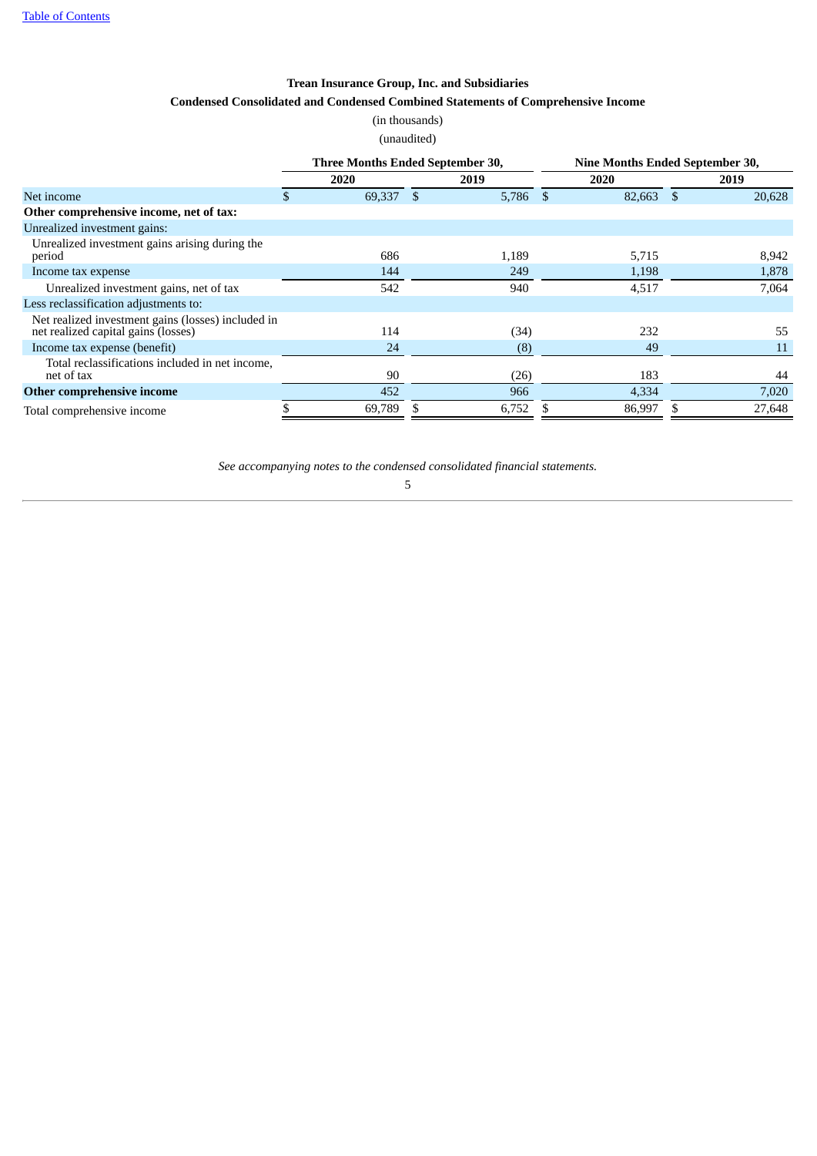# **Condensed Consolidated and Condensed Combined Statements of Comprehensive Income**

(in thousands)

(unaudited)

|                                                                                           |   | <b>Three Months Ended September 30,</b> |     |            |        | <b>Nine Months Ended September 30,</b> |        |  |  |
|-------------------------------------------------------------------------------------------|---|-----------------------------------------|-----|------------|--------|----------------------------------------|--------|--|--|
|                                                                                           |   | 2020                                    |     | 2019       | 2020   |                                        | 2019   |  |  |
| Net income                                                                                | Ъ | 69,337                                  | \$. | $5,786$ \$ | 82,663 | <sup>\$</sup>                          | 20,628 |  |  |
| Other comprehensive income, net of tax:                                                   |   |                                         |     |            |        |                                        |        |  |  |
| Unrealized investment gains:                                                              |   |                                         |     |            |        |                                        |        |  |  |
| Unrealized investment gains arising during the<br>period                                  |   | 686                                     |     | 1,189      | 5,715  |                                        | 8,942  |  |  |
| Income tax expense                                                                        |   | 144                                     |     | 249        | 1,198  |                                        | 1,878  |  |  |
| Unrealized investment gains, net of tax                                                   |   | 542                                     |     | 940        | 4,517  |                                        | 7,064  |  |  |
| Less reclassification adjustments to:                                                     |   |                                         |     |            |        |                                        |        |  |  |
| Net realized investment gains (losses) included in<br>net realized capital gains (losses) |   | 114                                     |     | (34)       | 232    |                                        | 55     |  |  |
| Income tax expense (benefit)                                                              |   | 24                                      |     | (8)        | 49     |                                        | 11     |  |  |
| Total reclassifications included in net income,<br>net of tax                             |   | 90                                      |     | (26)       | 183    |                                        | 44     |  |  |
| Other comprehensive income                                                                |   | 452                                     |     | 966        | 4,334  |                                        | 7,020  |  |  |
| Total comprehensive income                                                                |   | 69,789                                  |     | 6,752      | 86,997 |                                        | 27,648 |  |  |

<span id="page-4-0"></span>*See accompanying notes to the condensed consolidated financial statements.*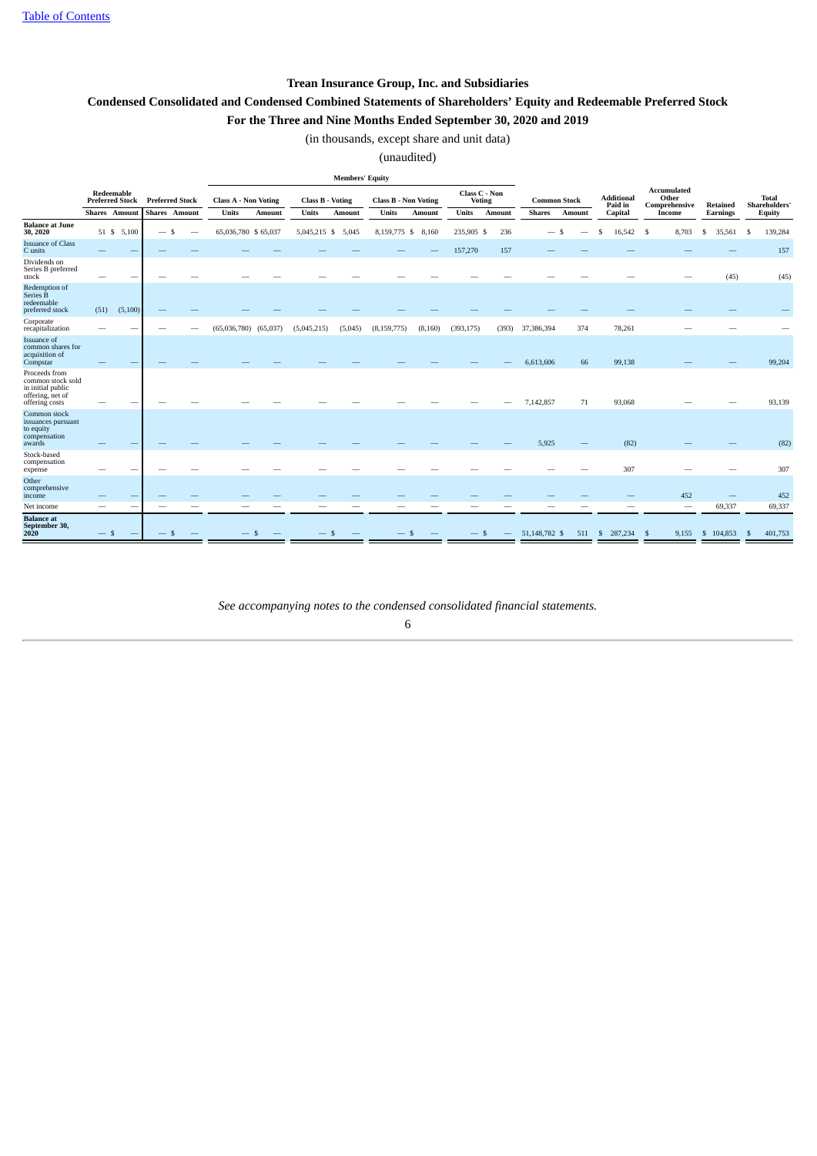# **Condensed Consolidated and Condensed Combined Statements of Shareholders' Equity and Redeemable Preferred Stock**

# **For the Three and Nine Months Ended September 30, 2020 and 2019**

(in thousands, except share and unit data)

(unaudited)

|                                                                                               |        |                                      |     |                        |                             |          |                         | <b>Members' Equity</b> |                             |         |                                |        |                     |        |                              |         |                                              |                 |    |                               |
|-----------------------------------------------------------------------------------------------|--------|--------------------------------------|-----|------------------------|-----------------------------|----------|-------------------------|------------------------|-----------------------------|---------|--------------------------------|--------|---------------------|--------|------------------------------|---------|----------------------------------------------|-----------------|----|-------------------------------|
|                                                                                               |        | Redeemable<br><b>Preferred Stock</b> |     | <b>Preferred Stock</b> | <b>Class A - Non Voting</b> |          | <b>Class B - Voting</b> |                        | <b>Class B - Non Voting</b> |         | Class C - Non<br><b>Voting</b> |        | <b>Common Stock</b> |        | <b>Additional</b><br>Paid in |         | <b>Accumulated</b><br>Other<br>Comprehensive | <b>Retained</b> |    | <b>Total</b><br>Shareholders' |
|                                                                                               |        | Shares Amount                        |     | Shares Amount          | Units                       | Amount   | Units                   | Amount                 | Units                       | Amount  | Units                          | Amount | <b>Shares</b>       | Amount | Capital                      |         | Income                                       | <b>Earnings</b> |    | Equity                        |
| <b>Balance at June</b><br>30, 2020                                                            |        | 51 \$ 5,100                          | — s |                        | 65,036,780 \$65,037         |          | 5,045,215 \$            | 5,045                  | 8,159,775 \$                | 8,160   | 235,905 \$                     | 236    | –                   |        | £.                           | 16,542  | 8,703<br>- \$                                | 35,561<br>\$    | -S | 139,284                       |
| <b>Issuance of Class</b><br>C units                                                           |        |                                      |     |                        |                             |          |                         |                        |                             |         | 157,270                        | 157    |                     |        |                              |         |                                              |                 |    | 157                           |
| Dividends on<br>Series B preferred<br>stock                                                   |        |                                      |     |                        |                             |          |                         |                        |                             |         |                                |        |                     |        |                              |         |                                              | (45)            |    | (45)                          |
| Redemption of<br>Series B<br>redeemable<br>preferred stock                                    | (51)   | (5, 100)                             |     |                        |                             |          |                         |                        |                             |         |                                |        |                     |        |                              |         |                                              |                 |    |                               |
| Corporate<br>recapitalization                                                                 |        |                                      |     |                        | (65,036,780)                | (65,037) | (5,045,215)             | (5,045)                | (8, 159, 775)               | (8,160) | (393, 175)                     | (393)  | 37,386,394          | 374    |                              | 78,261  |                                              |                 |    |                               |
| Issuance of<br>common shares for<br>acquisition of<br>Compstar                                |        |                                      |     |                        |                             |          |                         |                        |                             |         |                                |        | 6,613,606           | 66     |                              | 99,138  |                                              |                 |    | 99,204                        |
| Proceeds from<br>common stock sold<br>in initial public<br>offering, net of<br>offering costs |        |                                      |     |                        |                             |          |                         |                        |                             |         |                                |        | 7,142,857           | 71     |                              | 93,068  |                                              |                 |    | 93,139                        |
| Common stock<br>issuances pursuant<br>to equity<br>compensation<br>awards                     |        |                                      |     |                        |                             |          |                         |                        |                             |         |                                |        | 5,925               |        |                              | (82)    |                                              |                 |    | (82)                          |
| Stock-based<br>compensation<br>expense                                                        |        |                                      |     |                        |                             |          |                         |                        |                             |         |                                |        |                     |        |                              | 307     |                                              |                 |    | 307                           |
| Other<br>comprehensive<br>income                                                              |        |                                      |     |                        |                             |          |                         |                        |                             |         |                                |        |                     |        |                              |         | 452                                          |                 |    | 452                           |
| Net income                                                                                    |        |                                      |     |                        |                             |          |                         |                        |                             |         |                                |        |                     |        |                              |         | $\hspace{0.1mm}-\hspace{0.1mm}$              | 69,337          |    | 69,337                        |
| <b>Balance</b> at<br>September 30,<br>2020                                                    | $-$ \$ |                                      |     |                        |                             |          |                         |                        |                             |         |                                |        | 51,148,782 \$       | 511    | $\mathbb{S}$                 | 287,234 | 9,155<br>$^{\circ}$                          | \$104,853       | \$ | 401,753                       |

*See accompanying notes to the condensed consolidated financial statements.*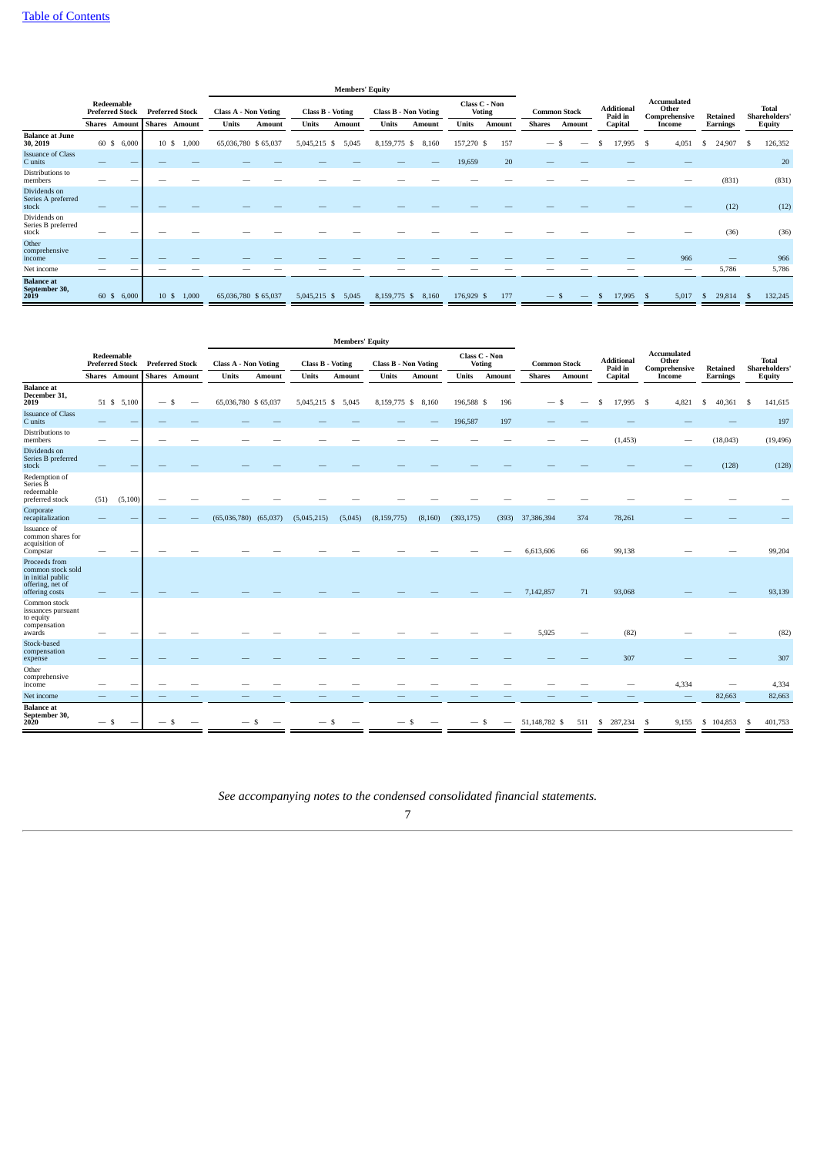# Table of [Contents](#page-0-0)

|                                             |      |                                      |     |                        |                             |        |                         | <b>Members' Equity</b> |                             |        |                                |        |                     |        |    |                              |                                       |                 |        |    |                                     |
|---------------------------------------------|------|--------------------------------------|-----|------------------------|-----------------------------|--------|-------------------------|------------------------|-----------------------------|--------|--------------------------------|--------|---------------------|--------|----|------------------------------|---------------------------------------|-----------------|--------|----|-------------------------------------|
|                                             |      | Redeemable<br><b>Preferred Stock</b> |     | <b>Preferred Stock</b> | <b>Class A - Non Voting</b> |        | <b>Class B - Voting</b> |                        | <b>Class B - Non Voting</b> |        | Class C - Non<br><b>Voting</b> |        | <b>Common Stock</b> |        |    | <b>Additional</b><br>Paid in | Accumulated<br>Other<br>Comprehensive | Retained        |        |    | <b>Total</b><br><b>Shareholders</b> |
|                                             |      | <b>Shares</b> Amount                 |     | Shares Amount          | Units                       | Amount | Units                   | Amount                 | Units                       | Amount | Units                          | Amount | <b>Shares</b>       | Amount |    | Capital                      | Income                                | <b>Earnings</b> |        |    | Equity                              |
| <b>Balance at June</b><br>30, 2019          |      | 60 S<br>6,000                        | 10S | 1,000                  | 65,036,780 \$65,037         |        | 5,045,215               | 5,045<br>-S            | 8,159,775 \$                | 8,160  | 157,270 \$                     | 157    | $-$ s               |        | £. | 17,995                       | 4,051<br>-S                           | .S              | 24,907 | -S | 126,352                             |
| <b>Issuance of Class</b><br>C units         |      |                                      |     |                        |                             |        |                         |                        |                             |        | 19,659                         | 20     |                     |        |    |                              |                                       |                 |        |    | 20                                  |
| Distributions to<br>members                 |      | _                                    |     |                        |                             |        |                         |                        |                             |        |                                |        |                     |        |    |                              |                                       |                 | (831)  |    | (831)                               |
| Dividends on<br>Series A preferred<br>stock |      |                                      |     |                        |                             |        |                         |                        |                             |        |                                |        |                     |        |    |                              |                                       |                 | (12)   |    | (12)                                |
| Dividends on<br>Series B preferred<br>stock |      |                                      |     |                        |                             |        |                         |                        |                             |        |                                |        |                     |        |    |                              |                                       |                 | (36)   |    | (36)                                |
| Other<br>comprehensive<br>income            |      |                                      |     |                        |                             |        |                         |                        |                             |        |                                |        |                     |        |    |                              | 966                                   |                 |        |    | 966                                 |
| Net income                                  |      |                                      |     |                        |                             |        |                         |                        |                             |        |                                |        |                     |        |    |                              | $\overline{\phantom{m}}$              |                 | 5,786  |    | 5,786                               |
| <b>Balance</b> at<br>September 30,<br>2019  | 60 S | 6,000                                | 10S | 1,000                  | 65,036,780 \$65,037         |        | 5,045,215 \$            | 5,045                  | 8,159,775 \$                | 8,160  | 176,929 \$                     | 177    | — 1                 |        |    | 17,995                       | 5,017<br>- S                          | -8              | 29,814 | -S | 132,245                             |

|                                                                                               |                          |                                      |                          | <b>Members' Equity</b> |                             |        |                         |         |                             |         |                                |                                 |                          |                          |                              |                                              |                 |                               |
|-----------------------------------------------------------------------------------------------|--------------------------|--------------------------------------|--------------------------|------------------------|-----------------------------|--------|-------------------------|---------|-----------------------------|---------|--------------------------------|---------------------------------|--------------------------|--------------------------|------------------------------|----------------------------------------------|-----------------|-------------------------------|
|                                                                                               |                          | Redeemable<br><b>Preferred Stock</b> |                          | <b>Preferred Stock</b> | <b>Class A - Non Voting</b> |        | <b>Class B - Voting</b> |         | <b>Class B - Non Voting</b> |         | Class C - Non<br><b>Voting</b> |                                 | <b>Common Stock</b>      |                          | <b>Additional</b><br>Paid in | <b>Accumulated</b><br>Other<br>Comprehensive | <b>Retained</b> | <b>Total</b><br>Shareholders' |
|                                                                                               | Shares Amount            |                                      |                          | Shares Amount          | Units                       | Amount | Units                   | Amount  | Units                       | Amount  | Units                          | Amount                          | <b>Shares</b>            | Amount                   | Capital                      | <b>Income</b>                                | <b>Earnings</b> | Equity                        |
| <b>Balance</b> at<br>December 31,<br>2019                                                     |                          | 51 \$ 5,100                          | $\overline{\phantom{0}}$ | - \$                   | 65,036,780 \$65,037         |        | 5,045,215 \$            | 5,045   | 8,159,775 \$                | 8,160   | 196,588 \$                     | 196                             | $\overline{\phantom{0}}$ | -S                       | 17,995<br>£.                 | 4,821<br>- \$                                | 40,361<br>.S    | S<br>141,615                  |
| <b>Issuance of Class</b><br>C units                                                           |                          |                                      |                          |                        |                             |        |                         |         |                             |         | 196,587                        | 197                             |                          |                          |                              |                                              |                 | 197                           |
| Distributions to<br>members                                                                   | $\overline{\phantom{a}}$ |                                      |                          |                        |                             |        |                         |         |                             |         |                                |                                 |                          |                          | (1, 453)                     | $\hspace{0.1mm}-\hspace{0.1mm}$              | (18,043)        | (19, 496)                     |
| Dividends on<br>Series B preferred<br>stock                                                   |                          |                                      |                          |                        |                             |        |                         |         |                             |         |                                |                                 |                          |                          |                              |                                              | (128)           | (128)                         |
| Redemption of<br>Series B<br>redeemable<br>preferred stock                                    | (51)                     | (5,100)                              |                          |                        |                             |        |                         |         |                             |         |                                |                                 |                          |                          |                              |                                              |                 |                               |
| Corporate<br>recapitalization                                                                 |                          |                                      |                          |                        | $(65,036,780)$ $(65,037)$   |        | (5,045,215)             | (5,045) | (8, 159, 775)               | (8,160) | (393, 175)                     | (393)                           | 37,386,394               | 374                      | 78,261                       |                                              |                 |                               |
| Issuance of<br>common shares for<br>acquisition of<br>Compstar                                |                          |                                      |                          |                        |                             |        |                         |         |                             |         |                                |                                 | 6,613,606                | 66                       | 99,138                       |                                              |                 | 99,204                        |
| Proceeds from<br>common stock sold<br>in initial public<br>offering, net of<br>offering costs |                          |                                      |                          |                        |                             |        |                         |         |                             |         |                                |                                 | 7,142,857                | 71                       | 93,068                       |                                              |                 | 93,139                        |
| Common stock<br>issuances pursuant<br>to equity<br>compensation<br>awards                     |                          |                                      |                          |                        |                             |        |                         |         |                             |         |                                |                                 | 5,925                    | $\overline{\phantom{a}}$ | (82)                         |                                              |                 | (82)                          |
| Stock-based<br>compensation<br>expense                                                        |                          |                                      |                          |                        |                             |        |                         |         |                             |         |                                |                                 |                          |                          | 307                          |                                              |                 | 307                           |
| Other<br>comprehensive<br>income                                                              |                          |                                      |                          |                        |                             |        |                         |         |                             |         |                                |                                 |                          |                          |                              | 4,334                                        |                 | 4,334                         |
| Net income                                                                                    |                          |                                      |                          |                        |                             |        |                         |         |                             |         |                                |                                 |                          |                          |                              | $\qquad \qquad \longleftarrow$               | 82,663          | 82,663                        |
| <b>Balance</b> at<br>September 30,<br>2020                                                    | $-$ \$                   | –                                    |                          | - S                    |                             | -S     |                         | - \$    |                             | -8      | — \$                           | $\hspace{0.1mm}-\hspace{0.1mm}$ | 51,148,782 \$            | 511                      | 287,234<br>- \$              | 9,155<br>-S                                  | \$104,853       | 401,753<br>\$                 |

*See accompanying notes to the condensed consolidated financial statements.*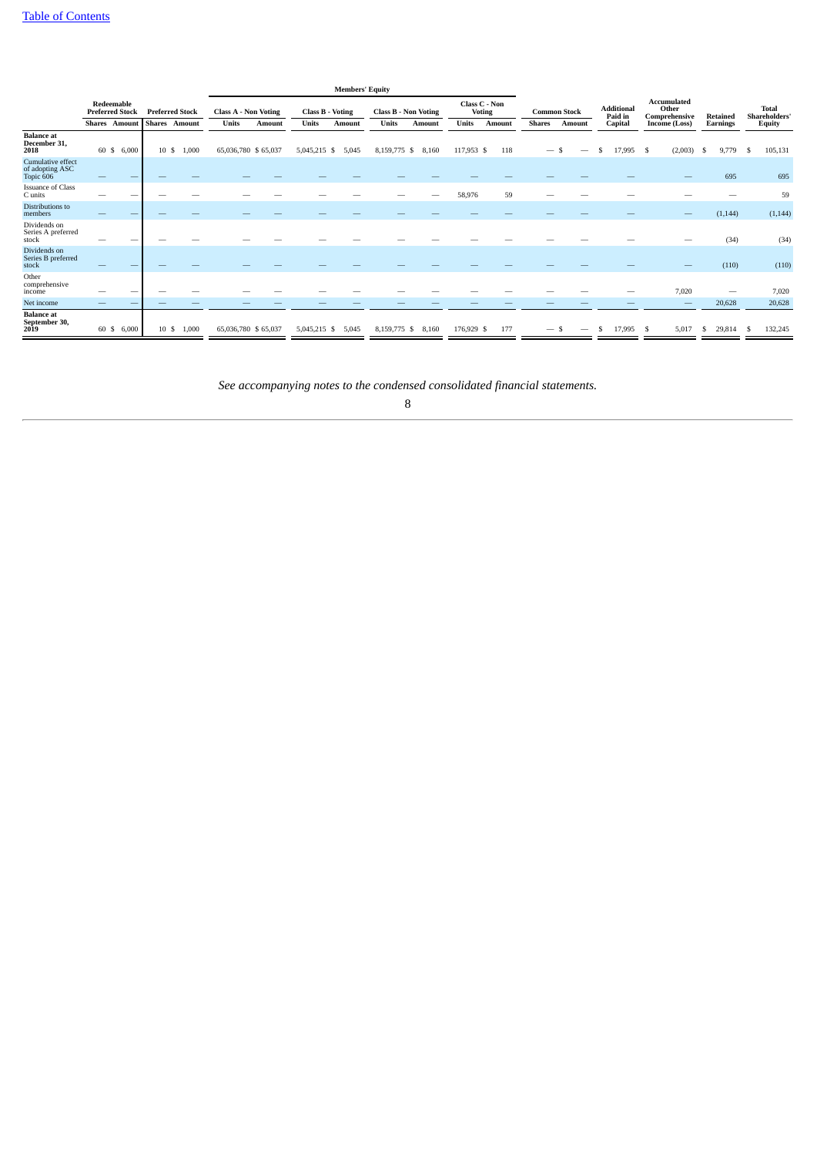|                                                   |                                      |     |                        |                             |        |                         | <b>Members' Equity</b> |                             |        |                                |        |                     |               |                              |         |                   |    |                 |    |                                       |  |                 |  |                               |
|---------------------------------------------------|--------------------------------------|-----|------------------------|-----------------------------|--------|-------------------------|------------------------|-----------------------------|--------|--------------------------------|--------|---------------------|---------------|------------------------------|---------|-------------------|----|-----------------|----|---------------------------------------|--|-----------------|--|-------------------------------|
|                                                   | Redeemable<br><b>Preferred Stock</b> |     | <b>Preferred Stock</b> | <b>Class A - Non Voting</b> |        | <b>Class B - Voting</b> |                        | <b>Class B - Non Voting</b> |        | Class C - Non<br><b>Voting</b> |        | <b>Common Stock</b> |               | <b>Additional</b><br>Paid in |         |                   |    |                 |    | Accumulated<br>Other<br>Comprehensive |  | <b>Retained</b> |  | <b>Total</b><br>Shareholders' |
|                                                   | <b>Shares</b> Amount                 |     | Shares Amount          | Units                       | Amount | Units                   | Amount                 | Units                       | Amount | Units                          | Amount | <b>Shares</b>       | <b>Amount</b> |                              | Capital | Income (Loss)     |    | <b>Earnings</b> |    | Equity                                |  |                 |  |                               |
| <b>Balance</b> at<br>December 31,<br>2018         | 60 \$ 6,000                          | 10S | 1,000                  | 65,036,780 \$65,037         |        | 5,045,215 \$            | 5,045                  | 8,159,775 \$                | 8,160  | 117,953 \$                     | 118    | $-$ \$              | -             | S                            | 17,995  | (2,003)<br>- \$   | -S | 9,779           | -S | 105,131                               |  |                 |  |                               |
| Cumulative effect<br>of adopting ASC<br>Topic 606 |                                      |     |                        |                             |        |                         |                        |                             |        |                                |        |                     |               |                              |         |                   |    | 695             |    | 695                                   |  |                 |  |                               |
| <b>Issuance of Class</b><br>C units               | –                                    |     |                        |                             |        |                         |                        |                             |        | 58,976                         | 59     |                     |               |                              |         |                   |    |                 |    | 59                                    |  |                 |  |                               |
| Distributions to<br>members                       |                                      |     |                        |                             |        |                         |                        |                             |        |                                |        |                     |               |                              |         |                   |    | (1, 144)        |    | (1, 144)                              |  |                 |  |                               |
| Dividends on<br>Series A preferred<br>stock       |                                      |     |                        |                             |        |                         |                        |                             |        |                                |        |                     |               |                              |         |                   |    | (34)            |    | (34)                                  |  |                 |  |                               |
| Dividends on<br>Series B preferred<br>stock       | _                                    |     |                        |                             |        |                         |                        |                             |        |                                |        |                     |               |                              |         | $\qquad \qquad -$ |    | (110)           |    | (110)                                 |  |                 |  |                               |
| Other<br>comprehensive<br>income                  | _                                    |     |                        |                             |        |                         |                        |                             |        |                                |        |                     |               |                              |         | 7,020             |    |                 |    | 7,020                                 |  |                 |  |                               |
| Net income                                        |                                      |     |                        |                             |        |                         |                        |                             |        |                                |        |                     |               |                              |         | $\qquad \qquad -$ |    | 20,628          |    | 20,628                                |  |                 |  |                               |
| <b>Balance</b> at<br>September 30,<br>2019        | 60 \$ 6,000                          | 10S | 1,000                  | 65,036,780 \$65,037         |        | 5,045,215 \$            | 5,045                  | 8,159,775 \$                | 8,160  | 176,929 \$                     | 177    |                     | - 75          | S                            | 17,995  | 5,017<br>- S      | -S | 29,814          | -S | 132,245                               |  |                 |  |                               |

<span id="page-7-0"></span>*See accompanying notes to the condensed consolidated financial statements.*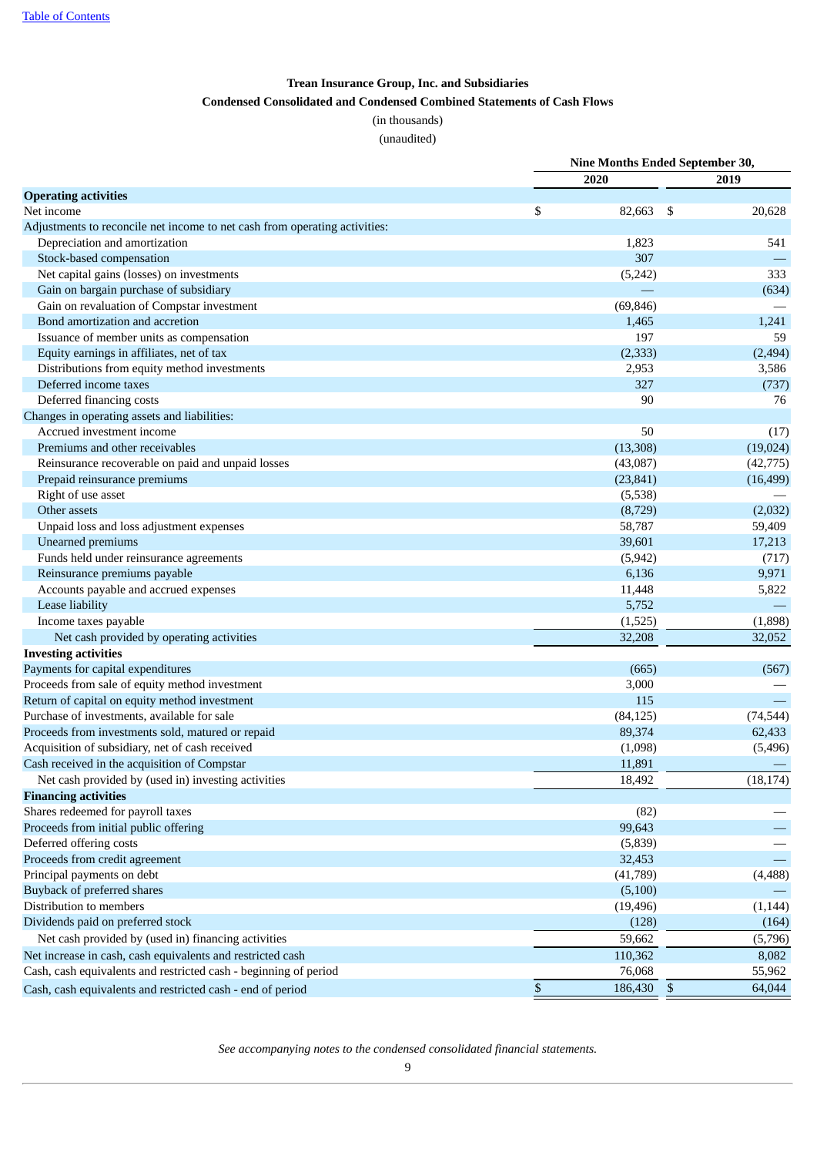# **Condensed Consolidated and Condensed Combined Statements of Cash Flows**

# (in thousands)

(unaudited)

|                                                                            | Nine Months Ended September 30, |           |              |           |  |
|----------------------------------------------------------------------------|---------------------------------|-----------|--------------|-----------|--|
|                                                                            |                                 | 2020      |              | 2019      |  |
| <b>Operating activities</b>                                                |                                 |           |              |           |  |
| Net income                                                                 | \$                              | 82,663    | \$           | 20,628    |  |
| Adjustments to reconcile net income to net cash from operating activities: |                                 |           |              |           |  |
| Depreciation and amortization                                              |                                 | 1,823     |              | 541       |  |
| Stock-based compensation                                                   |                                 | 307       |              |           |  |
| Net capital gains (losses) on investments                                  |                                 | (5,242)   |              | 333       |  |
| Gain on bargain purchase of subsidiary                                     |                                 |           |              | (634)     |  |
| Gain on revaluation of Compstar investment                                 |                                 | (69, 846) |              |           |  |
| Bond amortization and accretion                                            |                                 | 1,465     |              | 1,241     |  |
| Issuance of member units as compensation                                   |                                 | 197       |              | 59        |  |
| Equity earnings in affiliates, net of tax                                  |                                 | (2, 333)  |              | (2, 494)  |  |
| Distributions from equity method investments                               |                                 | 2,953     |              | 3,586     |  |
| Deferred income taxes                                                      |                                 | 327       |              | (737)     |  |
| Deferred financing costs                                                   |                                 | 90        |              | 76        |  |
| Changes in operating assets and liabilities:                               |                                 |           |              |           |  |
| Accrued investment income                                                  |                                 | 50        |              | (17)      |  |
| Premiums and other receivables                                             |                                 | (13, 308) |              | (19,024)  |  |
| Reinsurance recoverable on paid and unpaid losses                          |                                 | (43,087)  |              | (42, 775) |  |
| Prepaid reinsurance premiums                                               |                                 | (23, 841) |              | (16, 499) |  |
| Right of use asset                                                         |                                 | (5,538)   |              |           |  |
| Other assets                                                               |                                 | (8,729)   |              | (2,032)   |  |
| Unpaid loss and loss adjustment expenses                                   |                                 | 58,787    |              | 59,409    |  |
| Unearned premiums                                                          |                                 | 39,601    |              | 17,213    |  |
| Funds held under reinsurance agreements                                    |                                 | (5, 942)  |              | (717)     |  |
| Reinsurance premiums payable                                               |                                 | 6,136     |              | 9,971     |  |
| Accounts payable and accrued expenses                                      |                                 | 11,448    |              | 5,822     |  |
| Lease liability                                                            |                                 | 5,752     |              |           |  |
| Income taxes payable                                                       |                                 | (1,525)   |              | (1,898)   |  |
| Net cash provided by operating activities                                  |                                 | 32,208    |              | 32,052    |  |
| <b>Investing activities</b>                                                |                                 |           |              |           |  |
| Payments for capital expenditures                                          |                                 | (665)     |              | (567)     |  |
| Proceeds from sale of equity method investment                             |                                 | 3,000     |              |           |  |
| Return of capital on equity method investment                              |                                 | 115       |              |           |  |
| Purchase of investments, available for sale                                |                                 | (84, 125) |              | (74, 544) |  |
| Proceeds from investments sold, matured or repaid                          |                                 | 89,374    |              | 62,433    |  |
| Acquisition of subsidiary, net of cash received                            |                                 | (1,098)   |              | (5, 496)  |  |
| Cash received in the acquisition of Compstar                               |                                 | 11,891    |              |           |  |
| Net cash provided by (used in) investing activities                        |                                 | 18,492    |              | (18, 174) |  |
| <b>Financing activities</b>                                                |                                 |           |              |           |  |
| Shares redeemed for payroll taxes                                          |                                 | (82)      |              |           |  |
| Proceeds from initial public offering                                      |                                 | 99,643    |              |           |  |
| Deferred offering costs                                                    |                                 | (5,839)   |              |           |  |
| Proceeds from credit agreement                                             |                                 | 32,453    |              |           |  |
| Principal payments on debt                                                 |                                 | (41,789)  |              | (4, 488)  |  |
| Buyback of preferred shares                                                |                                 | (5,100)   |              |           |  |
| Distribution to members                                                    |                                 | (19, 496) |              | (1, 144)  |  |
| Dividends paid on preferred stock                                          |                                 | (128)     |              | (164)     |  |
| Net cash provided by (used in) financing activities                        |                                 | 59,662    |              | (5,796)   |  |
| Net increase in cash, cash equivalents and restricted cash                 |                                 | 110,362   |              | 8,082     |  |
| Cash, cash equivalents and restricted cash - beginning of period           |                                 | 76,068    |              | 55,962    |  |
| Cash, cash equivalents and restricted cash - end of period                 | $\boldsymbol{\mathsf{S}}$       | 186,430   | $\mathbb{S}$ | 64,044    |  |

*See accompanying notes to the condensed consolidated financial statements.*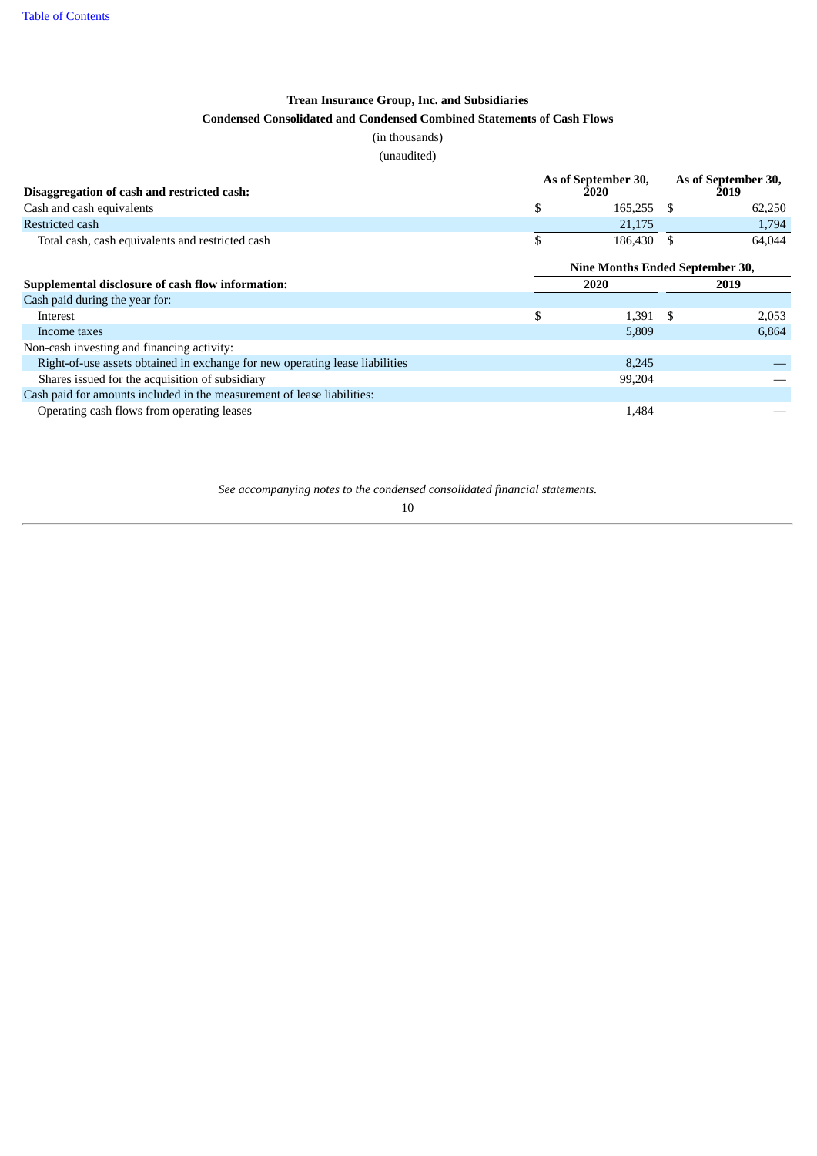# **Condensed Consolidated and Condensed Combined Statements of Cash Flows**

(in thousands)

(unaudited)

| Disaggregation of cash and restricted cash:                                  | As of September 30,<br>2020     |      | As of September 30,<br>2019 |
|------------------------------------------------------------------------------|---------------------------------|------|-----------------------------|
| Cash and cash equivalents                                                    | 165,255                         | - \$ | 62,250                      |
| Restricted cash                                                              | 21,175                          |      | 1,794                       |
| Total cash, cash equivalents and restricted cash                             | \$<br>186,430                   | -S   | 64.044                      |
|                                                                              | Nine Months Ended September 30, |      |                             |
| Supplemental disclosure of cash flow information:                            | 2020                            |      | 2019                        |
| Cash paid during the year for:                                               |                                 |      |                             |
| Interest                                                                     | \$<br>$1,391$ \$                |      | 2,053                       |
| Income taxes                                                                 | 5,809                           |      | 6,864                       |
| Non-cash investing and financing activity:                                   |                                 |      |                             |
| Right-of-use assets obtained in exchange for new operating lease liabilities | 8,245                           |      |                             |
| Shares issued for the acquisition of subsidiary                              | 99,204                          |      |                             |
| Cash paid for amounts included in the measurement of lease liabilities:      |                                 |      |                             |
| Operating cash flows from operating leases                                   | 1,484                           |      |                             |

<span id="page-9-0"></span>*See accompanying notes to the condensed consolidated financial statements.*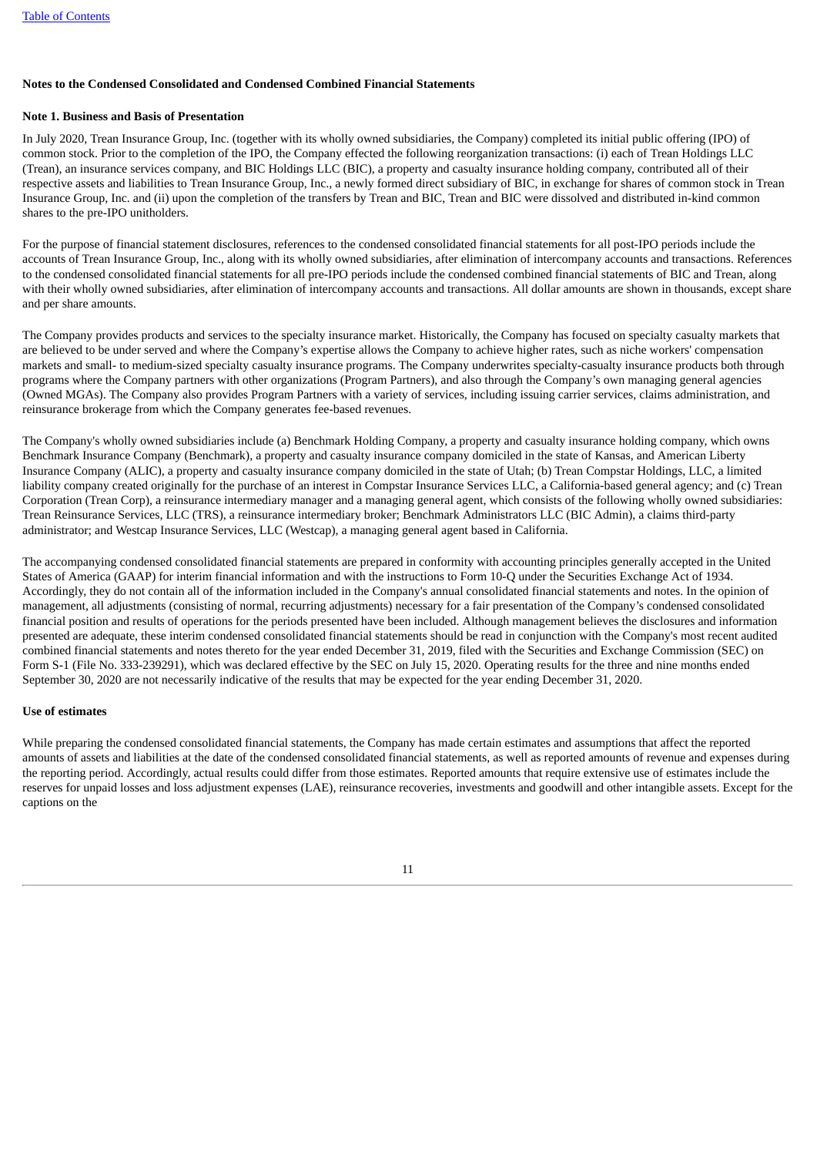### **Notes to the Condensed Consolidated and Condensed Combined Financial Statements**

### **Note 1. Business and Basis of Presentation**

In July 2020, Trean Insurance Group, Inc. (together with its wholly owned subsidiaries, the Company) completed its initial public offering (IPO) of common stock. Prior to the completion of the IPO, the Company effected the following reorganization transactions: (i) each of Trean Holdings LLC (Trean), an insurance services company, and BIC Holdings LLC (BIC), a property and casualty insurance holding company, contributed all of their respective assets and liabilities to Trean Insurance Group, Inc., a newly formed direct subsidiary of BIC, in exchange for shares of common stock in Trean Insurance Group, Inc. and (ii) upon the completion of the transfers by Trean and BIC, Trean and BIC were dissolved and distributed in-kind common shares to the pre-IPO unitholders.

For the purpose of financial statement disclosures, references to the condensed consolidated financial statements for all post-IPO periods include the accounts of Trean Insurance Group, Inc., along with its wholly owned subsidiaries, after elimination of intercompany accounts and transactions. References to the condensed consolidated financial statements for all pre-IPO periods include the condensed combined financial statements of BIC and Trean, along with their wholly owned subsidiaries, after elimination of intercompany accounts and transactions. All dollar amounts are shown in thousands, except share and per share amounts.

The Company provides products and services to the specialty insurance market. Historically, the Company has focused on specialty casualty markets that are believed to be under served and where the Company's expertise allows the Company to achieve higher rates, such as niche workers' compensation markets and small- to medium-sized specialty casualty insurance programs. The Company underwrites specialty-casualty insurance products both through programs where the Company partners with other organizations (Program Partners), and also through the Company's own managing general agencies (Owned MGAs). The Company also provides Program Partners with a variety of services, including issuing carrier services, claims administration, and reinsurance brokerage from which the Company generates fee-based revenues.

The Company's wholly owned subsidiaries include (a) Benchmark Holding Company, a property and casualty insurance holding company, which owns Benchmark Insurance Company (Benchmark), a property and casualty insurance company domiciled in the state of Kansas, and American Liberty Insurance Company (ALIC), a property and casualty insurance company domiciled in the state of Utah; (b) Trean Compstar Holdings, LLC, a limited liability company created originally for the purchase of an interest in Compstar Insurance Services LLC, a California-based general agency; and (c) Trean Corporation (Trean Corp), a reinsurance intermediary manager and a managing general agent, which consists of the following wholly owned subsidiaries: Trean Reinsurance Services, LLC (TRS), a reinsurance intermediary broker; Benchmark Administrators LLC (BIC Admin), a claims third-party administrator; and Westcap Insurance Services, LLC (Westcap), a managing general agent based in California.

The accompanying condensed consolidated financial statements are prepared in conformity with accounting principles generally accepted in the United States of America (GAAP) for interim financial information and with the instructions to Form 10-Q under the Securities Exchange Act of 1934. Accordingly, they do not contain all of the information included in the Company's annual consolidated financial statements and notes. In the opinion of management, all adjustments (consisting of normal, recurring adjustments) necessary for a fair presentation of the Company's condensed consolidated financial position and results of operations for the periods presented have been included. Although management believes the disclosures and information presented are adequate, these interim condensed consolidated financial statements should be read in conjunction with the Company's most recent audited combined financial statements and notes thereto for the year ended December 31, 2019, filed with the Securities and Exchange Commission (SEC) on Form S-1 (File No. 333-239291), which was declared effective by the SEC on July 15, 2020. Operating results for the three and nine months ended September 30, 2020 are not necessarily indicative of the results that may be expected for the year ending December 31, 2020.

### **Use of estimates**

While preparing the condensed consolidated financial statements, the Company has made certain estimates and assumptions that affect the reported amounts of assets and liabilities at the date of the condensed consolidated financial statements, as well as reported amounts of revenue and expenses during the reporting period. Accordingly, actual results could differ from those estimates. Reported amounts that require extensive use of estimates include the reserves for unpaid losses and loss adjustment expenses (LAE), reinsurance recoveries, investments and goodwill and other intangible assets. Except for the captions on the

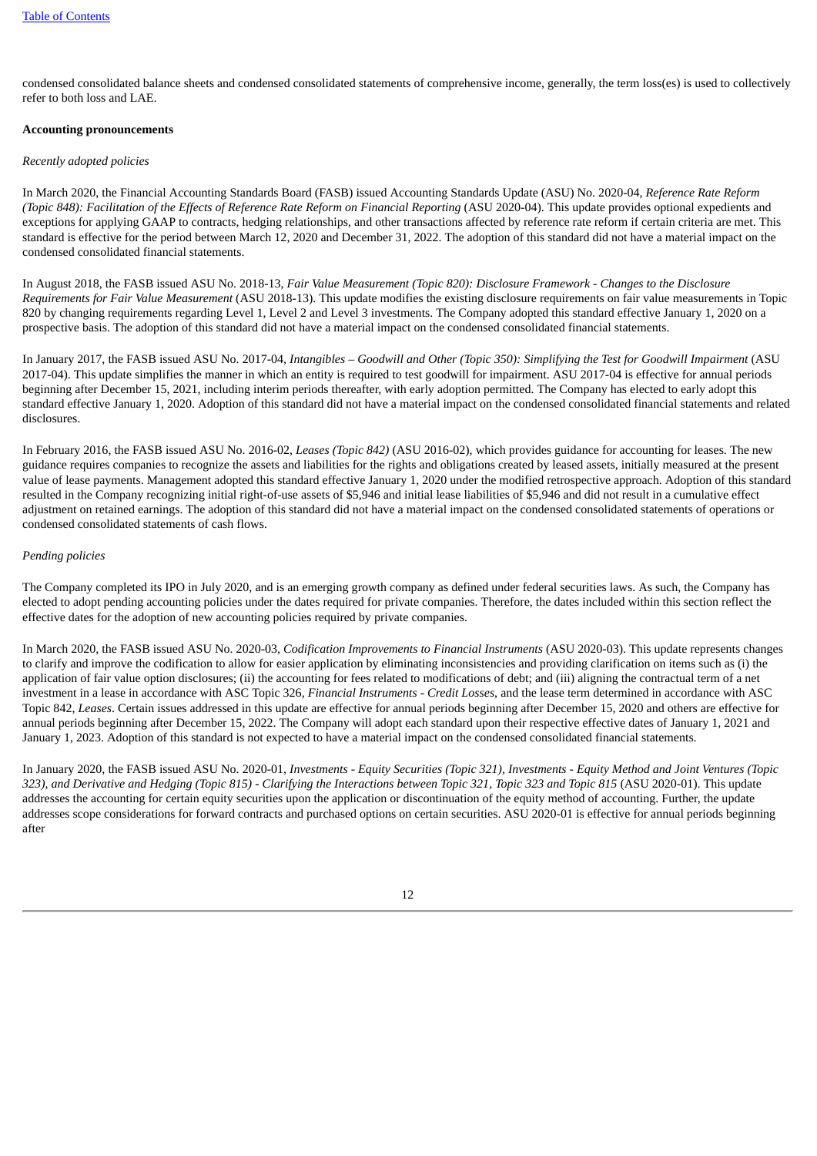condensed consolidated balance sheets and condensed consolidated statements of comprehensive income, generally, the term loss(es) is used to collectively refer to both loss and LAE.

#### **Accounting pronouncements**

### *Recently adopted policies*

In March 2020, the Financial Accounting Standards Board (FASB) issued Accounting Standards Update (ASU) No. 2020-04, *Reference Rate Reform* (Topic 848): Facilitation of the Effects of Reference Rate Reform on Financial Reporting (ASU 2020-04). This update provides optional expedients and exceptions for applying GAAP to contracts, hedging relationships, and other transactions affected by reference rate reform if certain criteria are met. This standard is effective for the period between March 12, 2020 and December 31, 2022. The adoption of this standard did not have a material impact on the condensed consolidated financial statements.

In August 2018, the FASB issued ASU No. 2018-13, *Fair Value Measurement (Topic 820): Disclosure Framework - Changes to the Disclosure Requirements for Fair Value Measurement* (ASU 2018-13). This update modifies the existing disclosure requirements on fair value measurements in Topic 820 by changing requirements regarding Level 1, Level 2 and Level 3 investments. The Company adopted this standard effective January 1, 2020 on a prospective basis. The adoption of this standard did not have a material impact on the condensed consolidated financial statements.

In January 2017, the FASB issued ASU No. 2017-04. Intangibles - Goodwill and Other (Topic 350): Simplifying the Test for Goodwill Impairment (ASU 2017-04). This update simplifies the manner in which an entity is required to test goodwill for impairment. ASU 2017-04 is effective for annual periods beginning after December 15, 2021, including interim periods thereafter, with early adoption permitted. The Company has elected to early adopt this standard effective January 1, 2020. Adoption of this standard did not have a material impact on the condensed consolidated financial statements and related disclosures.

In February 2016, the FASB issued ASU No. 2016‑02, *Leases (Topic 842)* (ASU 2016-02), which provides guidance for accounting for leases. The new guidance requires companies to recognize the assets and liabilities for the rights and obligations created by leased assets, initially measured at the present value of lease payments. Management adopted this standard effective January 1, 2020 under the modified retrospective approach. Adoption of this standard resulted in the Company recognizing initial right-of-use assets of \$5,946 and initial lease liabilities of \$5,946 and did not result in a cumulative effect adjustment on retained earnings. The adoption of this standard did not have a material impact on the condensed consolidated statements of operations or condensed consolidated statements of cash flows.

### *Pending policies*

The Company completed its IPO in July 2020, and is an emerging growth company as defined under federal securities laws. As such, the Company has elected to adopt pending accounting policies under the dates required for private companies. Therefore, the dates included within this section reflect the effective dates for the adoption of new accounting policies required by private companies.

In March 2020, the FASB issued ASU No. 2020-03, *Codification Improvements to Financial Instruments* (ASU 2020-03). This update represents changes to clarify and improve the codification to allow for easier application by eliminating inconsistencies and providing clarification on items such as (i) the application of fair value option disclosures; (ii) the accounting for fees related to modifications of debt; and (iii) aligning the contractual term of a net investment in a lease in accordance with ASC Topic 326, *Financial Instruments - Credit Losses*, and the lease term determined in accordance with ASC Topic 842, *Leases*. Certain issues addressed in this update are effective for annual periods beginning after December 15, 2020 and others are effective for annual periods beginning after December 15, 2022. The Company will adopt each standard upon their respective effective dates of January 1, 2021 and January 1, 2023. Adoption of this standard is not expected to have a material impact on the condensed consolidated financial statements.

In January 2020, the FASB issued ASU No. 2020-01, Investments - Equity Securities (Topic 321), Investments - Equity Method and Joint Ventures (Topic 323), and Derivative and Hedging (Topic 815) - Clarifying the Interactions between Topic 321, Topic 323 and Topic 815 (ASU 2020-01). This update addresses the accounting for certain equity securities upon the application or discontinuation of the equity method of accounting. Further, the update addresses scope considerations for forward contracts and purchased options on certain securities. ASU 2020-01 is effective for annual periods beginning after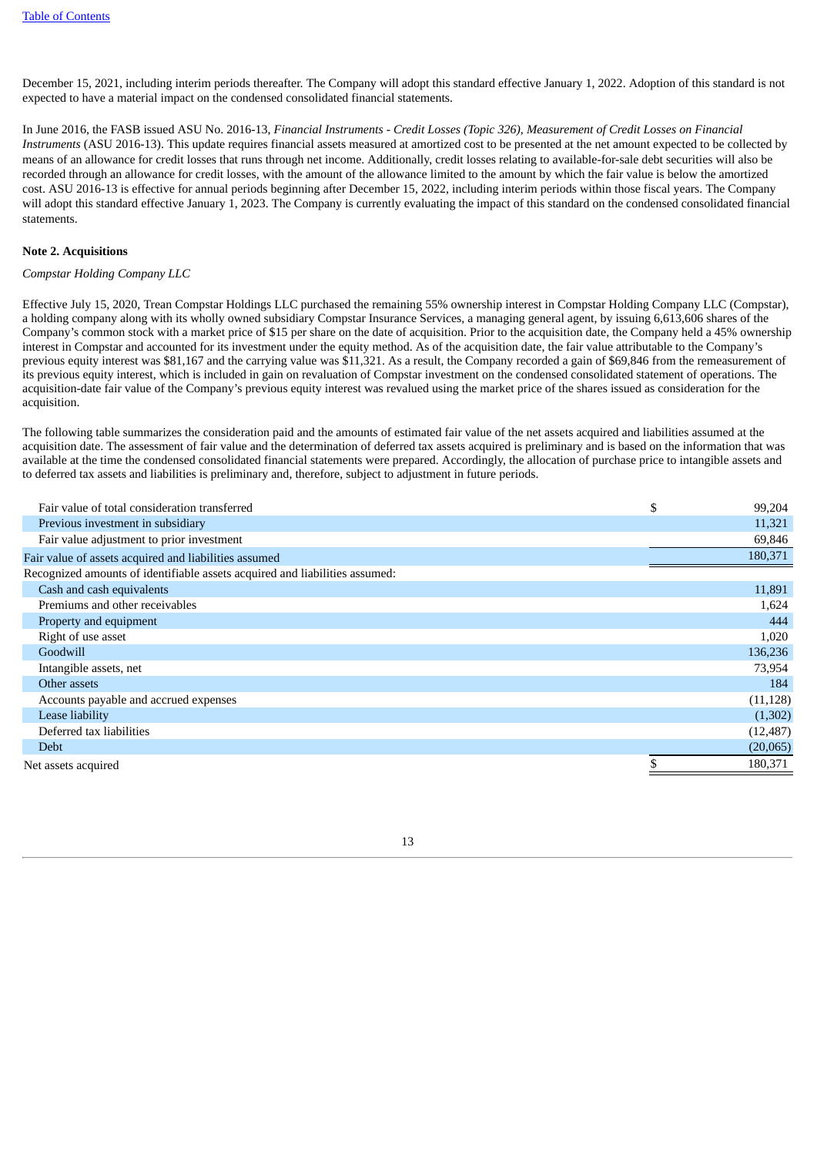December 15, 2021, including interim periods thereafter. The Company will adopt this standard effective January 1, 2022. Adoption of this standard is not expected to have a material impact on the condensed consolidated financial statements.

In June 2016, the FASB issued ASU No. 2016-13, Financial Instruments - Credit Losses (Topic 326), Measurement of Credit Losses on Financial *Instruments* (ASU 2016-13). This update requires financial assets measured at amortized cost to be presented at the net amount expected to be collected by means of an allowance for credit losses that runs through net income. Additionally, credit losses relating to available-for-sale debt securities will also be recorded through an allowance for credit losses, with the amount of the allowance limited to the amount by which the fair value is below the amortized cost. ASU 2016-13 is effective for annual periods beginning after December 15, 2022, including interim periods within those fiscal years. The Company will adopt this standard effective January 1, 2023. The Company is currently evaluating the impact of this standard on the condensed consolidated financial statements.

### **Note 2. Acquisitions**

#### *Compstar Holding Company LLC*

Effective July 15, 2020, Trean Compstar Holdings LLC purchased the remaining 55% ownership interest in Compstar Holding Company LLC (Compstar), a holding company along with its wholly owned subsidiary Compstar Insurance Services, a managing general agent, by issuing 6,613,606 shares of the Company's common stock with a market price of \$15 per share on the date of acquisition. Prior to the acquisition date, the Company held a 45% ownership interest in Compstar and accounted for its investment under the equity method. As of the acquisition date, the fair value attributable to the Company's previous equity interest was \$81,167 and the carrying value was \$11,321. As a result, the Company recorded a gain of \$69,846 from the remeasurement of its previous equity interest, which is included in gain on revaluation of Compstar investment on the condensed consolidated statement of operations. The acquisition-date fair value of the Company's previous equity interest was revalued using the market price of the shares issued as consideration for the acquisition.

The following table summarizes the consideration paid and the amounts of estimated fair value of the net assets acquired and liabilities assumed at the acquisition date. The assessment of fair value and the determination of deferred tax assets acquired is preliminary and is based on the information that was available at the time the condensed consolidated financial statements were prepared. Accordingly, the allocation of purchase price to intangible assets and to deferred tax assets and liabilities is preliminary and, therefore, subject to adjustment in future periods.

| \$<br>Fair value of total consideration transferred                         | 99,204    |
|-----------------------------------------------------------------------------|-----------|
| Previous investment in subsidiary                                           | 11,321    |
| Fair value adjustment to prior investment                                   | 69,846    |
| Fair value of assets acquired and liabilities assumed                       | 180,371   |
| Recognized amounts of identifiable assets acquired and liabilities assumed: |           |
| Cash and cash equivalents                                                   | 11,891    |
| Premiums and other receivables                                              | 1,624     |
| Property and equipment                                                      | 444       |
| Right of use asset                                                          | 1,020     |
| Goodwill                                                                    | 136,236   |
| Intangible assets, net                                                      | 73,954    |
| Other assets                                                                | 184       |
| Accounts payable and accrued expenses                                       | (11, 128) |
| Lease liability                                                             | (1,302)   |
| Deferred tax liabilities                                                    | (12, 487) |
| <b>Debt</b>                                                                 | (20,065)  |
| Net assets acquired                                                         | 180,371   |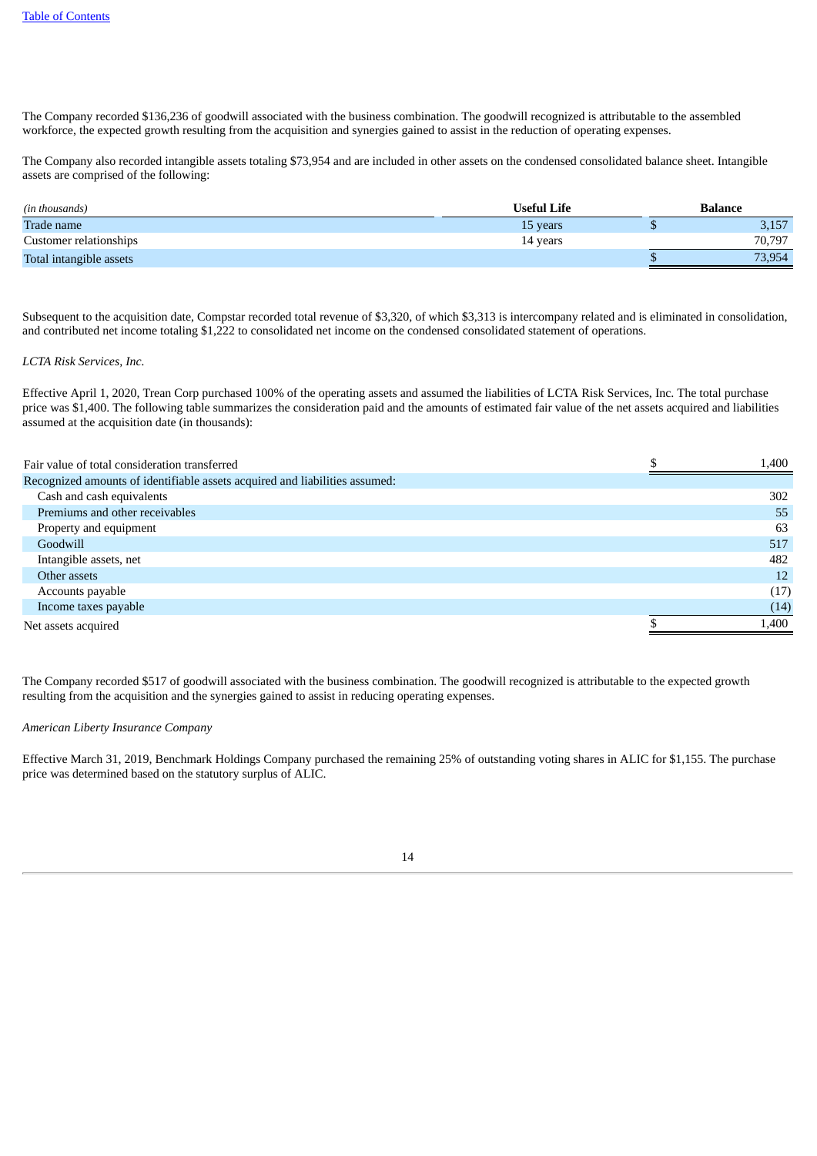The Company recorded \$136,236 of goodwill associated with the business combination. The goodwill recognized is attributable to the assembled workforce, the expected growth resulting from the acquisition and synergies gained to assist in the reduction of operating expenses.

The Company also recorded intangible assets totaling \$73,954 and are included in other assets on the condensed consolidated balance sheet. Intangible assets are comprised of the following:

| (in thousands)          | <b>Useful Life</b> | <b>Balance</b> |
|-------------------------|--------------------|----------------|
| Trade name              | 15 years           | 3,157          |
| Customer relationships  | 14 years           | 70.797         |
| Total intangible assets |                    | 73,954         |

Subsequent to the acquisition date, Compstar recorded total revenue of \$3,320, of which \$3,313 is intercompany related and is eliminated in consolidation, and contributed net income totaling \$1,222 to consolidated net income on the condensed consolidated statement of operations.

### *LCTA Risk Services, Inc.*

Effective April 1, 2020, Trean Corp purchased 100% of the operating assets and assumed the liabilities of LCTA Risk Services, Inc. The total purchase price was \$1,400. The following table summarizes the consideration paid and the amounts of estimated fair value of the net assets acquired and liabilities assumed at the acquisition date (in thousands):

| Fair value of total consideration transferred                               | 1,400 |
|-----------------------------------------------------------------------------|-------|
| Recognized amounts of identifiable assets acquired and liabilities assumed: |       |
| Cash and cash equivalents                                                   | 302   |
| Premiums and other receivables                                              | 55    |
| Property and equipment                                                      | 63    |
| Goodwill                                                                    | 517   |
| Intangible assets, net                                                      | 482   |
| Other assets                                                                | 12    |
| Accounts payable                                                            | (17)  |
| Income taxes payable                                                        | (14)  |
| Net assets acquired                                                         | 1,400 |

The Company recorded \$517 of goodwill associated with the business combination. The goodwill recognized is attributable to the expected growth resulting from the acquisition and the synergies gained to assist in reducing operating expenses.

#### *American Liberty Insurance Company*

Effective March 31, 2019, Benchmark Holdings Company purchased the remaining 25% of outstanding voting shares in ALIC for \$1,155. The purchase price was determined based on the statutory surplus of ALIC.

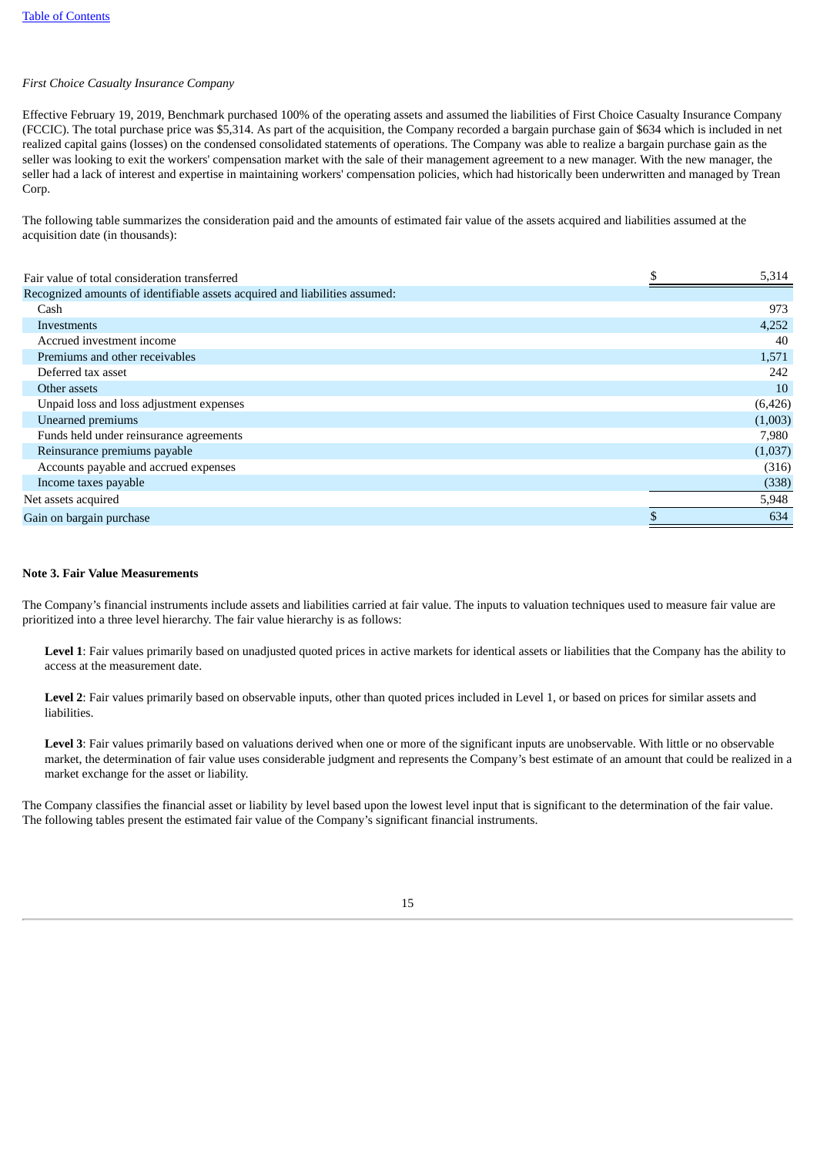# *First Choice Casualty Insurance Company*

Effective February 19, 2019, Benchmark purchased 100% of the operating assets and assumed the liabilities of First Choice Casualty Insurance Company (FCCIC). The total purchase price was \$5,314. As part of the acquisition, the Company recorded a bargain purchase gain of \$634 which is included in net realized capital gains (losses) on the condensed consolidated statements of operations. The Company was able to realize a bargain purchase gain as the seller was looking to exit the workers' compensation market with the sale of their management agreement to a new manager. With the new manager, the seller had a lack of interest and expertise in maintaining workers' compensation policies, which had historically been underwritten and managed by Trean Corp.

The following table summarizes the consideration paid and the amounts of estimated fair value of the assets acquired and liabilities assumed at the acquisition date (in thousands):

| Fair value of total consideration transferred                               | 5,314   |
|-----------------------------------------------------------------------------|---------|
| Recognized amounts of identifiable assets acquired and liabilities assumed: |         |
| Cash                                                                        | 973     |
| Investments                                                                 | 4,252   |
| Accrued investment income                                                   | 40      |
| Premiums and other receivables                                              | 1,571   |
| Deferred tax asset                                                          | 242     |
| Other assets                                                                | 10      |
| Unpaid loss and loss adjustment expenses                                    | (6,426) |
| Unearned premiums                                                           | (1,003) |
| Funds held under reinsurance agreements                                     | 7,980   |
| Reinsurance premiums payable                                                | (1,037) |
| Accounts payable and accrued expenses                                       | (316)   |
| Income taxes payable                                                        | (338)   |
| Net assets acquired                                                         | 5,948   |
| Gain on bargain purchase                                                    | 634     |

# **Note 3. Fair Value Measurements**

The Company's financial instruments include assets and liabilities carried at fair value. The inputs to valuation techniques used to measure fair value are prioritized into a three level hierarchy. The fair value hierarchy is as follows:

**Level 1**: Fair values primarily based on unadjusted quoted prices in active markets for identical assets or liabilities that the Company has the ability to access at the measurement date.

**Level 2**: Fair values primarily based on observable inputs, other than quoted prices included in Level 1, or based on prices for similar assets and liabilities.

**Level 3**: Fair values primarily based on valuations derived when one or more of the significant inputs are unobservable. With little or no observable market, the determination of fair value uses considerable judgment and represents the Company's best estimate of an amount that could be realized in a market exchange for the asset or liability.

The Company classifies the financial asset or liability by level based upon the lowest level input that is significant to the determination of the fair value. The following tables present the estimated fair value of the Company's significant financial instruments.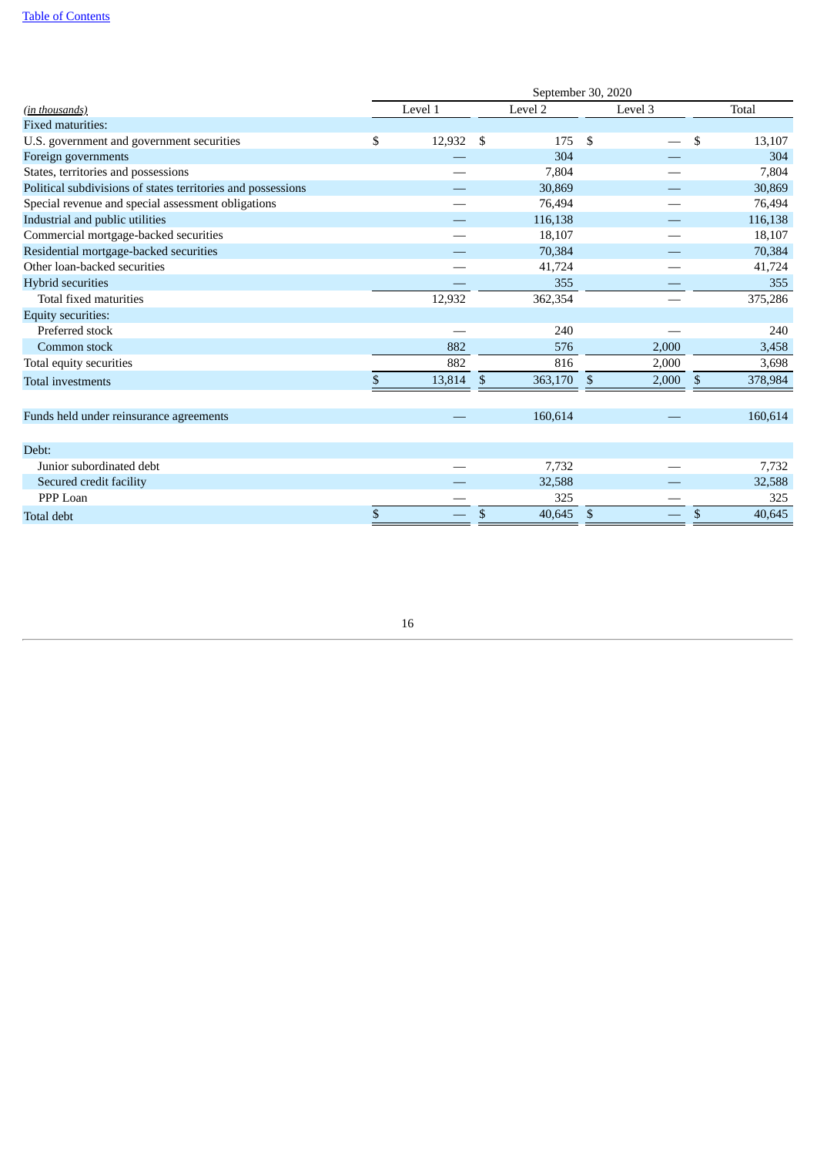|                                                              | September 30, 2020 |         |    |         |                |         |    |         |  |  |  |
|--------------------------------------------------------------|--------------------|---------|----|---------|----------------|---------|----|---------|--|--|--|
| (in thousands)                                               |                    | Level 1 |    | Level 2 |                | Level 3 |    | Total   |  |  |  |
| <b>Fixed maturities:</b>                                     |                    |         |    |         |                |         |    |         |  |  |  |
| U.S. government and government securities                    | \$                 | 12,932  | \$ | 175     | -\$            |         | \$ | 13,107  |  |  |  |
| Foreign governments                                          |                    |         |    | 304     |                |         |    | 304     |  |  |  |
| States, territories and possessions                          |                    |         |    | 7,804   |                |         |    | 7,804   |  |  |  |
| Political subdivisions of states territories and possessions |                    |         |    | 30,869  |                |         |    | 30,869  |  |  |  |
| Special revenue and special assessment obligations           |                    |         |    | 76,494  |                |         |    | 76,494  |  |  |  |
| Industrial and public utilities                              |                    |         |    | 116,138 |                |         |    | 116,138 |  |  |  |
| Commercial mortgage-backed securities                        |                    |         |    | 18,107  |                |         |    | 18,107  |  |  |  |
| Residential mortgage-backed securities                       |                    |         |    | 70,384  |                |         |    | 70,384  |  |  |  |
| Other loan-backed securities                                 |                    |         |    | 41,724  |                |         |    | 41,724  |  |  |  |
| <b>Hybrid securities</b>                                     |                    |         |    | 355     |                |         |    | 355     |  |  |  |
| Total fixed maturities                                       |                    | 12,932  |    | 362,354 |                |         |    | 375,286 |  |  |  |
| Equity securities:                                           |                    |         |    |         |                |         |    |         |  |  |  |
| Preferred stock                                              |                    |         |    | 240     |                |         |    | 240     |  |  |  |
| Common stock                                                 |                    | 882     |    | 576     |                | 2,000   |    | 3,458   |  |  |  |
| Total equity securities                                      |                    | 882     |    | 816     |                | 2,000   |    | 3,698   |  |  |  |
| <b>Total investments</b>                                     | \$                 | 13,814  | \$ | 363,170 | -\$            | 2,000   | \$ | 378,984 |  |  |  |
| Funds held under reinsurance agreements                      |                    |         |    | 160,614 |                |         |    | 160,614 |  |  |  |
| Debt:                                                        |                    |         |    |         |                |         |    |         |  |  |  |
| Junior subordinated debt                                     |                    |         |    | 7,732   |                |         |    | 7,732   |  |  |  |
| Secured credit facility                                      |                    |         |    | 32,588  |                |         |    | 32,588  |  |  |  |
| PPP Loan                                                     |                    |         |    | 325     |                |         |    | 325     |  |  |  |
| <b>Total debt</b>                                            | \$                 |         | \$ | 40,645  | $\mathfrak{s}$ |         | \$ | 40,645  |  |  |  |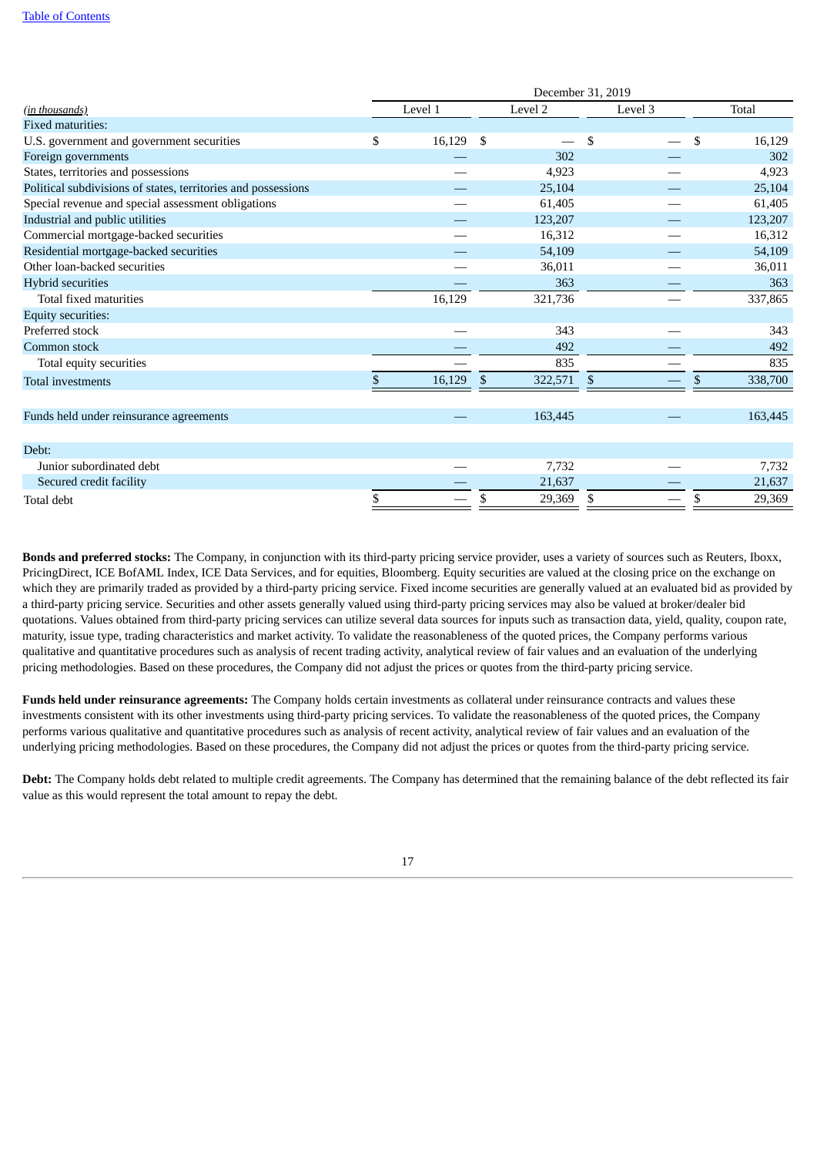|                                                               | December 31, 2019 |           |    |         |    |         |    |         |  |
|---------------------------------------------------------------|-------------------|-----------|----|---------|----|---------|----|---------|--|
| (in thousands)                                                |                   | Level 1   |    | Level 2 |    | Level 3 |    | Total   |  |
| <b>Fixed maturities:</b>                                      |                   |           |    |         |    |         |    |         |  |
| U.S. government and government securities                     | \$                | 16,129 \$ |    |         | \$ |         | \$ | 16,129  |  |
| Foreign governments                                           |                   |           |    | 302     |    |         |    | 302     |  |
| States, territories and possessions                           |                   |           |    | 4,923   |    |         |    | 4,923   |  |
| Political subdivisions of states, territories and possessions |                   |           |    | 25,104  |    |         |    | 25,104  |  |
| Special revenue and special assessment obligations            |                   |           |    | 61,405  |    |         |    | 61,405  |  |
| Industrial and public utilities                               |                   |           |    | 123,207 |    |         |    | 123,207 |  |
| Commercial mortgage-backed securities                         |                   |           |    | 16,312  |    |         |    | 16,312  |  |
| Residential mortgage-backed securities                        |                   |           |    | 54,109  |    |         |    | 54,109  |  |
| Other loan-backed securities                                  |                   |           |    | 36,011  |    |         |    | 36,011  |  |
| <b>Hybrid securities</b>                                      |                   |           |    | 363     |    |         |    | 363     |  |
| <b>Total fixed maturities</b>                                 |                   | 16,129    |    | 321,736 |    |         |    | 337,865 |  |
| <b>Equity securities:</b>                                     |                   |           |    |         |    |         |    |         |  |
| Preferred stock                                               |                   |           |    | 343     |    |         |    | 343     |  |
| Common stock                                                  |                   |           |    | 492     |    |         |    | 492     |  |
| Total equity securities                                       |                   |           |    | 835     |    |         |    | 835     |  |
| <b>Total investments</b>                                      | \$                | 16,129    | -S | 322,571 | \$ |         | \$ | 338,700 |  |
|                                                               |                   |           |    |         |    |         |    |         |  |
| Funds held under reinsurance agreements                       |                   |           |    | 163,445 |    |         |    | 163,445 |  |
|                                                               |                   |           |    |         |    |         |    |         |  |
| Debt:                                                         |                   |           |    |         |    |         |    |         |  |
| Junior subordinated debt                                      |                   |           |    | 7,732   |    |         |    | 7,732   |  |
| Secured credit facility                                       |                   |           |    | 21,637  |    |         |    | 21,637  |  |
| <b>Total debt</b>                                             | \$                |           |    | 29,369  | \$ |         | \$ | 29,369  |  |

**Bonds and preferred stocks:** The Company, in conjunction with its third-party pricing service provider, uses a variety of sources such as Reuters, Iboxx, PricingDirect, ICE BofAML Index, ICE Data Services, and for equities, Bloomberg. Equity securities are valued at the closing price on the exchange on which they are primarily traded as provided by a third-party pricing service. Fixed income securities are generally valued at an evaluated bid as provided by a third-party pricing service. Securities and other assets generally valued using third-party pricing services may also be valued at broker/dealer bid quotations. Values obtained from third-party pricing services can utilize several data sources for inputs such as transaction data, yield, quality, coupon rate, maturity, issue type, trading characteristics and market activity. To validate the reasonableness of the quoted prices, the Company performs various qualitative and quantitative procedures such as analysis of recent trading activity, analytical review of fair values and an evaluation of the underlying pricing methodologies. Based on these procedures, the Company did not adjust the prices or quotes from the third-party pricing service.

**Funds held under reinsurance agreements:** The Company holds certain investments as collateral under reinsurance contracts and values these investments consistent with its other investments using third-party pricing services. To validate the reasonableness of the quoted prices, the Company performs various qualitative and quantitative procedures such as analysis of recent activity, analytical review of fair values and an evaluation of the underlying pricing methodologies. Based on these procedures, the Company did not adjust the prices or quotes from the third-party pricing service.

**Debt:** The Company holds debt related to multiple credit agreements. The Company has determined that the remaining balance of the debt reflected its fair value as this would represent the total amount to repay the debt.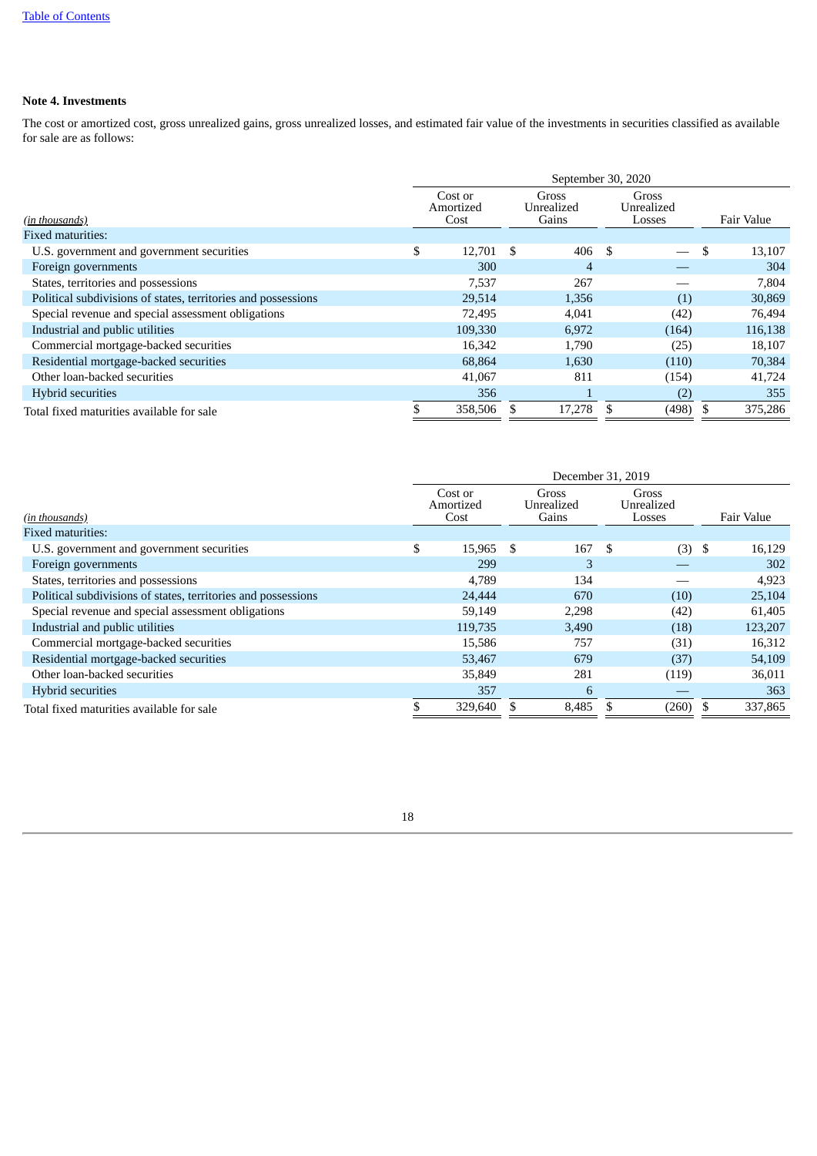# **Note 4. Investments**

The cost or amortized cost, gross unrealized gains, gross unrealized losses, and estimated fair value of the investments in securities classified as available for sale are as follows:

|                                                               | September 30, 2020 |                                                              |  |        |     |                               |     |            |  |
|---------------------------------------------------------------|--------------------|--------------------------------------------------------------|--|--------|-----|-------------------------------|-----|------------|--|
| (in thousands)                                                |                    | Cost or<br>Gross<br>Unrealized<br>Amortized<br>Gains<br>Cost |  |        |     | Gross<br>Unrealized<br>Losses |     | Fair Value |  |
| <b>Fixed maturities:</b>                                      |                    |                                                              |  |        |     |                               |     |            |  |
| U.S. government and government securities                     | \$                 | 12,701 \$                                                    |  | 406    | -\$ |                               | -\$ | 13,107     |  |
| Foreign governments                                           |                    | 300                                                          |  | 4      |     |                               |     | 304        |  |
| States, territories and possessions                           |                    | 7,537                                                        |  | 267    |     |                               |     | 7,804      |  |
| Political subdivisions of states, territories and possessions |                    | 29,514                                                       |  | 1,356  |     | (1)                           |     | 30,869     |  |
| Special revenue and special assessment obligations            |                    | 72,495                                                       |  | 4,041  |     | (42)                          |     | 76,494     |  |
| Industrial and public utilities                               |                    | 109,330                                                      |  | 6,972  |     | (164)                         |     | 116,138    |  |
| Commercial mortgage-backed securities                         |                    | 16,342                                                       |  | 1,790  |     | (25)                          |     | 18,107     |  |
| Residential mortgage-backed securities                        |                    | 68,864                                                       |  | 1,630  |     | (110)                         |     | 70,384     |  |
| Other loan-backed securities                                  |                    | 41,067                                                       |  | 811    |     | (154)                         |     | 41,724     |  |
| Hybrid securities                                             |                    | 356                                                          |  |        |     | (2)                           |     | 355        |  |
| Total fixed maturities available for sale                     |                    | 358,506                                                      |  | 17,278 |     | (498)                         |     | 375,286    |  |

|                                                               | December 31, 2019 |                              |  |                              |                               |       |      |            |  |
|---------------------------------------------------------------|-------------------|------------------------------|--|------------------------------|-------------------------------|-------|------|------------|--|
| (in thousands)                                                |                   | Cost or<br>Amortized<br>Cost |  | Gross<br>Unrealized<br>Gains | Gross<br>Unrealized<br>Losses |       |      | Fair Value |  |
| <b>Fixed maturities:</b>                                      |                   |                              |  |                              |                               |       |      |            |  |
| U.S. government and government securities                     | \$                | 15,965 \$                    |  | 167                          | \$                            | (3)   | - \$ | 16,129     |  |
| Foreign governments                                           |                   | 299                          |  | 3                            |                               |       |      | 302        |  |
| States, territories and possessions                           |                   | 4,789                        |  | 134                          |                               |       |      | 4,923      |  |
| Political subdivisions of states, territories and possessions |                   | 24,444                       |  | 670                          |                               | (10)  |      | 25,104     |  |
| Special revenue and special assessment obligations            |                   | 59,149                       |  | 2,298                        |                               | (42)  |      | 61,405     |  |
| Industrial and public utilities                               |                   | 119,735                      |  | 3,490                        |                               | (18)  |      | 123,207    |  |
| Commercial mortgage-backed securities                         |                   | 15,586                       |  | 757                          |                               | (31)  |      | 16,312     |  |
| Residential mortgage-backed securities                        |                   | 53,467                       |  | 679                          |                               | (37)  |      | 54,109     |  |
| Other loan-backed securities                                  |                   | 35,849                       |  | 281                          |                               | (119) |      | 36,011     |  |
| Hybrid securities                                             |                   | 357                          |  | 6                            |                               |       |      | 363        |  |
| Total fixed maturities available for sale                     |                   | 329,640                      |  | 8,485                        |                               | (260) |      | 337,865    |  |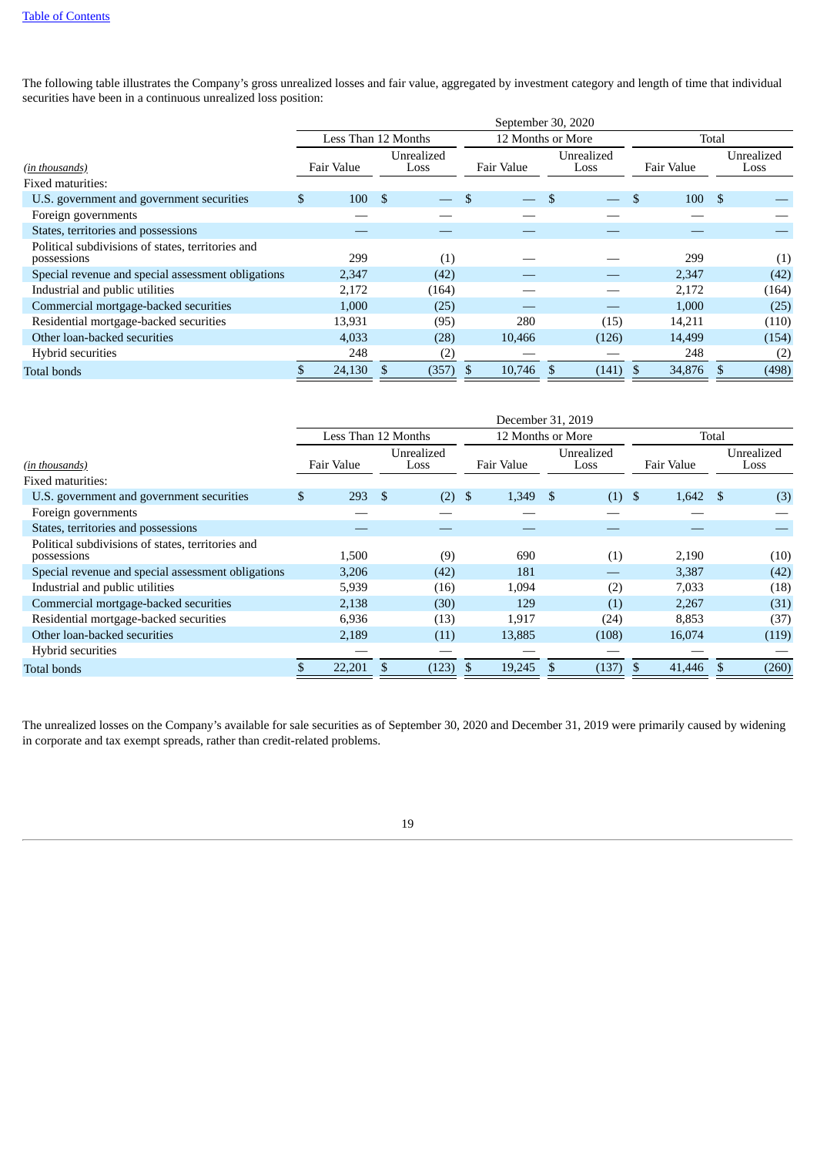The following table illustrates the Company's gross unrealized losses and fair value, aggregated by investment category and length of time that individual securities have been in a continuous unrealized loss position:

|                                                                  | September 30, 2020 |                     |        |                    |            |                    |  |  |  |  |
|------------------------------------------------------------------|--------------------|---------------------|--------|--------------------|------------|--------------------|--|--|--|--|
|                                                                  |                    | Less Than 12 Months |        | 12 Months or More  | Total      |                    |  |  |  |  |
| (in thousands)                                                   | Fair Value         | Unrealized<br>Loss  |        | Unrealized<br>Loss | Fair Value | Unrealized<br>Loss |  |  |  |  |
| <b>Fixed maturities:</b>                                         |                    |                     |        |                    |            |                    |  |  |  |  |
| U.S. government and government securities                        | \$<br>100          | -\$                 |        | \$                 | \$<br>100  | - \$               |  |  |  |  |
| Foreign governments                                              |                    |                     |        |                    |            |                    |  |  |  |  |
| States, territories and possessions                              |                    |                     |        |                    |            |                    |  |  |  |  |
| Political subdivisions of states, territories and<br>possessions | 299                | $\left( 1\right)$   |        |                    | 299        | (1)                |  |  |  |  |
| Special revenue and special assessment obligations               | 2,347              | (42)                |        |                    | 2,347      | (42)               |  |  |  |  |
| Industrial and public utilities                                  | 2,172              | (164)               |        |                    | 2,172      | (164)              |  |  |  |  |
| Commercial mortgage-backed securities                            | 1,000              | (25)                |        |                    | 1,000      | (25)               |  |  |  |  |
| Residential mortgage-backed securities                           | 13,931             | (95)                | 280    | (15)               | 14,211     | (110)              |  |  |  |  |
| Other loan-backed securities                                     | 4,033              | (28)                | 10,466 | (126)              | 14,499     | (154)              |  |  |  |  |
| Hybrid securities                                                | 248                | $\left( 2\right)$   |        |                    | 248        | (2)                |  |  |  |  |
| <b>Total bonds</b>                                               | 24,130             | (357)               | 10,746 | (141)              | 34,876     | (498)              |  |  |  |  |

|                                                                  | December 31, 2019 |                     |   |                    |                |                   |                    |       |            |            |      |                    |
|------------------------------------------------------------------|-------------------|---------------------|---|--------------------|----------------|-------------------|--------------------|-------|------------|------------|------|--------------------|
|                                                                  |                   | Less Than 12 Months |   |                    |                | 12 Months or More |                    |       | Total      |            |      |                    |
| (in thousands)                                                   |                   | Fair Value          |   | Unrealized<br>Loss |                | Fair Value        | Unrealized<br>Loss |       | Fair Value |            |      | Unrealized<br>Loss |
| <b>Fixed maturities:</b>                                         |                   |                     |   |                    |                |                   |                    |       |            |            |      |                    |
| U.S. government and government securities                        | \$                | 293                 | S | (2)                | $\mathfrak{S}$ | 1,349             | -S                 | (1)   | - \$       | $1,642$ \$ |      | (3)                |
| Foreign governments                                              |                   |                     |   |                    |                |                   |                    |       |            |            |      |                    |
| States, territories and possessions                              |                   |                     |   |                    |                |                   |                    |       |            |            |      |                    |
| Political subdivisions of states, territories and<br>possessions |                   | 1,500               |   | (9)                |                | 690               |                    | (1)   |            | 2,190      |      | (10)               |
| Special revenue and special assessment obligations               |                   | 3,206               |   | (42)               |                | 181               |                    |       |            | 3,387      |      | (42)               |
| Industrial and public utilities                                  |                   | 5,939               |   | (16)               |                | 1,094             |                    | (2)   |            | 7,033      |      | (18)               |
| Commercial mortgage-backed securities                            |                   | 2,138               |   | (30)               |                | 129               |                    | (1)   |            | 2,267      |      | (31)               |
| Residential mortgage-backed securities                           |                   | 6,936               |   | (13)               |                | 1,917             |                    | (24)  |            | 8,853      |      | (37)               |
| Other loan-backed securities                                     |                   | 2,189               |   | (11)               |                | 13,885            |                    | (108) |            | 16,074     |      | (119)              |
| Hybrid securities                                                |                   |                     |   |                    |                |                   |                    |       |            |            |      |                    |
| Total bonds                                                      |                   | 22,201              |   | (123)              | S              | 19,245            | \$.                | (137) | - \$       | 41,446     | - \$ | (260)              |

The unrealized losses on the Company's available for sale securities as of September 30, 2020 and December 31, 2019 were primarily caused by widening in corporate and tax exempt spreads, rather than credit-related problems.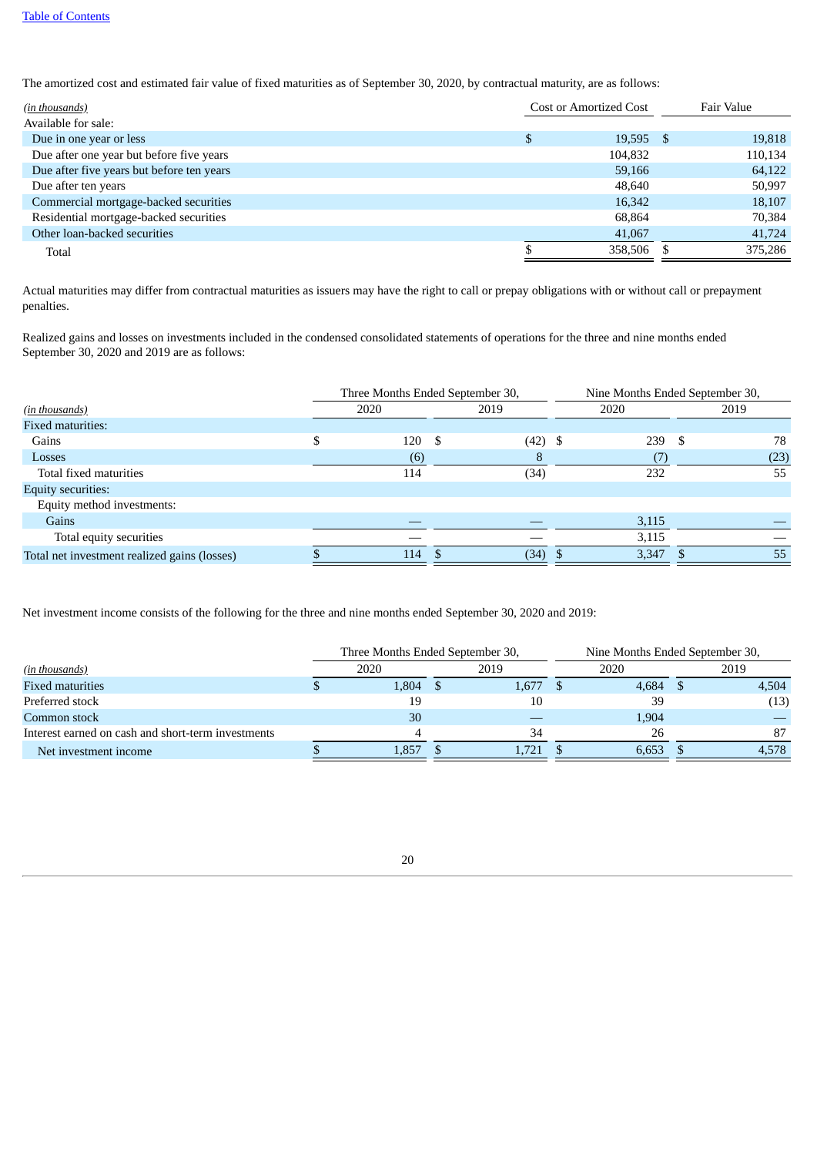The amortized cost and estimated fair value of fixed maturities as of September 30, 2020, by contractual maturity, are as follows:

| (in thousands)                            | <b>Cost or Amortized Cost</b> |     | Fair Value |
|-------------------------------------------|-------------------------------|-----|------------|
| Available for sale:                       |                               |     |            |
| Due in one year or less                   | 19,595                        | - S | 19,818     |
| Due after one year but before five years  | 104,832                       |     | 110,134    |
| Due after five years but before ten years | 59,166                        |     | 64,122     |
| Due after ten years                       | 48.640                        |     | 50,997     |
| Commercial mortgage-backed securities     | 16,342                        |     | 18,107     |
| Residential mortgage-backed securities    | 68,864                        |     | 70,384     |
| Other loan-backed securities              | 41,067                        |     | 41,724     |
| Total                                     | 358,506                       |     | 375,286    |

Actual maturities may differ from contractual maturities as issuers may have the right to call or prepay obligations with or without call or prepayment penalties.

Realized gains and losses on investments included in the condensed consolidated statements of operations for the three and nine months ended September 30, 2020 and 2019 are as follows:

|                                              |   | Three Months Ended September 30, |      |           | Nine Months Ended September 30, |      |      |  |  |
|----------------------------------------------|---|----------------------------------|------|-----------|---------------------------------|------|------|--|--|
| (in thousands)                               |   | 2020                             |      | 2019      | 2020                            |      | 2019 |  |  |
| <b>Fixed maturities:</b>                     |   |                                  |      |           |                                 |      |      |  |  |
| Gains                                        | ¢ | 120                              | - \$ | $(42)$ \$ | 239                             | - \$ | 78   |  |  |
| Losses                                       |   | (6)                              |      | 8         | (7)                             |      | (23) |  |  |
| Total fixed maturities                       |   | 114                              |      | (34)      | 232                             |      | 55   |  |  |
| Equity securities:                           |   |                                  |      |           |                                 |      |      |  |  |
| Equity method investments:                   |   |                                  |      |           |                                 |      |      |  |  |
| Gains                                        |   |                                  |      |           | 3,115                           |      |      |  |  |
| Total equity securities                      |   |                                  |      |           | 3,115                           |      |      |  |  |
| Total net investment realized gains (losses) |   | 114                              |      | (34)      | 3,347                           |      | 55   |  |  |

Net investment income consists of the following for the three and nine months ended September 30, 2020 and 2019:

|                                                    |      | Three Months Ended September 30, |  |       | Nine Months Ended September 30, |       |  |       |  |  |
|----------------------------------------------------|------|----------------------------------|--|-------|---------------------------------|-------|--|-------|--|--|
| (in thousands)                                     | 2020 |                                  |  | 2019  | 2020                            |       |  | 2019  |  |  |
| <b>Fixed maturities</b>                            |      | 1,804                            |  | 1.677 |                                 | 4,684 |  | 4,504 |  |  |
| Preferred stock                                    |      | 19                               |  | 10    |                                 | 39    |  | (13)  |  |  |
| Common stock                                       |      | 30                               |  |       |                                 | 1.904 |  |       |  |  |
| Interest earned on cash and short-term investments |      | $\overline{4}$                   |  | 34    |                                 | 26    |  | 87    |  |  |
| Net investment income                              |      | 1,857                            |  | 1.721 |                                 | 6.653 |  | 4.578 |  |  |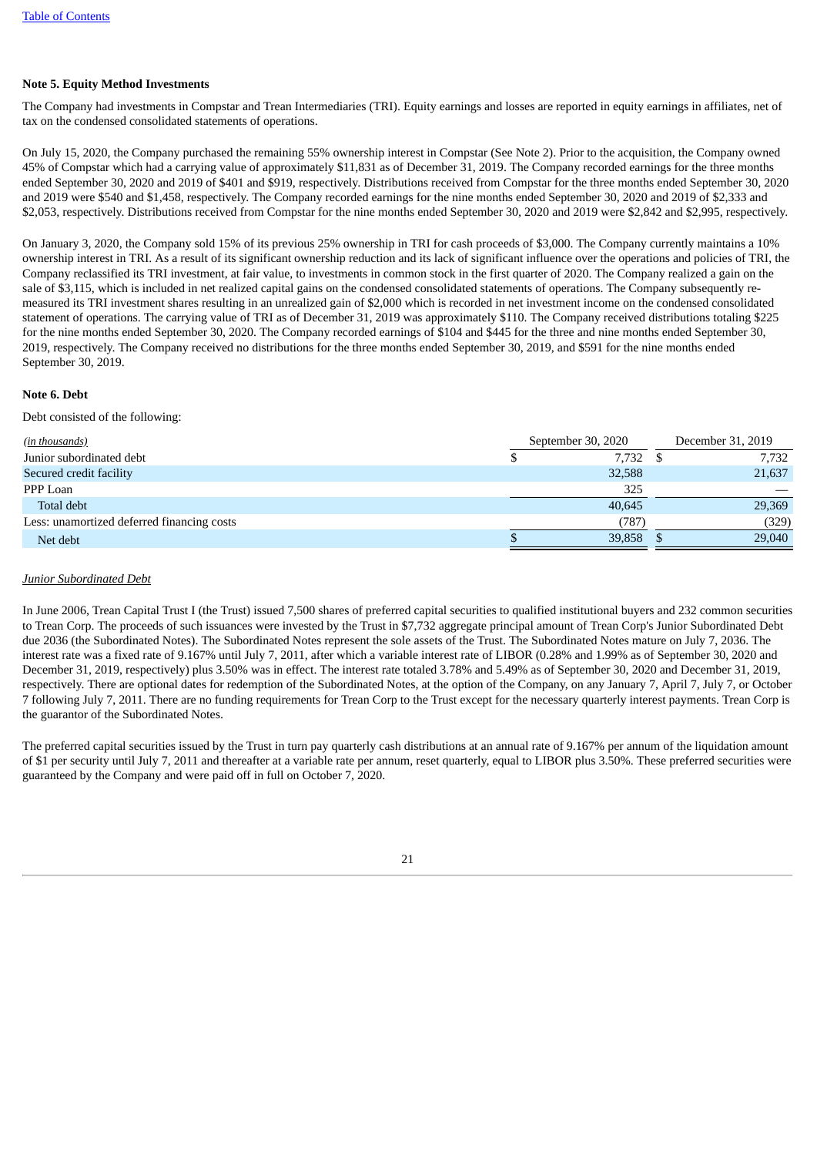### **Note 5. Equity Method Investments**

The Company had investments in Compstar and Trean Intermediaries (TRI). Equity earnings and losses are reported in equity earnings in affiliates, net of tax on the condensed consolidated statements of operations.

On July 15, 2020, the Company purchased the remaining 55% ownership interest in Compstar (See Note 2). Prior to the acquisition, the Company owned 45% of Compstar which had a carrying value of approximately \$11,831 as of December 31, 2019. The Company recorded earnings for the three months ended September 30, 2020 and 2019 of \$401 and \$919, respectively. Distributions received from Compstar for the three months ended September 30, 2020 and 2019 were \$540 and \$1,458, respectively. The Company recorded earnings for the nine months ended September 30, 2020 and 2019 of \$2,333 and \$2,053, respectively. Distributions received from Compstar for the nine months ended September 30, 2020 and 2019 were \$2,842 and \$2,995, respectively.

On January 3, 2020, the Company sold 15% of its previous 25% ownership in TRI for cash proceeds of \$3,000. The Company currently maintains a 10% ownership interest in TRI. As a result of its significant ownership reduction and its lack of significant influence over the operations and policies of TRI, the Company reclassified its TRI investment, at fair value, to investments in common stock in the first quarter of 2020. The Company realized a gain on the sale of \$3,115, which is included in net realized capital gains on the condensed consolidated statements of operations. The Company subsequently remeasured its TRI investment shares resulting in an unrealized gain of \$2,000 which is recorded in net investment income on the condensed consolidated statement of operations. The carrying value of TRI as of December 31, 2019 was approximately \$110. The Company received distributions totaling \$225 for the nine months ended September 30, 2020. The Company recorded earnings of \$104 and \$445 for the three and nine months ended September 30, 2019, respectively. The Company received no distributions for the three months ended September 30, 2019, and \$591 for the nine months ended September 30, 2019.

### **Note 6. Debt**

Debt consisted of the following:

| (in thousands)                             | September 30, 2020 |          |  | December 31, 2019 |
|--------------------------------------------|--------------------|----------|--|-------------------|
| Junior subordinated debt                   |                    | 7,732 \$ |  | 7,732             |
| Secured credit facility                    |                    | 32,588   |  | 21,637            |
| PPP Loan                                   |                    | 325      |  |                   |
| Total debt                                 |                    | 40,645   |  | 29,369            |
| Less: unamortized deferred financing costs |                    | (787)    |  | (329)             |
| Net debt                                   |                    | 39,858   |  | 29,040            |

#### *Junior Subordinated Debt*

In June 2006, Trean Capital Trust I (the Trust) issued 7,500 shares of preferred capital securities to qualified institutional buyers and 232 common securities to Trean Corp. The proceeds of such issuances were invested by the Trust in \$7,732 aggregate principal amount of Trean Corp's Junior Subordinated Debt due 2036 (the Subordinated Notes). The Subordinated Notes represent the sole assets of the Trust. The Subordinated Notes mature on July 7, 2036. The interest rate was a fixed rate of 9.167% until July 7, 2011, after which a variable interest rate of LIBOR (0.28% and 1.99% as of September 30, 2020 and December 31, 2019, respectively) plus 3.50% was in effect. The interest rate totaled 3.78% and 5.49% as of September 30, 2020 and December 31, 2019, respectively. There are optional dates for redemption of the Subordinated Notes, at the option of the Company, on any January 7, April 7, July 7, or October 7 following July 7, 2011. There are no funding requirements for Trean Corp to the Trust except for the necessary quarterly interest payments. Trean Corp is the guarantor of the Subordinated Notes.

The preferred capital securities issued by the Trust in turn pay quarterly cash distributions at an annual rate of 9.167% per annum of the liquidation amount of \$1 per security until July 7, 2011 and thereafter at a variable rate per annum, reset quarterly, equal to LIBOR plus 3.50%. These preferred securities were guaranteed by the Company and were paid off in full on October 7, 2020.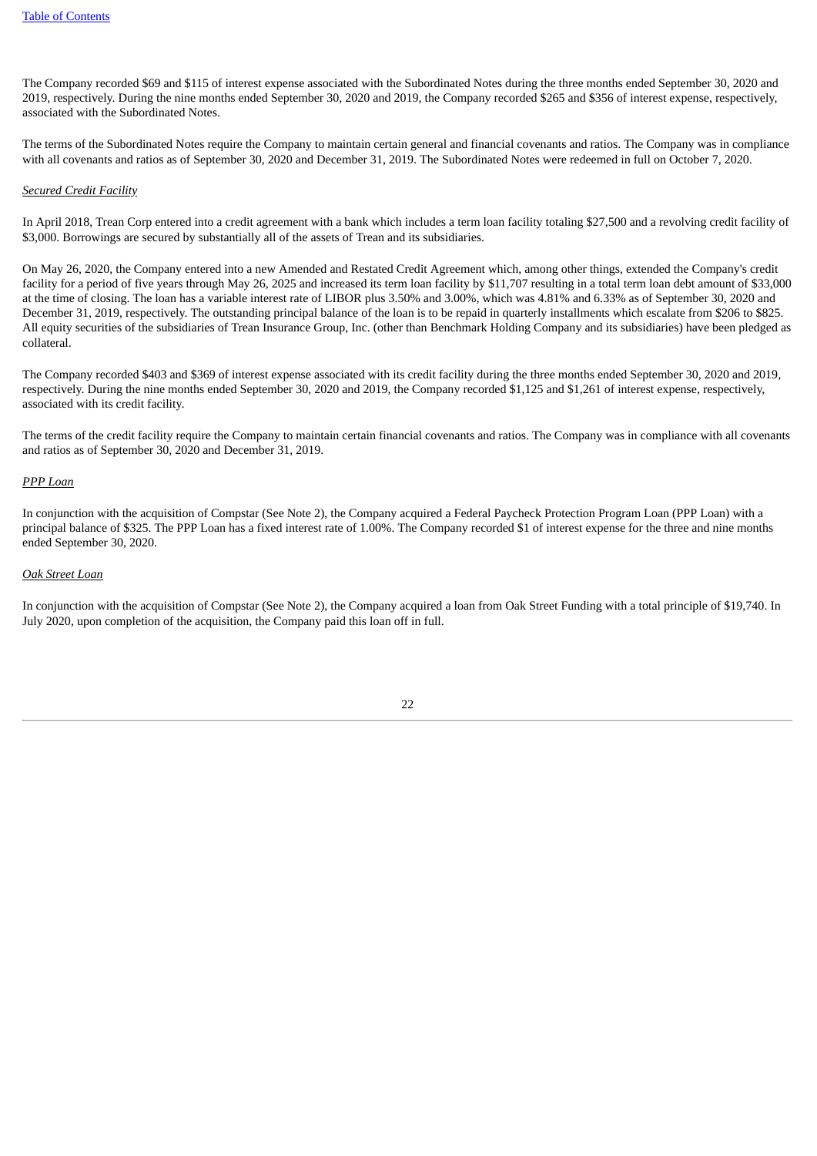The Company recorded \$69 and \$115 of interest expense associated with the Subordinated Notes during the three months ended September 30, 2020 and 2019, respectively. During the nine months ended September 30, 2020 and 2019, the Company recorded \$265 and \$356 of interest expense, respectively, associated with the Subordinated Notes.

The terms of the Subordinated Notes require the Company to maintain certain general and financial covenants and ratios. The Company was in compliance with all covenants and ratios as of September 30, 2020 and December 31, 2019. The Subordinated Notes were redeemed in full on October 7, 2020.

#### *Secured Credit Facility*

In April 2018, Trean Corp entered into a credit agreement with a bank which includes a term loan facility totaling \$27,500 and a revolving credit facility of \$3,000. Borrowings are secured by substantially all of the assets of Trean and its subsidiaries.

On May 26, 2020, the Company entered into a new Amended and Restated Credit Agreement which, among other things, extended the Company's credit facility for a period of five years through May 26, 2025 and increased its term loan facility by \$11,707 resulting in a total term loan debt amount of \$33,000 at the time of closing. The loan has a variable interest rate of LIBOR plus 3.50% and 3.00%, which was 4.81% and 6.33% as of September 30, 2020 and December 31, 2019, respectively. The outstanding principal balance of the loan is to be repaid in quarterly installments which escalate from \$206 to \$825. All equity securities of the subsidiaries of Trean Insurance Group, Inc. (other than Benchmark Holding Company and its subsidiaries) have been pledged as collateral.

The Company recorded \$403 and \$369 of interest expense associated with its credit facility during the three months ended September 30, 2020 and 2019, respectively. During the nine months ended September 30, 2020 and 2019, the Company recorded \$1,125 and \$1,261 of interest expense, respectively, associated with its credit facility.

The terms of the credit facility require the Company to maintain certain financial covenants and ratios. The Company was in compliance with all covenants and ratios as of September 30, 2020 and December 31, 2019.

#### *PPP Loan*

In conjunction with the acquisition of Compstar (See Note 2), the Company acquired a Federal Paycheck Protection Program Loan (PPP Loan) with a principal balance of \$325. The PPP Loan has a fixed interest rate of 1.00%. The Company recorded \$1 of interest expense for the three and nine months ended September 30, 2020.

#### *Oak Street Loan*

In conjunction with the acquisition of Compstar (See Note 2), the Company acquired a loan from Oak Street Funding with a total principle of \$19,740. In July 2020, upon completion of the acquisition, the Company paid this loan off in full.

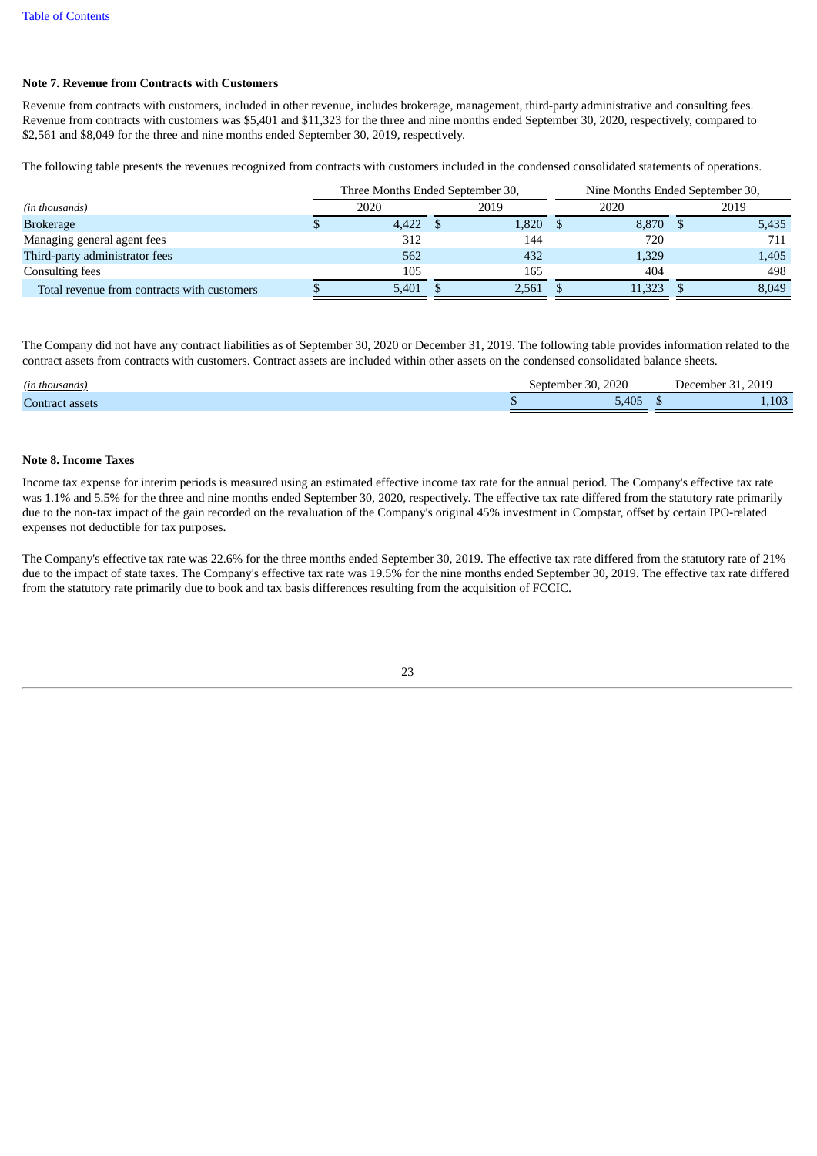# **Note 7. Revenue from Contracts with Customers**

Revenue from contracts with customers, included in other revenue, includes brokerage, management, third-party administrative and consulting fees. Revenue from contracts with customers was \$5,401 and \$11,323 for the three and nine months ended September 30, 2020, respectively, compared to \$2,561 and \$8,049 for the three and nine months ended September 30, 2019, respectively.

The following table presents the revenues recognized from contracts with customers included in the condensed consolidated statements of operations.

|                                             | Three Months Ended September 30, |       |          | Nine Months Ended September 30, |       |  |
|---------------------------------------------|----------------------------------|-------|----------|---------------------------------|-------|--|
| <u>(in thousands)</u>                       | 2020                             | 2019  | 2020     |                                 | 2019  |  |
| <b>Brokerage</b>                            | 4,422                            | 1.820 | 8.870 \$ |                                 | 5,435 |  |
| Managing general agent fees                 | 312                              | 144   | 720      |                                 | 711   |  |
| Third-party administrator fees              | 562                              | 432   | 1,329    |                                 | 1,405 |  |
| Consulting fees                             | 105                              | 165   | 404      |                                 | 498   |  |
| Total revenue from contracts with customers | 5.401                            | 2.561 | 11.323   |                                 | 8,049 |  |

The Company did not have any contract liabilities as of September 30, 2020 or December 31, 2019. The following table provides information related to the contract assets from contracts with customers. Contract assets are included within other assets on the condensed consolidated balance sheets.

| (in thousands)                   | 30<br>2020<br>enten.<br>nher. | <b>D</b><br>201<br>December  <br>40 L |
|----------------------------------|-------------------------------|---------------------------------------|
| $\sqrt{2}$<br>Contract<br>assets | AOF                           | 102<br>1,10J                          |

# **Note 8. Income Taxes**

Income tax expense for interim periods is measured using an estimated effective income tax rate for the annual period. The Company's effective tax rate was 1.1% and 5.5% for the three and nine months ended September 30, 2020, respectively. The effective tax rate differed from the statutory rate primarily due to the non-tax impact of the gain recorded on the revaluation of the Company's original 45% investment in Compstar, offset by certain IPO-related expenses not deductible for tax purposes.

The Company's effective tax rate was 22.6% for the three months ended September 30, 2019. The effective tax rate differed from the statutory rate of 21% due to the impact of state taxes. The Company's effective tax rate was 19.5% for the nine months ended September 30, 2019. The effective tax rate differed from the statutory rate primarily due to book and tax basis differences resulting from the acquisition of FCCIC.

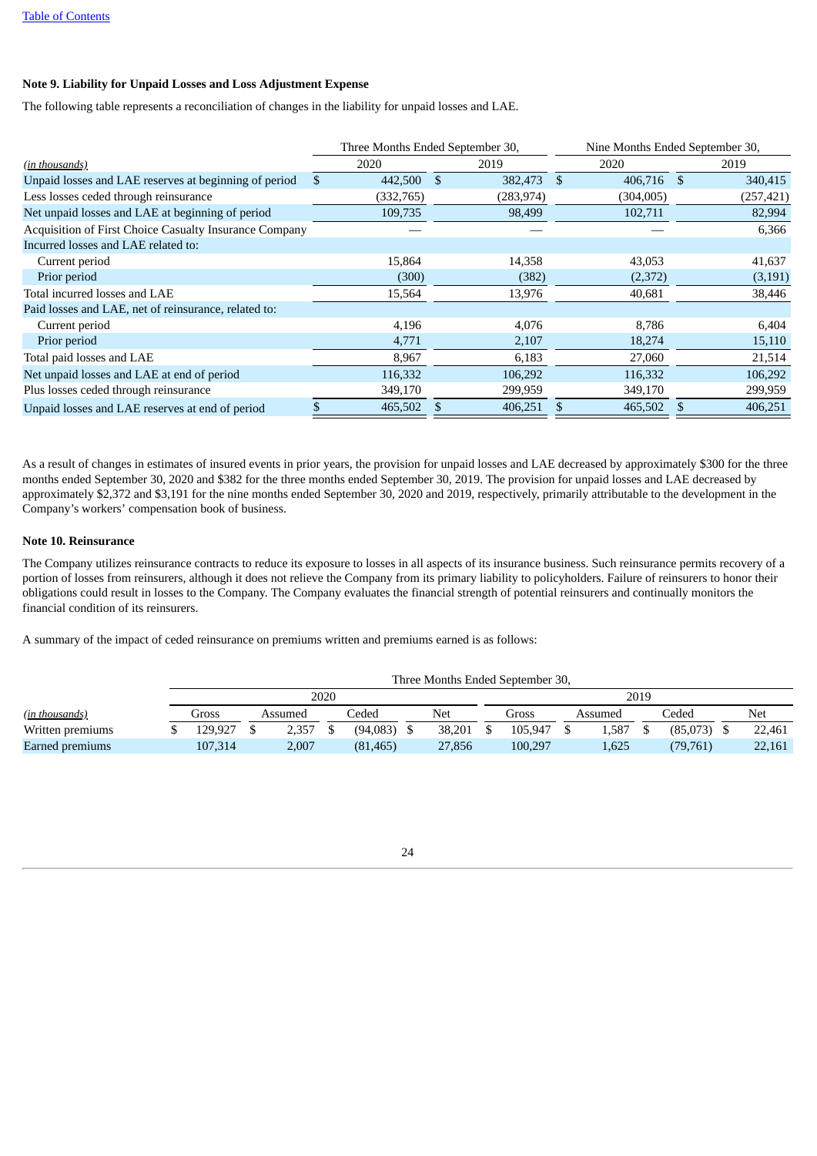## **Note 9. Liability for Unpaid Losses and Loss Adjustment Expense**

The following table represents a reconciliation of changes in the liability for unpaid losses and LAE.

|                                                        |      | Three Months Ended September 30, |    |           |      |            | Nine Months Ended September 30, |            |  |  |
|--------------------------------------------------------|------|----------------------------------|----|-----------|------|------------|---------------------------------|------------|--|--|
| (in thousands)                                         | 2020 |                                  |    | 2019      | 2020 |            |                                 | 2019       |  |  |
| Unpaid losses and LAE reserves at beginning of period  |      | 442,500                          | \$ | 382,473   | \$   | 406,716    | <sup>\$</sup>                   | 340,415    |  |  |
| Less losses ceded through reinsurance                  |      | (332,765)                        |    | (283,974) |      | (304, 005) |                                 | (257, 421) |  |  |
| Net unpaid losses and LAE at beginning of period       |      | 109,735                          |    | 98,499    |      | 102,711    |                                 | 82,994     |  |  |
| Acquisition of First Choice Casualty Insurance Company |      |                                  |    |           |      |            |                                 | 6,366      |  |  |
| Incurred losses and LAE related to:                    |      |                                  |    |           |      |            |                                 |            |  |  |
| Current period                                         |      | 15,864                           |    | 14,358    |      | 43,053     |                                 | 41,637     |  |  |
| Prior period                                           |      | (300)                            |    | (382)     |      | (2, 372)   |                                 | (3,191)    |  |  |
| Total incurred losses and LAE                          |      | 15,564                           |    | 13,976    |      | 40,681     |                                 | 38,446     |  |  |
| Paid losses and LAE, net of reinsurance, related to:   |      |                                  |    |           |      |            |                                 |            |  |  |
| Current period                                         |      | 4,196                            |    | 4,076     |      | 8,786      |                                 | 6,404      |  |  |
| Prior period                                           |      | 4,771                            |    | 2,107     |      | 18,274     |                                 | 15,110     |  |  |
| Total paid losses and LAE                              |      | 8,967                            |    | 6,183     |      | 27,060     |                                 | 21,514     |  |  |
| Net unpaid losses and LAE at end of period             |      | 116,332                          |    | 106,292   |      | 116,332    |                                 | 106,292    |  |  |
| Plus losses ceded through reinsurance                  |      | 349,170                          |    | 299,959   |      | 349,170    |                                 | 299,959    |  |  |
| Unpaid losses and LAE reserves at end of period        |      | 465,502                          |    | 406,251   |      | 465,502    |                                 | 406,251    |  |  |

As a result of changes in estimates of insured events in prior years, the provision for unpaid losses and LAE decreased by approximately \$300 for the three months ended September 30, 2020 and \$382 for the three months ended September 30, 2019. The provision for unpaid losses and LAE decreased by approximately \$2,372 and \$3,191 for the nine months ended September 30, 2020 and 2019, respectively, primarily attributable to the development in the Company's workers' compensation book of business.

### **Note 10. Reinsurance**

The Company utilizes reinsurance contracts to reduce its exposure to losses in all aspects of its insurance business. Such reinsurance permits recovery of a portion of losses from reinsurers, although it does not relieve the Company from its primary liability to policyholders. Failure of reinsurers to honor their obligations could result in losses to the Company. The Company evaluates the financial strength of potential reinsurers and continually monitors the financial condition of its reinsurers.

A summary of the impact of ceded reinsurance on premiums written and premiums earned is as follows:

| 2020 |         |  |       |         |              |  |        | 2019 |         |  |                                  |         |              |  |        |  |
|------|---------|--|-------|---------|--------------|--|--------|------|---------|--|----------------------------------|---------|--------------|--|--------|--|
|      | Gross   |  |       |         | <b>Ceded</b> |  | Net    |      | Gross   |  |                                  |         | <b>Ceded</b> |  | Net    |  |
|      | 129.927 |  | 2,357 |         | (94.083)     |  | 38,201 |      | 105.947 |  | 1,587                            |         | (85,073)     |  | 22,461 |  |
|      | 107,314 |  | 2,007 |         | (81, 465)    |  | 27,856 |      | 100,297 |  | 1,625                            |         | (79,761)     |  | 22,161 |  |
|      |         |  |       | Assumed |              |  |        |      |         |  | Three Months Ended September 30, | Assumed |              |  |        |  |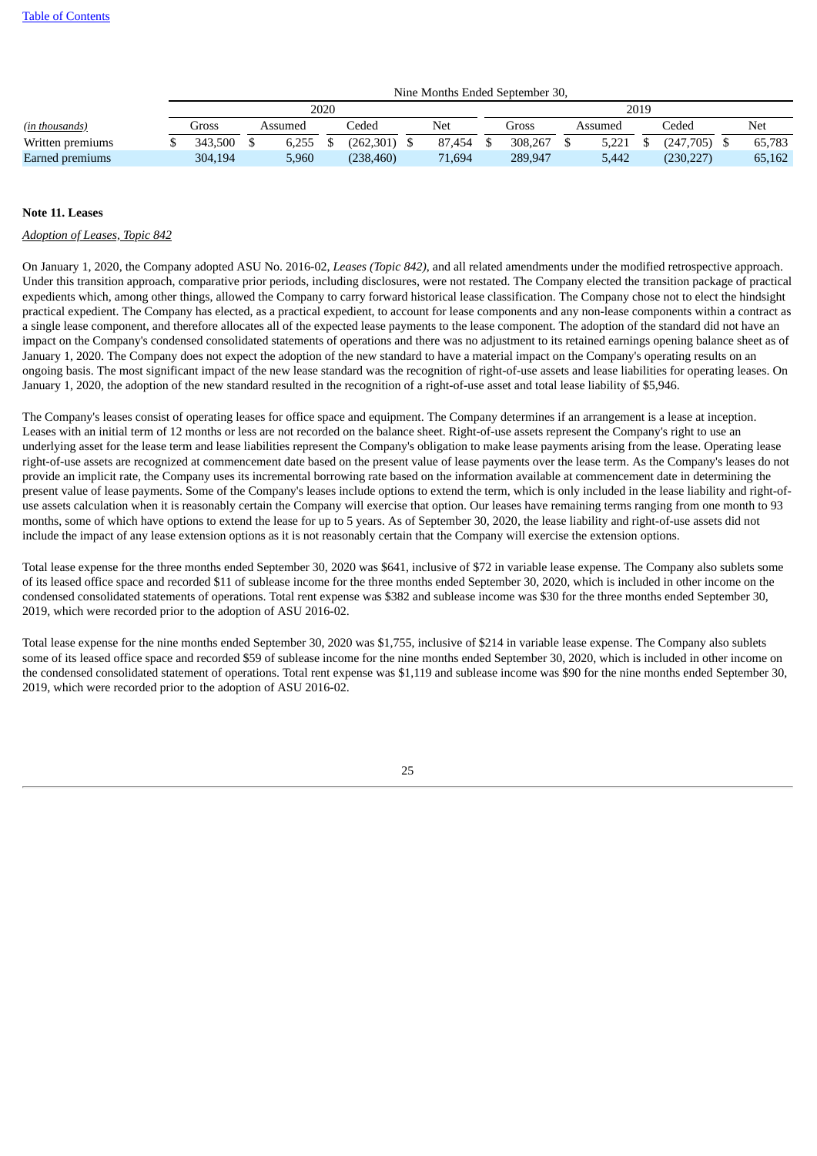|                  |         |         |      |            |        | Nine Months Ended September 30, |         |      |              |        |
|------------------|---------|---------|------|------------|--------|---------------------------------|---------|------|--------------|--------|
|                  |         |         | 2020 |            |        |                                 |         | 2019 |              |        |
| (in thousands)   | Gross   | Assumed |      | Ceded      | Net    | Gross                           | Assumed |      | <b>Ceded</b> | Net    |
| Written premiums | 343,500 | 6,255   |      | (262, 301) | 87.454 | 308,267                         | 5.221   |      | (247,705)    | 65,783 |
| Earned premiums  | 304,194 | 5,960   |      | (238, 460) | 71,694 | 289,947                         | 5.442   |      | (230, 227)   | 65,162 |

### **Note 11. Leases**

### *Adoption of Leases, Topic 842*

On January 1, 2020, the Company adopted ASU No. 2016-02, *Leases (Topic 842)*, and all related amendments under the modified retrospective approach. Under this transition approach, comparative prior periods, including disclosures, were not restated. The Company elected the transition package of practical expedients which, among other things, allowed the Company to carry forward historical lease classification. The Company chose not to elect the hindsight practical expedient. The Company has elected, as a practical expedient, to account for lease components and any non-lease components within a contract as a single lease component, and therefore allocates all of the expected lease payments to the lease component. The adoption of the standard did not have an impact on the Company's condensed consolidated statements of operations and there was no adjustment to its retained earnings opening balance sheet as of January 1, 2020. The Company does not expect the adoption of the new standard to have a material impact on the Company's operating results on an ongoing basis. The most significant impact of the new lease standard was the recognition of right-of-use assets and lease liabilities for operating leases. On January 1, 2020, the adoption of the new standard resulted in the recognition of a right-of-use asset and total lease liability of \$5,946.

The Company's leases consist of operating leases for office space and equipment. The Company determines if an arrangement is a lease at inception. Leases with an initial term of 12 months or less are not recorded on the balance sheet. Right-of-use assets represent the Company's right to use an underlying asset for the lease term and lease liabilities represent the Company's obligation to make lease payments arising from the lease. Operating lease right-of-use assets are recognized at commencement date based on the present value of lease payments over the lease term. As the Company's leases do not provide an implicit rate, the Company uses its incremental borrowing rate based on the information available at commencement date in determining the present value of lease payments. Some of the Company's leases include options to extend the term, which is only included in the lease liability and right-ofuse assets calculation when it is reasonably certain the Company will exercise that option. Our leases have remaining terms ranging from one month to 93 months, some of which have options to extend the lease for up to 5 years. As of September 30, 2020, the lease liability and right-of-use assets did not include the impact of any lease extension options as it is not reasonably certain that the Company will exercise the extension options.

Total lease expense for the three months ended September 30, 2020 was \$641, inclusive of \$72 in variable lease expense. The Company also sublets some of its leased office space and recorded \$11 of sublease income for the three months ended September 30, 2020, which is included in other income on the condensed consolidated statements of operations. Total rent expense was \$382 and sublease income was \$30 for the three months ended September 30, 2019, which were recorded prior to the adoption of ASU 2016-02.

Total lease expense for the nine months ended September 30, 2020 was \$1,755, inclusive of \$214 in variable lease expense. The Company also sublets some of its leased office space and recorded \$59 of sublease income for the nine months ended September 30, 2020, which is included in other income on the condensed consolidated statement of operations. Total rent expense was \$1,119 and sublease income was \$90 for the nine months ended September 30, 2019, which were recorded prior to the adoption of ASU 2016-02.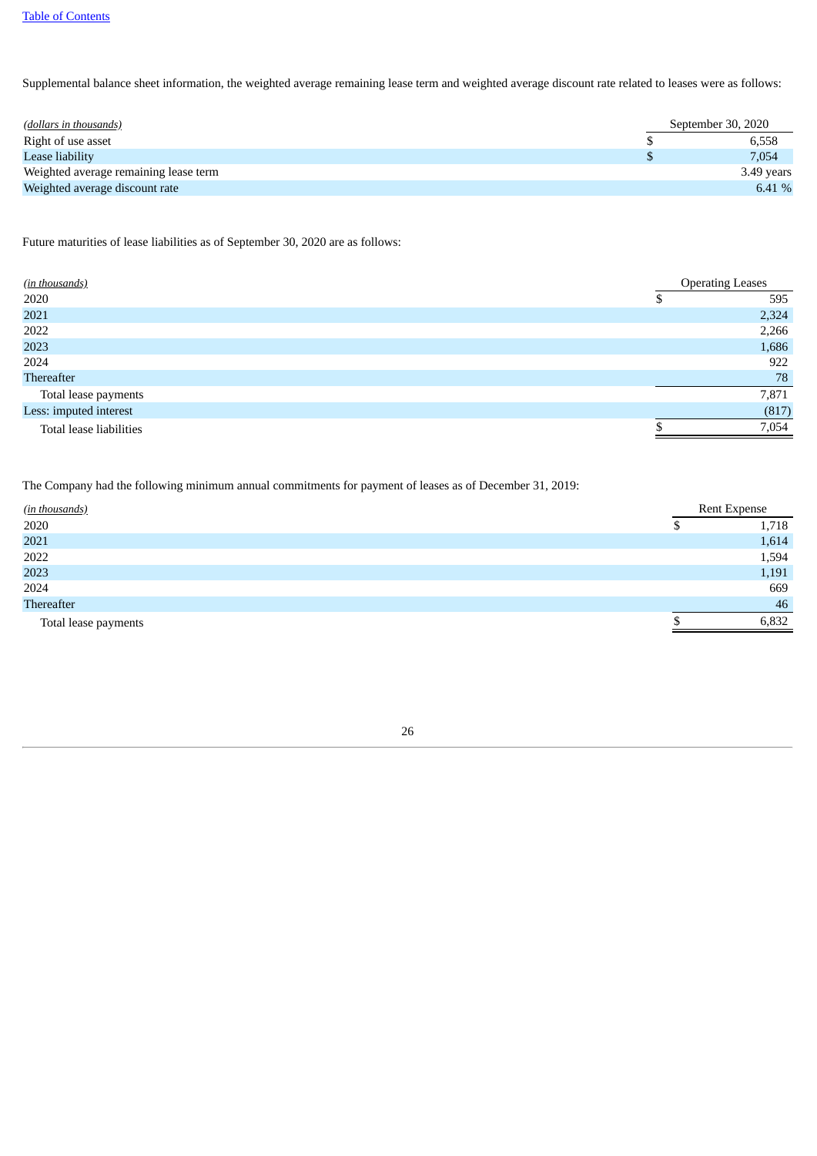Supplemental balance sheet information, the weighted average remaining lease term and weighted average discount rate related to leases were as follows:

| (dollars in thousands)                | September 30, 2020 |
|---------------------------------------|--------------------|
| Right of use asset                    | 6,558              |
| Lease liability                       | 7,054              |
| Weighted average remaining lease term | 3.49 years         |
| Weighted average discount rate        | 6.41 %             |

Future maturities of lease liabilities as of September 30, 2020 are as follows:

| (in thousands)          | <b>Operating Leases</b> |
|-------------------------|-------------------------|
| 2020                    | 595                     |
| 2021                    | 2,324                   |
| 2022                    | 2,266                   |
| 2023                    | 1,686                   |
| 2024                    | 922                     |
| Thereafter              | 78                      |
| Total lease payments    | 7,871                   |
| Less: imputed interest  | (817)                   |
| Total lease liabilities | 7,054                   |

The Company had the following minimum annual commitments for payment of leases as of December 31, 2019:

| (in thousands)       | <b>Rent Expense</b> |
|----------------------|---------------------|
| 2020                 | 1,718               |
| 2021                 | 1,614               |
| 2022                 | 1,594               |
| 2023                 | 1,191               |
| 2024                 | 669                 |
| Thereafter           | 46                  |
| Total lease payments | 6,832               |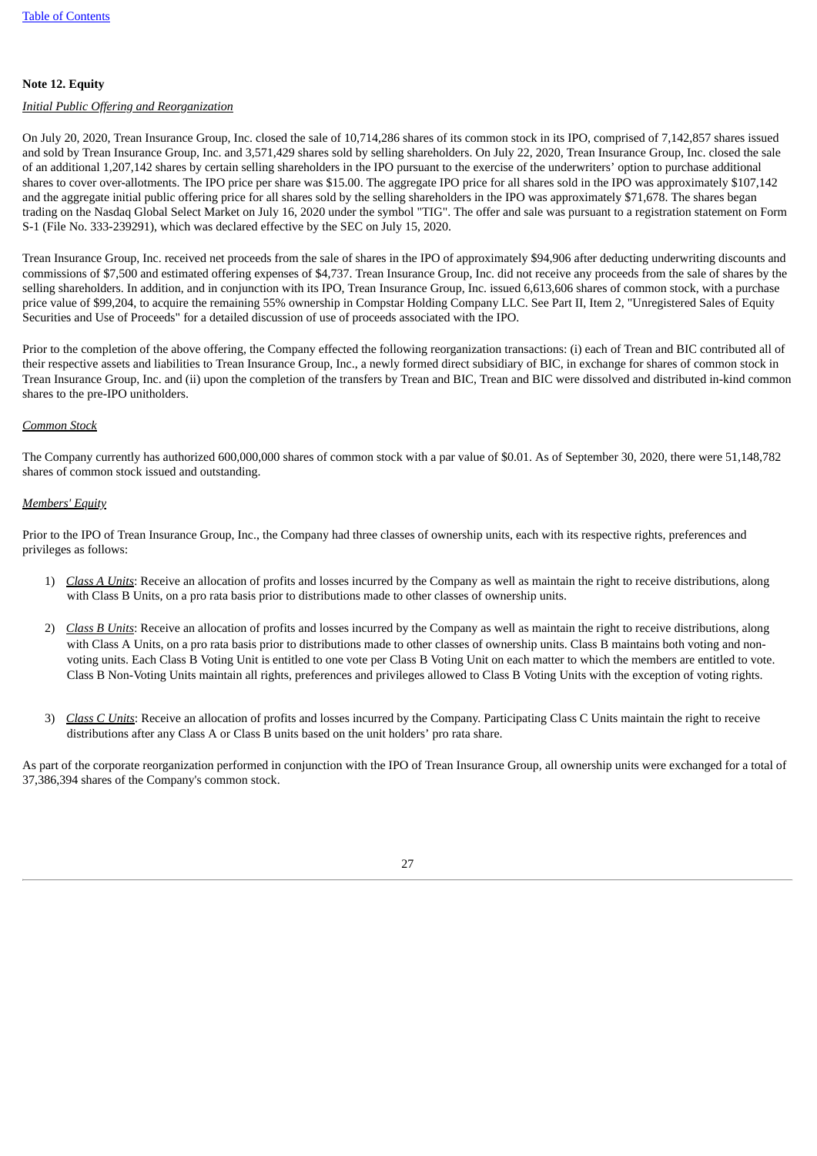### **Note 12. Equity**

### *Initial Public Offering and Reorganization*

On July 20, 2020, Trean Insurance Group, Inc. closed the sale of 10,714,286 shares of its common stock in its IPO, comprised of 7,142,857 shares issued and sold by Trean Insurance Group, Inc. and 3,571,429 shares sold by selling shareholders. On July 22, 2020, Trean Insurance Group, Inc. closed the sale of an additional 1,207,142 shares by certain selling shareholders in the IPO pursuant to the exercise of the underwriters' option to purchase additional shares to cover over-allotments. The IPO price per share was \$15.00. The aggregate IPO price for all shares sold in the IPO was approximately \$107,142 and the aggregate initial public offering price for all shares sold by the selling shareholders in the IPO was approximately \$71,678. The shares began trading on the Nasdaq Global Select Market on July 16, 2020 under the symbol "TIG". The offer and sale was pursuant to a registration statement on Form S-1 (File No. 333-239291), which was declared effective by the SEC on July 15, 2020.

Trean Insurance Group, Inc. received net proceeds from the sale of shares in the IPO of approximately \$94,906 after deducting underwriting discounts and commissions of \$7,500 and estimated offering expenses of \$4,737. Trean Insurance Group, Inc. did not receive any proceeds from the sale of shares by the selling shareholders. In addition, and in conjunction with its IPO, Trean Insurance Group, Inc. issued 6,613,606 shares of common stock, with a purchase price value of \$99,204, to acquire the remaining 55% ownership in Compstar Holding Company LLC. See Part II, Item 2, "Unregistered Sales of Equity Securities and Use of Proceeds" for a detailed discussion of use of proceeds associated with the IPO.

Prior to the completion of the above offering, the Company effected the following reorganization transactions: (i) each of Trean and BIC contributed all of their respective assets and liabilities to Trean Insurance Group, Inc., a newly formed direct subsidiary of BIC, in exchange for shares of common stock in Trean Insurance Group, Inc. and (ii) upon the completion of the transfers by Trean and BIC, Trean and BIC were dissolved and distributed in-kind common shares to the pre-IPO unitholders.

### *Common Stock*

The Company currently has authorized 600,000,000 shares of common stock with a par value of \$0.01. As of September 30, 2020, there were 51,148,782 shares of common stock issued and outstanding.

### *Members' Equity*

Prior to the IPO of Trean Insurance Group, Inc., the Company had three classes of ownership units, each with its respective rights, preferences and privileges as follows:

- 1) *Class A Units*: Receive an allocation of profits and losses incurred by the Company as well as maintain the right to receive distributions, along with Class B Units, on a pro rata basis prior to distributions made to other classes of ownership units.
- 2) *Class B Units*: Receive an allocation of profits and losses incurred by the Company as well as maintain the right to receive distributions, along with Class A Units, on a pro rata basis prior to distributions made to other classes of ownership units. Class B maintains both voting and nonvoting units. Each Class B Voting Unit is entitled to one vote per Class B Voting Unit on each matter to which the members are entitled to vote. Class B Non-Voting Units maintain all rights, preferences and privileges allowed to Class B Voting Units with the exception of voting rights.
- 3) *Class C Units*: Receive an allocation of profits and losses incurred by the Company. Participating Class C Units maintain the right to receive distributions after any Class A or Class B units based on the unit holders' pro rata share.

As part of the corporate reorganization performed in conjunction with the IPO of Trean Insurance Group, all ownership units were exchanged for a total of 37,386,394 shares of the Company's common stock.

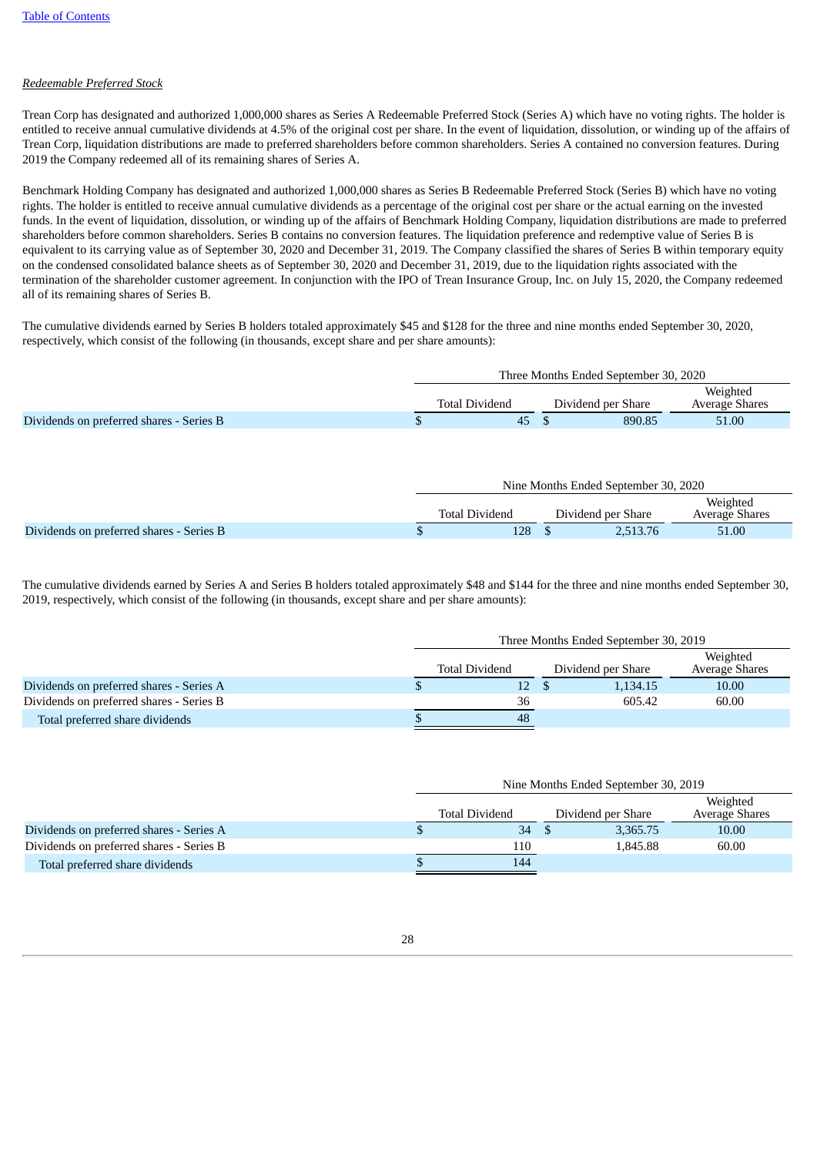### *Redeemable Preferred Stock*

Trean Corp has designated and authorized 1,000,000 shares as Series A Redeemable Preferred Stock (Series A) which have no voting rights. The holder is entitled to receive annual cumulative dividends at 4.5% of the original cost per share. In the event of liquidation, dissolution, or winding up of the affairs of Trean Corp, liquidation distributions are made to preferred shareholders before common shareholders. Series A contained no conversion features. During 2019 the Company redeemed all of its remaining shares of Series A.

Benchmark Holding Company has designated and authorized 1,000,000 shares as Series B Redeemable Preferred Stock (Series B) which have no voting rights. The holder is entitled to receive annual cumulative dividends as a percentage of the original cost per share or the actual earning on the invested funds. In the event of liquidation, dissolution, or winding up of the affairs of Benchmark Holding Company, liquidation distributions are made to preferred shareholders before common shareholders. Series B contains no conversion features. The liquidation preference and redemptive value of Series B is equivalent to its carrying value as of September 30, 2020 and December 31, 2019. The Company classified the shares of Series B within temporary equity on the condensed consolidated balance sheets as of September 30, 2020 and December 31, 2019, due to the liquidation rights associated with the termination of the shareholder customer agreement. In conjunction with the IPO of Trean Insurance Group, Inc. on July 15, 2020, the Company redeemed all of its remaining shares of Series B.

The cumulative dividends earned by Series B holders totaled approximately \$45 and \$128 for the three and nine months ended September 30, 2020, respectively, which consist of the following (in thousands, except share and per share amounts):

|                                          | Three Months Ended September 30, 2020 |                    |                            |  |  |  |  |  |
|------------------------------------------|---------------------------------------|--------------------|----------------------------|--|--|--|--|--|
|                                          | <b>Total Dividend</b>                 | Dividend per Share | Weighted<br>Average Shares |  |  |  |  |  |
| Dividends on preferred shares - Series B | $45 \quad$ \$                         | 890.85             | 51.00                      |  |  |  |  |  |
|                                          |                                       |                    |                            |  |  |  |  |  |
|                                          |                                       |                    |                            |  |  |  |  |  |
|                                          |                                       |                    |                            |  |  |  |  |  |
|                                          | Nine Months Ended September 30, 2020  |                    |                            |  |  |  |  |  |

|                                          | <b>Total Dividend</b> |  | Dividend per Share | Weighted<br><b>Average Shares</b> |  |  |
|------------------------------------------|-----------------------|--|--------------------|-----------------------------------|--|--|
| Dividends on preferred shares - Series B | 128                   |  | 2.513.76           | 51.00                             |  |  |

The cumulative dividends earned by Series A and Series B holders totaled approximately \$48 and \$144 for the three and nine months ended September 30, 2019, respectively, which consist of the following (in thousands, except share and per share amounts):

|                                          | Three Months Ended September 30, 2019 |                       |  |                    |                                   |       |  |  |  |
|------------------------------------------|---------------------------------------|-----------------------|--|--------------------|-----------------------------------|-------|--|--|--|
|                                          |                                       | <b>Total Dividend</b> |  | Dividend per Share | Weighted<br><b>Average Shares</b> |       |  |  |  |
| Dividends on preferred shares - Series A |                                       |                       |  | 1,134.15           |                                   | 10.00 |  |  |  |
| Dividends on preferred shares - Series B |                                       | 36                    |  | 605.42             |                                   | 60.00 |  |  |  |
| Total preferred share dividends          |                                       | 48                    |  |                    |                                   |       |  |  |  |

|                                          |                       | Nine Months Ended September 30, 2019 |                            |  |
|------------------------------------------|-----------------------|--------------------------------------|----------------------------|--|
|                                          | <b>Total Dividend</b> | Dividend per Share                   | Weighted<br>Average Shares |  |
| Dividends on preferred shares - Series A | 34                    | 3,365.75                             | 10.00                      |  |
| Dividends on preferred shares - Series B | 110                   | 1.845.88                             | 60.00                      |  |
| Total preferred share dividends          | 144                   |                                      |                            |  |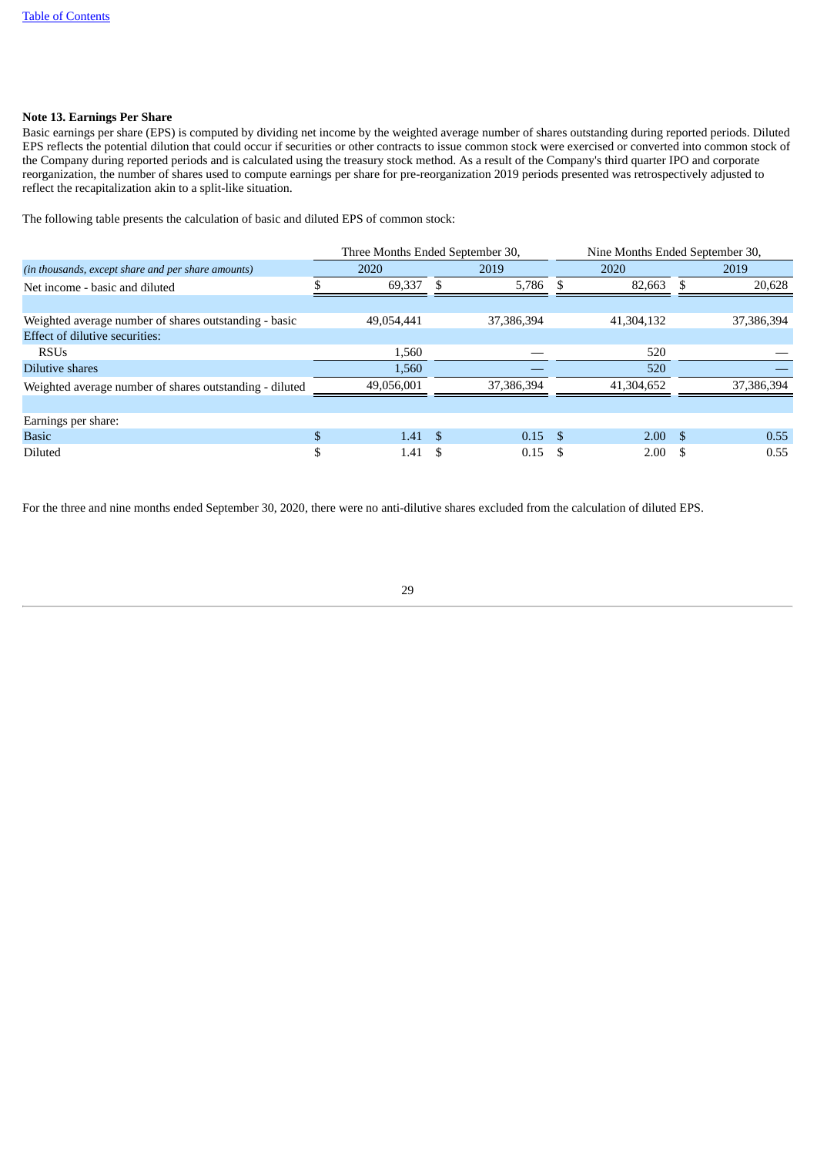## **Note 13. Earnings Per Share**

Basic earnings per share (EPS) is computed by dividing net income by the weighted average number of shares outstanding during reported periods. Diluted EPS reflects the potential dilution that could occur if securities or other contracts to issue common stock were exercised or converted into common stock of the Company during reported periods and is calculated using the treasury stock method. As a result of the Company's third quarter IPO and corporate reorganization, the number of shares used to compute earnings per share for pre-reorganization 2019 periods presented was retrospectively adjusted to reflect the recapitalization akin to a split-like situation.

The following table presents the calculation of basic and diluted EPS of common stock:

|                                                         |     | Three Months Ended September 30, |      |                 | Nine Months Ended September 30, |  |            |  |
|---------------------------------------------------------|-----|----------------------------------|------|-----------------|---------------------------------|--|------------|--|
| (in thousands, except share and per share amounts)      |     | 2020                             |      | 2019            | 2020                            |  | 2019       |  |
| Net income - basic and diluted                          |     | 69.337                           |      | 5.786           | 82.663                          |  | 20,628     |  |
|                                                         |     |                                  |      |                 |                                 |  |            |  |
| Weighted average number of shares outstanding - basic   |     | 49,054,441                       |      | 37,386,394      | 41,304,132                      |  | 37,386,394 |  |
| Effect of dilutive securities:                          |     |                                  |      |                 |                                 |  |            |  |
| <b>RSUs</b>                                             |     | 1,560                            |      |                 | 520                             |  |            |  |
| Dilutive shares                                         |     | 1,560                            |      |                 | 520                             |  |            |  |
| Weighted average number of shares outstanding - diluted |     | 49.056.001                       |      | 37,386,394      | 41,304,652                      |  | 37,386,394 |  |
|                                                         |     |                                  |      |                 |                                 |  |            |  |
| Earnings per share:                                     |     |                                  |      |                 |                                 |  |            |  |
| <b>Basic</b>                                            | \$. | 1.41                             | - \$ | $0.15 \quad$ \$ | $2.00 \quad$ \$                 |  | 0.55       |  |
| Diluted                                                 | \$  | 1.41                             | .S   | $0.15 \quad$ \$ | 2.00                            |  | 0.55       |  |

For the three and nine months ended September 30, 2020, there were no anti-dilutive shares excluded from the calculation of diluted EPS.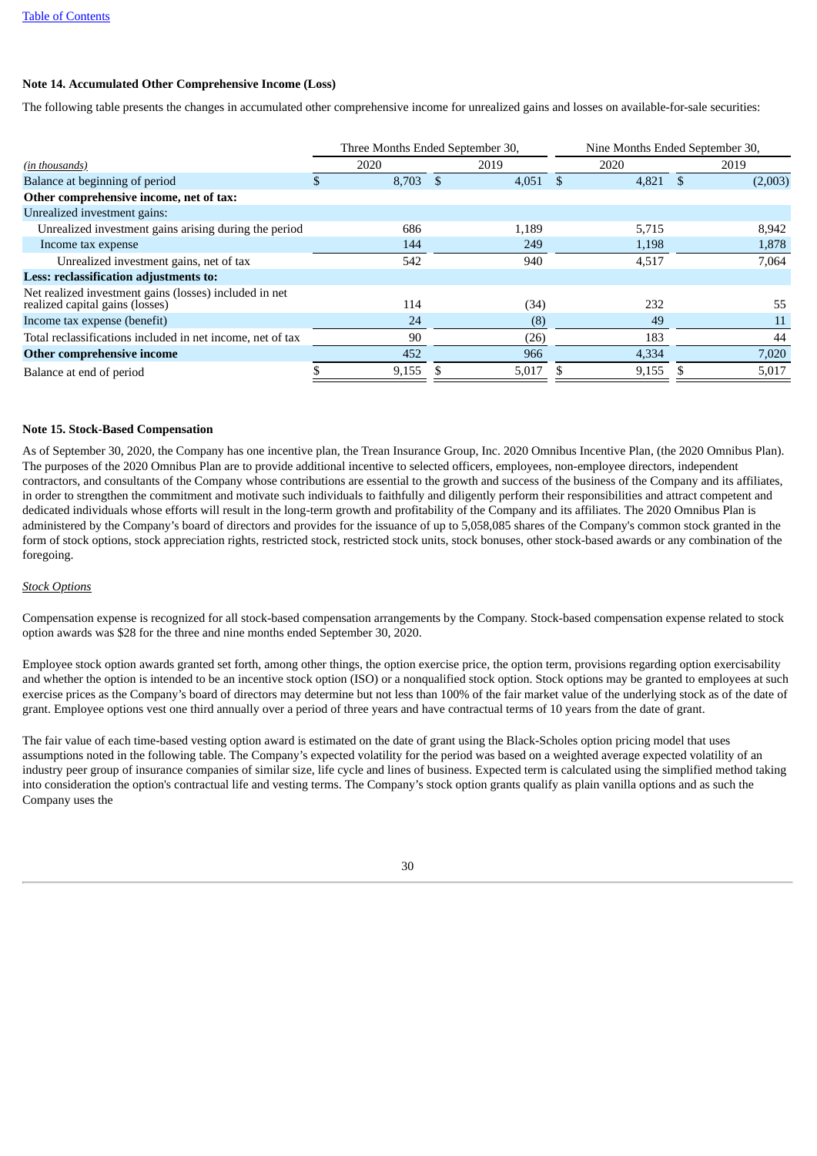# **Note 14. Accumulated Other Comprehensive Income (Loss)**

The following table presents the changes in accumulated other comprehensive income for unrealized gains and losses on available-for-sale securities:

|                                                                                           | Three Months Ended September 30, |       | Nine Months Ended September 30, |         |  |
|-------------------------------------------------------------------------------------------|----------------------------------|-------|---------------------------------|---------|--|
| (in thousands)                                                                            | 2020                             | 2019  | 2020                            | 2019    |  |
| Balance at beginning of period                                                            | 8.703                            | 4.051 | 4,821                           | (2,003) |  |
| Other comprehensive income, net of tax:                                                   |                                  |       |                                 |         |  |
| Unrealized investment gains:                                                              |                                  |       |                                 |         |  |
| Unrealized investment gains arising during the period                                     | 686                              | 1,189 | 5,715                           | 8,942   |  |
| Income tax expense                                                                        | 144                              | 249   | 1,198                           | 1,878   |  |
| Unrealized investment gains, net of tax                                                   | 542                              | 940   | 4,517                           | 7,064   |  |
| Less: reclassification adjustments to:                                                    |                                  |       |                                 |         |  |
| Net realized investment gains (losses) included in net<br>realized capital gains (losses) | 114                              | (34)  | 232                             | 55      |  |
| Income tax expense (benefit)                                                              | 24                               | (8)   | 49                              | 11      |  |
| Total reclassifications included in net income, net of tax                                | 90                               | (26)  | 183                             | 44      |  |
| Other comprehensive income                                                                | 452                              | 966   | 4,334                           | 7,020   |  |
| Balance at end of period                                                                  | 9,155                            | 5,017 | 9,155                           | 5,017   |  |
|                                                                                           |                                  |       |                                 |         |  |

# **Note 15. Stock-Based Compensation**

As of September 30, 2020, the Company has one incentive plan, the Trean Insurance Group, Inc. 2020 Omnibus Incentive Plan, (the 2020 Omnibus Plan). The purposes of the 2020 Omnibus Plan are to provide additional incentive to selected officers, employees, non-employee directors, independent contractors, and consultants of the Company whose contributions are essential to the growth and success of the business of the Company and its affiliates, in order to strengthen the commitment and motivate such individuals to faithfully and diligently perform their responsibilities and attract competent and dedicated individuals whose efforts will result in the long-term growth and profitability of the Company and its affiliates. The 2020 Omnibus Plan is administered by the Company's board of directors and provides for the issuance of up to 5,058,085 shares of the Company's common stock granted in the form of stock options, stock appreciation rights, restricted stock, restricted stock units, stock bonuses, other stock-based awards or any combination of the foregoing.

### *Stock Options*

Compensation expense is recognized for all stock-based compensation arrangements by the Company. Stock-based compensation expense related to stock option awards was \$28 for the three and nine months ended September 30, 2020.

Employee stock option awards granted set forth, among other things, the option exercise price, the option term, provisions regarding option exercisability and whether the option is intended to be an incentive stock option (ISO) or a nonqualified stock option. Stock options may be granted to employees at such exercise prices as the Company's board of directors may determine but not less than 100% of the fair market value of the underlying stock as of the date of grant. Employee options vest one third annually over a period of three years and have contractual terms of 10 years from the date of grant.

The fair value of each time-based vesting option award is estimated on the date of grant using the Black-Scholes option pricing model that uses assumptions noted in the following table. The Company's expected volatility for the period was based on a weighted average expected volatility of an industry peer group of insurance companies of similar size, life cycle and lines of business. Expected term is calculated using the simplified method taking into consideration the option's contractual life and vesting terms. The Company's stock option grants qualify as plain vanilla options and as such the Company uses the

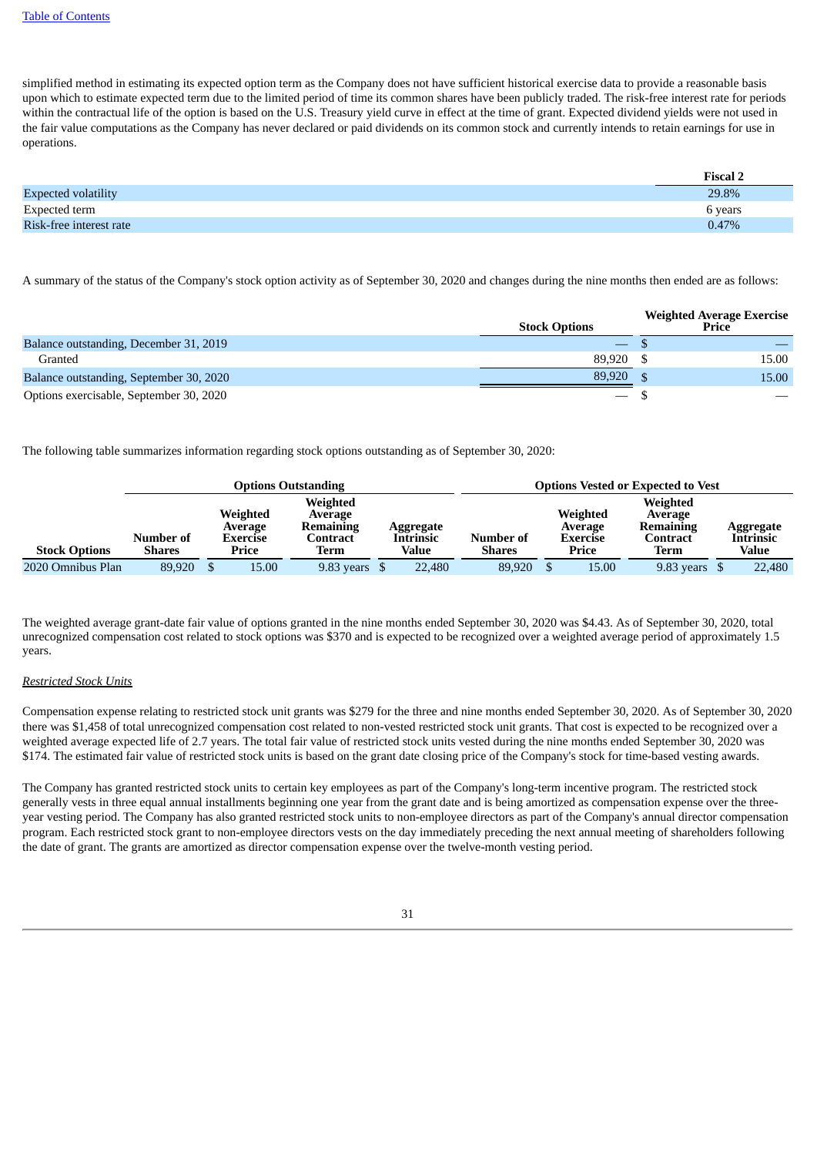simplified method in estimating its expected option term as the Company does not have sufficient historical exercise data to provide a reasonable basis upon which to estimate expected term due to the limited period of time its common shares have been publicly traded. The risk-free interest rate for periods within the contractual life of the option is based on the U.S. Treasury yield curve in effect at the time of grant. Expected dividend yields were not used in the fair value computations as the Company has never declared or paid dividends on its common stock and currently intends to retain earnings for use in operations.

|                            | <b>Fiscal 2</b> |
|----------------------------|-----------------|
| <b>Expected volatility</b> | 29.8%           |
| Expected term              | 6 vears         |
| Risk-free interest rate    | $0.47\%$        |

A summary of the status of the Company's stock option activity as of September 30, 2020 and changes during the nine months then ended are as follows:

|                                         | <b>Stock Options</b>            | <b>Weighted Average Exercise</b><br>Price |
|-----------------------------------------|---------------------------------|-------------------------------------------|
| Balance outstanding, December 31, 2019  | $\overline{\phantom{0}}$        |                                           |
| Granted                                 | 89,920                          | 15.00                                     |
| Balance outstanding, September 30, 2020 | 89,920                          | 15.00                                     |
| Options exercisable, September 30, 2020 | $\hspace{0.1mm}-\hspace{0.1mm}$ |                                           |

The following table summarizes information regarding stock options outstanding as of September 30, 2020:

|                      |                            |                                          | <b>Options Outstanding</b>                                  |                                 | <b>Options Vested or Expected to Vest</b> |  |  |                                          |                                                             |  |                                 |
|----------------------|----------------------------|------------------------------------------|-------------------------------------------------------------|---------------------------------|-------------------------------------------|--|--|------------------------------------------|-------------------------------------------------------------|--|---------------------------------|
| <b>Stock Options</b> | Number of<br><b>Shares</b> | Weighted<br>Average<br>Exercise<br>Price | Weighted<br>Average<br><b>Remaining</b><br>Contract<br>Term | Aggregate<br>Intrinsic<br>Value | Number of<br>Shares                       |  |  | Weighted<br>Average<br>Exercise<br>Price | Weighted<br>Average<br><b>Remaining</b><br>Contract<br>Term |  | Aggregate<br>Intrinsic<br>Value |
| 2020 Omnibus Plan    | 89.920                     | 15.00                                    | 9.83 years                                                  | 22,480                          | 89,920                                    |  |  | 15.00                                    | 9.83 years                                                  |  | 22,480                          |

The weighted average grant-date fair value of options granted in the nine months ended September 30, 2020 was \$4.43. As of September 30, 2020, total unrecognized compensation cost related to stock options was \$370 and is expected to be recognized over a weighted average period of approximately 1.5 years.

#### *Restricted Stock Units*

Compensation expense relating to restricted stock unit grants was \$279 for the three and nine months ended September 30, 2020. As of September 30, 2020 there was \$1,458 of total unrecognized compensation cost related to non-vested restricted stock unit grants. That cost is expected to be recognized over a weighted average expected life of 2.7 years. The total fair value of restricted stock units vested during the nine months ended September 30, 2020 was \$174. The estimated fair value of restricted stock units is based on the grant date closing price of the Company's stock for time-based vesting awards.

The Company has granted restricted stock units to certain key employees as part of the Company's long-term incentive program. The restricted stock generally vests in three equal annual installments beginning one year from the grant date and is being amortized as compensation expense over the threeyear vesting period. The Company has also granted restricted stock units to non-employee directors as part of the Company's annual director compensation program. Each restricted stock grant to non-employee directors vests on the day immediately preceding the next annual meeting of shareholders following the date of grant. The grants are amortized as director compensation expense over the twelve-month vesting period.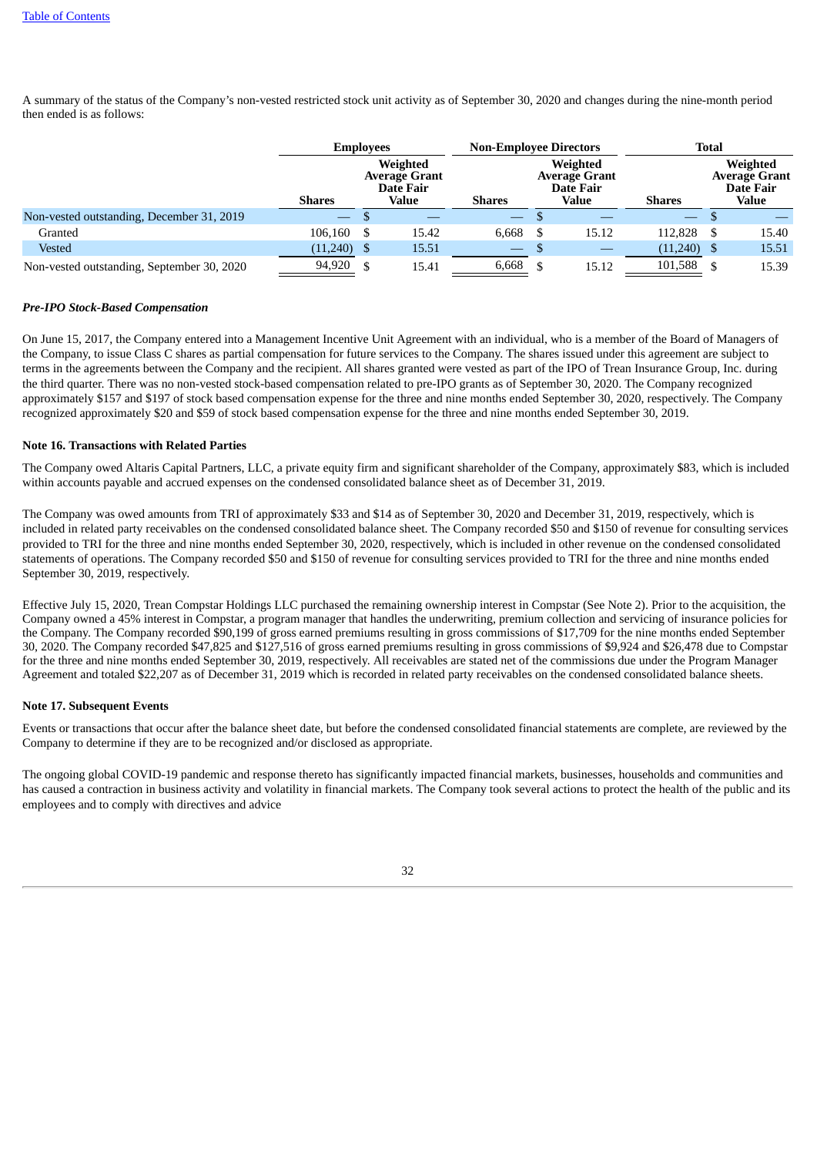A summary of the status of the Company's non-vested restricted stock unit activity as of September 30, 2020 and changes during the nine-month period then ended is as follows:

|                                            | <b>Employees</b> |  |                                                        | <b>Non-Employee Directors</b> |                                                        | Total         |                                                               |       |  |
|--------------------------------------------|------------------|--|--------------------------------------------------------|-------------------------------|--------------------------------------------------------|---------------|---------------------------------------------------------------|-------|--|
|                                            | <b>Shares</b>    |  | Weighted<br><b>Average Grant</b><br>Date Fair<br>Value | <b>Shares</b>                 | Weighted<br><b>Average Grant</b><br>Date Fair<br>Value | <b>Shares</b> | Weighted<br><b>Average Grant</b><br><b>Date Fair</b><br>Value |       |  |
| Non-vested outstanding, December 31, 2019  |                  |  |                                                        |                               |                                                        |               |                                                               |       |  |
| Granted                                    | 106.160          |  | 15.42                                                  | 6,668                         | 15.12                                                  | 112,828       |                                                               | 15.40 |  |
| Vested                                     | (11,240)         |  | 15.51                                                  |                               |                                                        | (11,240)      |                                                               | 15.51 |  |
| Non-vested outstanding, September 30, 2020 | 94,920           |  | 15.41                                                  | 6,668                         | 15.12                                                  | 101,588       |                                                               | 15.39 |  |

#### *Pre-IPO Stock-Based Compensation*

On June 15, 2017, the Company entered into a Management Incentive Unit Agreement with an individual, who is a member of the Board of Managers of the Company, to issue Class C shares as partial compensation for future services to the Company. The shares issued under this agreement are subject to terms in the agreements between the Company and the recipient. All shares granted were vested as part of the IPO of Trean Insurance Group, Inc. during the third quarter. There was no non-vested stock-based compensation related to pre-IPO grants as of September 30, 2020. The Company recognized approximately \$157 and \$197 of stock based compensation expense for the three and nine months ended September 30, 2020, respectively. The Company recognized approximately \$20 and \$59 of stock based compensation expense for the three and nine months ended September 30, 2019.

#### **Note 16. Transactions with Related Parties**

The Company owed Altaris Capital Partners, LLC, a private equity firm and significant shareholder of the Company, approximately \$83, which is included within accounts payable and accrued expenses on the condensed consolidated balance sheet as of December 31, 2019.

The Company was owed amounts from TRI of approximately \$33 and \$14 as of September 30, 2020 and December 31, 2019, respectively, which is included in related party receivables on the condensed consolidated balance sheet. The Company recorded \$50 and \$150 of revenue for consulting services provided to TRI for the three and nine months ended September 30, 2020, respectively, which is included in other revenue on the condensed consolidated statements of operations. The Company recorded \$50 and \$150 of revenue for consulting services provided to TRI for the three and nine months ended September 30, 2019, respectively.

Effective July 15, 2020, Trean Compstar Holdings LLC purchased the remaining ownership interest in Compstar (See Note 2). Prior to the acquisition, the Company owned a 45% interest in Compstar, a program manager that handles the underwriting, premium collection and servicing of insurance policies for the Company. The Company recorded \$90,199 of gross earned premiums resulting in gross commissions of \$17,709 for the nine months ended September 30, 2020. The Company recorded \$47,825 and \$127,516 of gross earned premiums resulting in gross commissions of \$9,924 and \$26,478 due to Compstar for the three and nine months ended September 30, 2019, respectively. All receivables are stated net of the commissions due under the Program Manager Agreement and totaled \$22,207 as of December 31, 2019 which is recorded in related party receivables on the condensed consolidated balance sheets.

### **Note 17. Subsequent Events**

Events or transactions that occur after the balance sheet date, but before the condensed consolidated financial statements are complete, are reviewed by the Company to determine if they are to be recognized and/or disclosed as appropriate.

The ongoing global COVID-19 pandemic and response thereto has significantly impacted financial markets, businesses, households and communities and has caused a contraction in business activity and volatility in financial markets. The Company took several actions to protect the health of the public and its employees and to comply with directives and advice

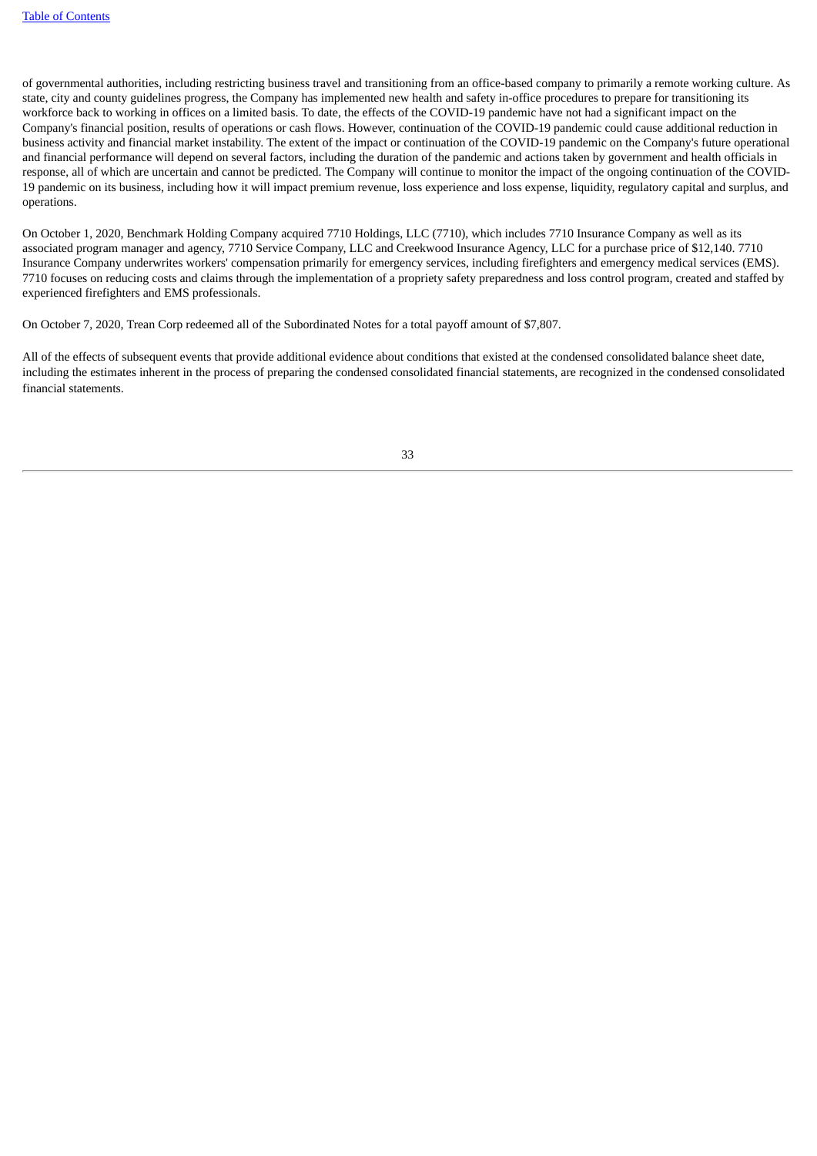of governmental authorities, including restricting business travel and transitioning from an office-based company to primarily a remote working culture. As state, city and county guidelines progress, the Company has implemented new health and safety in-office procedures to prepare for transitioning its workforce back to working in offices on a limited basis. To date, the effects of the COVID-19 pandemic have not had a significant impact on the Company's financial position, results of operations or cash flows. However, continuation of the COVID-19 pandemic could cause additional reduction in business activity and financial market instability. The extent of the impact or continuation of the COVID-19 pandemic on the Company's future operational and financial performance will depend on several factors, including the duration of the pandemic and actions taken by government and health officials in response, all of which are uncertain and cannot be predicted. The Company will continue to monitor the impact of the ongoing continuation of the COVID-19 pandemic on its business, including how it will impact premium revenue, loss experience and loss expense, liquidity, regulatory capital and surplus, and operations.

On October 1, 2020, Benchmark Holding Company acquired 7710 Holdings, LLC (7710), which includes 7710 Insurance Company as well as its associated program manager and agency, 7710 Service Company, LLC and Creekwood Insurance Agency, LLC for a purchase price of \$12,140. 7710 Insurance Company underwrites workers' compensation primarily for emergency services, including firefighters and emergency medical services (EMS). 7710 focuses on reducing costs and claims through the implementation of a propriety safety preparedness and loss control program, created and staffed by experienced firefighters and EMS professionals.

On October 7, 2020, Trean Corp redeemed all of the Subordinated Notes for a total payoff amount of \$7,807.

<span id="page-32-0"></span>All of the effects of subsequent events that provide additional evidence about conditions that existed at the condensed consolidated balance sheet date, including the estimates inherent in the process of preparing the condensed consolidated financial statements, are recognized in the condensed consolidated financial statements.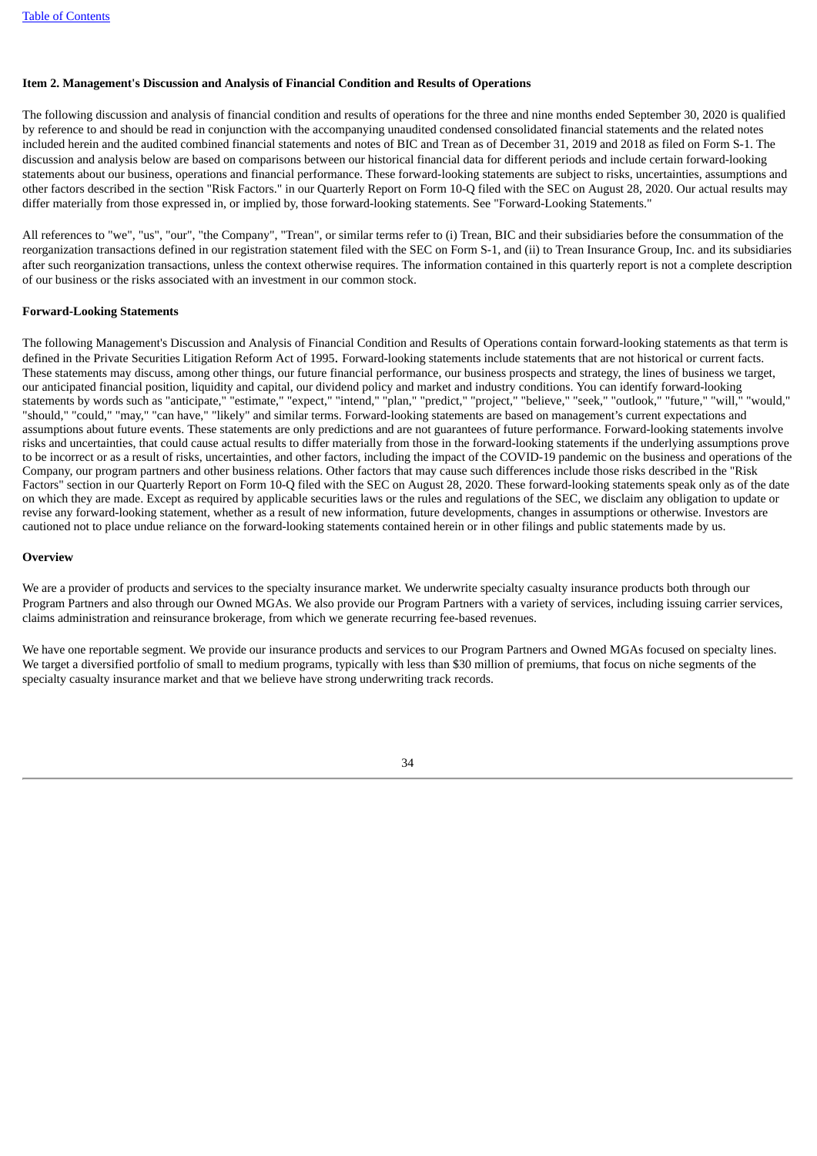# **Item 2. Management's Discussion and Analysis of Financial Condition and Results of Operations**

The following discussion and analysis of financial condition and results of operations for the three and nine months ended September 30, 2020 is qualified by reference to and should be read in conjunction with the accompanying unaudited condensed consolidated financial statements and the related notes included herein and the audited combined financial statements and notes of BIC and Trean as of December 31, 2019 and 2018 as filed on Form S-1. The discussion and analysis below are based on comparisons between our historical financial data for different periods and include certain forward-looking statements about our business, operations and financial performance. These forward-looking statements are subject to risks, uncertainties, assumptions and other factors described in the section "Risk Factors." in our Quarterly Report on Form 10-Q filed with the SEC on August 28, 2020. Our actual results may differ materially from those expressed in, or implied by, those forward-looking statements. See "Forward-Looking Statements."

All references to "we", "us", "our", "the Company", "Trean", or similar terms refer to (i) Trean, BIC and their subsidiaries before the consummation of the reorganization transactions defined in our registration statement filed with the SEC on Form S-1, and (ii) to Trean Insurance Group, Inc. and its subsidiaries after such reorganization transactions, unless the context otherwise requires. The information contained in this quarterly report is not a complete description of our business or the risks associated with an investment in our common stock.

# **Forward-Looking Statements**

The following Management's Discussion and Analysis of Financial Condition and Results of Operations contain forward-looking statements as that term is defined in the Private Securities Litigation Reform Act of 1995. Forward-looking statements include statements that are not historical or current facts. These statements may discuss, among other things, our future financial performance, our business prospects and strategy, the lines of business we target, our anticipated financial position, liquidity and capital, our dividend policy and market and industry conditions. You can identify forward-looking statements by words such as "anticipate," "estimate," "expect," "intend," "plan," "predict," "project," "believe," "seek," "outlook," "future," "will," "would," "should," "could," "may," "can have," "likely" and similar terms. Forward-looking statements are based on management's current expectations and assumptions about future events. These statements are only predictions and are not guarantees of future performance. Forward-looking statements involve risks and uncertainties, that could cause actual results to differ materially from those in the forward-looking statements if the underlying assumptions prove to be incorrect or as a result of risks, uncertainties, and other factors, including the impact of the COVID-19 pandemic on the business and operations of the Company, our program partners and other business relations. Other factors that may cause such differences include those risks described in the "Risk Factors" section in our Quarterly Report on Form 10-Q filed with the SEC on August 28, 2020. These forward-looking statements speak only as of the date on which they are made. Except as required by applicable securities laws or the rules and regulations of the SEC, we disclaim any obligation to update or revise any forward-looking statement, whether as a result of new information, future developments, changes in assumptions or otherwise. Investors are cautioned not to place undue reliance on the forward-looking statements contained herein or in other filings and public statements made by us.

### **Overview**

We are a provider of products and services to the specialty insurance market. We underwrite specialty casualty insurance products both through our Program Partners and also through our Owned MGAs. We also provide our Program Partners with a variety of services, including issuing carrier services, claims administration and reinsurance brokerage, from which we generate recurring fee-based revenues.

We have one reportable segment. We provide our insurance products and services to our Program Partners and Owned MGAs focused on specialty lines. We target a diversified portfolio of small to medium programs, typically with less than \$30 million of premiums, that focus on niche segments of the specialty casualty insurance market and that we believe have strong underwriting track records.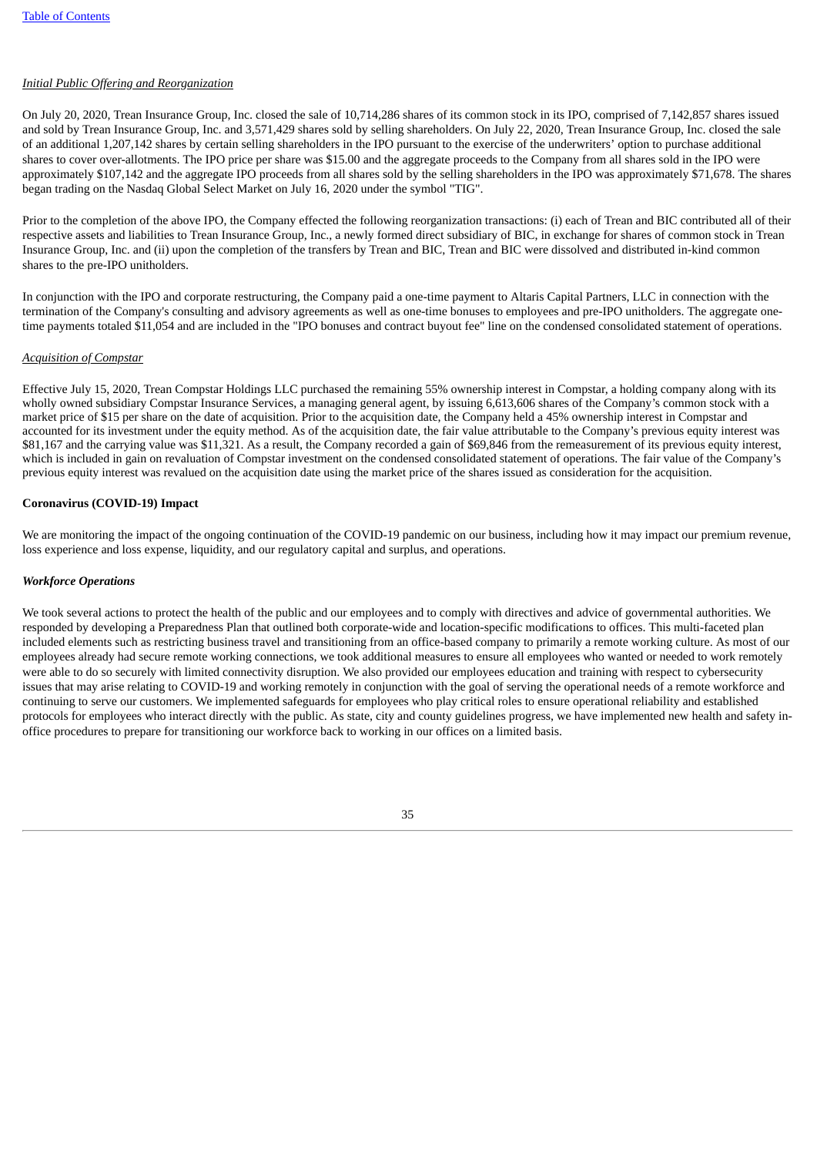# *Initial Public Offering and Reorganization*

On July 20, 2020, Trean Insurance Group, Inc. closed the sale of 10,714,286 shares of its common stock in its IPO, comprised of 7,142,857 shares issued and sold by Trean Insurance Group, Inc. and 3,571,429 shares sold by selling shareholders. On July 22, 2020, Trean Insurance Group, Inc. closed the sale of an additional 1,207,142 shares by certain selling shareholders in the IPO pursuant to the exercise of the underwriters' option to purchase additional shares to cover over-allotments. The IPO price per share was \$15.00 and the aggregate proceeds to the Company from all shares sold in the IPO were approximately \$107,142 and the aggregate IPO proceeds from all shares sold by the selling shareholders in the IPO was approximately \$71,678. The shares began trading on the Nasdaq Global Select Market on July 16, 2020 under the symbol "TIG".

Prior to the completion of the above IPO, the Company effected the following reorganization transactions: (i) each of Trean and BIC contributed all of their respective assets and liabilities to Trean Insurance Group, Inc., a newly formed direct subsidiary of BIC, in exchange for shares of common stock in Trean Insurance Group, Inc. and (ii) upon the completion of the transfers by Trean and BIC, Trean and BIC were dissolved and distributed in-kind common shares to the pre-IPO unitholders.

In conjunction with the IPO and corporate restructuring, the Company paid a one-time payment to Altaris Capital Partners, LLC in connection with the termination of the Company's consulting and advisory agreements as well as one-time bonuses to employees and pre-IPO unitholders. The aggregate onetime payments totaled \$11,054 and are included in the "IPO bonuses and contract buyout fee" line on the condensed consolidated statement of operations.

### *Acquisition of Compstar*

Effective July 15, 2020, Trean Compstar Holdings LLC purchased the remaining 55% ownership interest in Compstar, a holding company along with its wholly owned subsidiary Compstar Insurance Services, a managing general agent, by issuing 6,613,606 shares of the Company's common stock with a market price of \$15 per share on the date of acquisition. Prior to the acquisition date, the Company held a 45% ownership interest in Compstar and accounted for its investment under the equity method. As of the acquisition date, the fair value attributable to the Company's previous equity interest was \$81,167 and the carrying value was \$11,321. As a result, the Company recorded a gain of \$69,846 from the remeasurement of its previous equity interest, which is included in gain on revaluation of Compstar investment on the condensed consolidated statement of operations. The fair value of the Company's previous equity interest was revalued on the acquisition date using the market price of the shares issued as consideration for the acquisition.

### **Coronavirus (COVID-19) Impact**

We are monitoring the impact of the ongoing continuation of the COVID-19 pandemic on our business, including how it may impact our premium revenue, loss experience and loss expense, liquidity, and our regulatory capital and surplus, and operations.

#### *Workforce Operations*

We took several actions to protect the health of the public and our employees and to comply with directives and advice of governmental authorities. We responded by developing a Preparedness Plan that outlined both corporate-wide and location-specific modifications to offices. This multi-faceted plan included elements such as restricting business travel and transitioning from an office-based company to primarily a remote working culture. As most of our employees already had secure remote working connections, we took additional measures to ensure all employees who wanted or needed to work remotely were able to do so securely with limited connectivity disruption. We also provided our employees education and training with respect to cybersecurity issues that may arise relating to COVID-19 and working remotely in conjunction with the goal of serving the operational needs of a remote workforce and continuing to serve our customers. We implemented safeguards for employees who play critical roles to ensure operational reliability and established protocols for employees who interact directly with the public. As state, city and county guidelines progress, we have implemented new health and safety inoffice procedures to prepare for transitioning our workforce back to working in our offices on a limited basis.

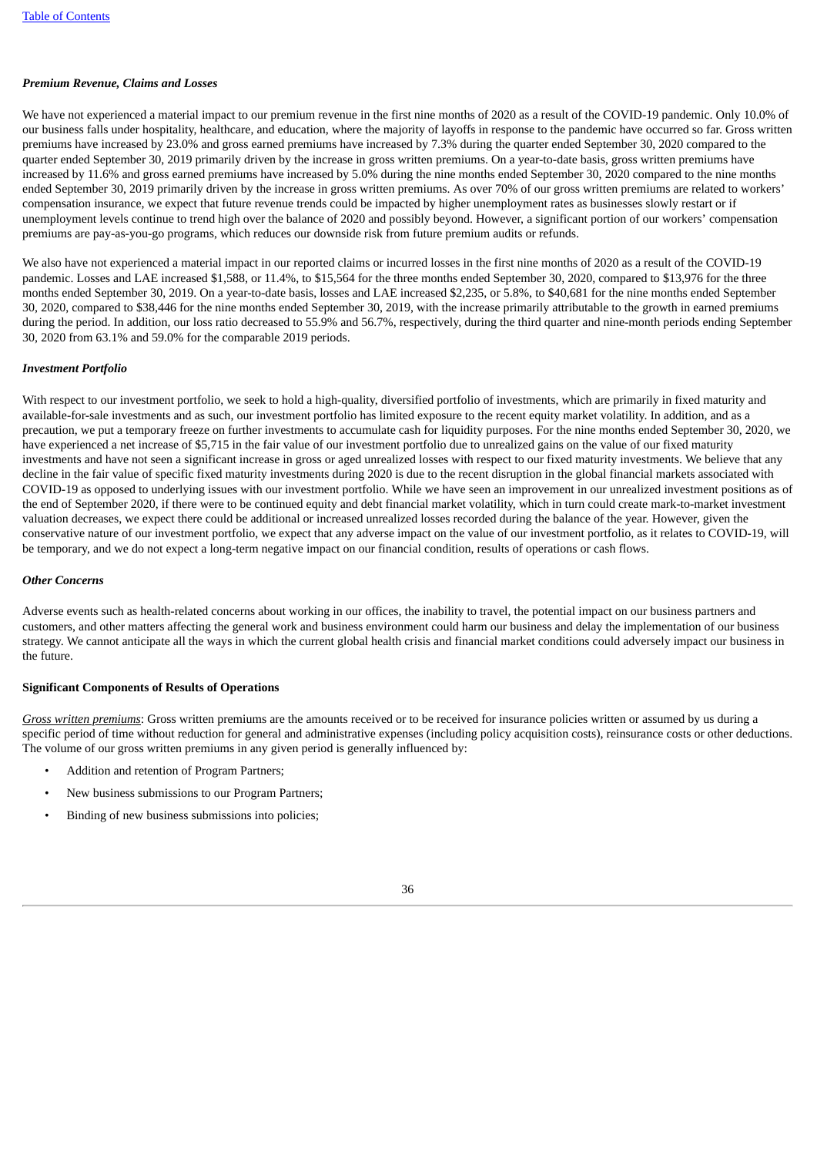#### *Premium Revenue, Claims and Losses*

We have not experienced a material impact to our premium revenue in the first nine months of 2020 as a result of the COVID-19 pandemic. Only 10.0% of our business falls under hospitality, healthcare, and education, where the majority of layoffs in response to the pandemic have occurred so far. Gross written premiums have increased by 23.0% and gross earned premiums have increased by 7.3% during the quarter ended September 30, 2020 compared to the quarter ended September 30, 2019 primarily driven by the increase in gross written premiums. On a year-to-date basis, gross written premiums have increased by 11.6% and gross earned premiums have increased by 5.0% during the nine months ended September 30, 2020 compared to the nine months ended September 30, 2019 primarily driven by the increase in gross written premiums. As over 70% of our gross written premiums are related to workers' compensation insurance, we expect that future revenue trends could be impacted by higher unemployment rates as businesses slowly restart or if unemployment levels continue to trend high over the balance of 2020 and possibly beyond. However, a significant portion of our workers' compensation premiums are pay-as-you-go programs, which reduces our downside risk from future premium audits or refunds.

We also have not experienced a material impact in our reported claims or incurred losses in the first nine months of 2020 as a result of the COVID-19 pandemic. Losses and LAE increased \$1,588, or 11.4%, to \$15,564 for the three months ended September 30, 2020, compared to \$13,976 for the three months ended September 30, 2019. On a year-to-date basis, losses and LAE increased \$2,235, or 5.8%, to \$40,681 for the nine months ended September 30, 2020, compared to \$38,446 for the nine months ended September 30, 2019, with the increase primarily attributable to the growth in earned premiums during the period. In addition, our loss ratio decreased to 55.9% and 56.7%, respectively, during the third quarter and nine-month periods ending September 30, 2020 from 63.1% and 59.0% for the comparable 2019 periods.

### *Investment Portfolio*

With respect to our investment portfolio, we seek to hold a high-quality, diversified portfolio of investments, which are primarily in fixed maturity and available-for-sale investments and as such, our investment portfolio has limited exposure to the recent equity market volatility. In addition, and as a precaution, we put a temporary freeze on further investments to accumulate cash for liquidity purposes. For the nine months ended September 30, 2020, we have experienced a net increase of \$5,715 in the fair value of our investment portfolio due to unrealized gains on the value of our fixed maturity investments and have not seen a significant increase in gross or aged unrealized losses with respect to our fixed maturity investments. We believe that any decline in the fair value of specific fixed maturity investments during 2020 is due to the recent disruption in the global financial markets associated with COVID-19 as opposed to underlying issues with our investment portfolio. While we have seen an improvement in our unrealized investment positions as of the end of September 2020, if there were to be continued equity and debt financial market volatility, which in turn could create mark-to-market investment valuation decreases, we expect there could be additional or increased unrealized losses recorded during the balance of the year. However, given the conservative nature of our investment portfolio, we expect that any adverse impact on the value of our investment portfolio, as it relates to COVID-19, will be temporary, and we do not expect a long-term negative impact on our financial condition, results of operations or cash flows.

#### *Other Concerns*

Adverse events such as health-related concerns about working in our offices, the inability to travel, the potential impact on our business partners and customers, and other matters affecting the general work and business environment could harm our business and delay the implementation of our business strategy. We cannot anticipate all the ways in which the current global health crisis and financial market conditions could adversely impact our business in the future.

# **Significant Components of Results of Operations**

*Gross written premiums*: Gross written premiums are the amounts received or to be received for insurance policies written or assumed by us during a specific period of time without reduction for general and administrative expenses (including policy acquisition costs), reinsurance costs or other deductions. The volume of our gross written premiums in any given period is generally influenced by:

- Addition and retention of Program Partners;
- New business submissions to our Program Partners;
- Binding of new business submissions into policies;

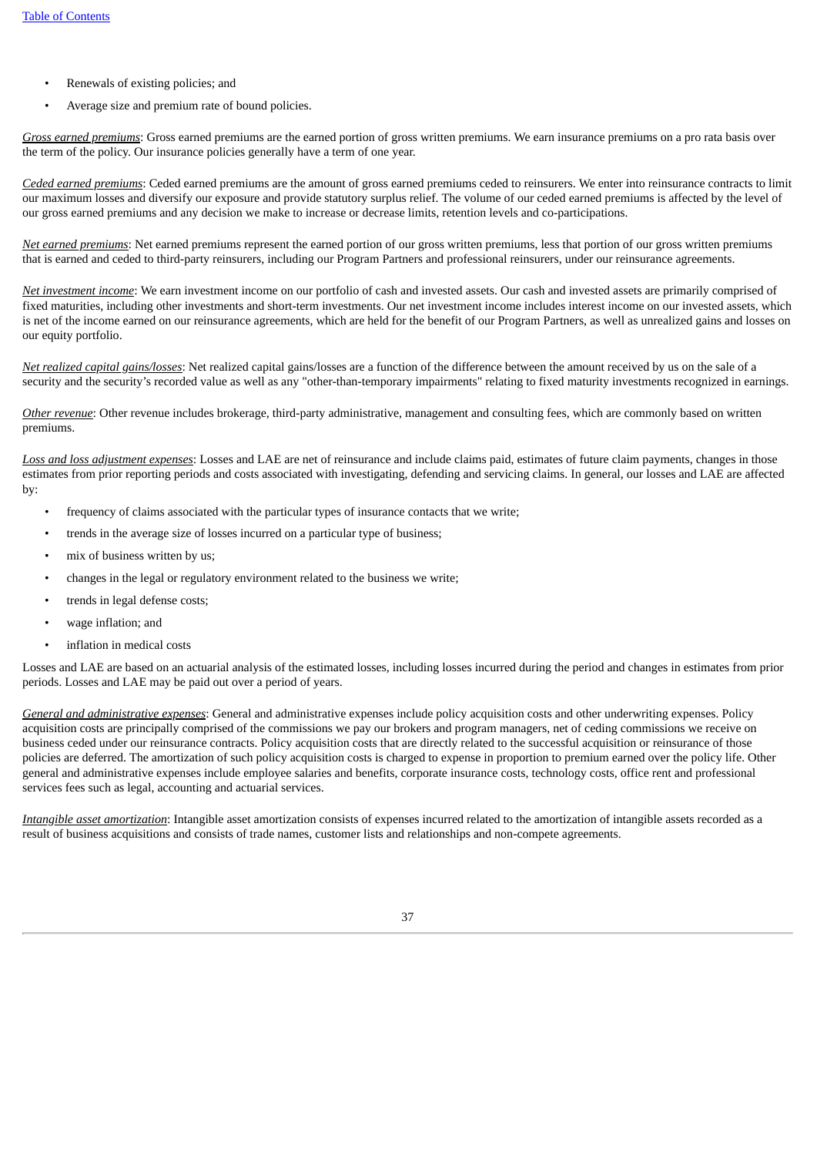- Renewals of existing policies; and
- Average size and premium rate of bound policies.

*Gross earned premiums*: Gross earned premiums are the earned portion of gross written premiums. We earn insurance premiums on a pro rata basis over the term of the policy. Our insurance policies generally have a term of one year.

*Ceded earned premiums*: Ceded earned premiums are the amount of gross earned premiums ceded to reinsurers. We enter into reinsurance contracts to limit our maximum losses and diversify our exposure and provide statutory surplus relief. The volume of our ceded earned premiums is affected by the level of our gross earned premiums and any decision we make to increase or decrease limits, retention levels and co-participations.

*Net earned premiums*: Net earned premiums represent the earned portion of our gross written premiums, less that portion of our gross written premiums that is earned and ceded to third-party reinsurers, including our Program Partners and professional reinsurers, under our reinsurance agreements.

*Net investment income*: We earn investment income on our portfolio of cash and invested assets. Our cash and invested assets are primarily comprised of fixed maturities, including other investments and short-term investments. Our net investment income includes interest income on our invested assets, which is net of the income earned on our reinsurance agreements, which are held for the benefit of our Program Partners, as well as unrealized gains and losses on our equity portfolio.

*Net realized capital gains/losses*: Net realized capital gains/losses are a function of the difference between the amount received by us on the sale of a security and the security's recorded value as well as any "other-than-temporary impairments" relating to fixed maturity investments recognized in earnings.

*Other revenue*: Other revenue includes brokerage, third-party administrative, management and consulting fees, which are commonly based on written premiums.

*Loss and loss adjustment expenses*: Losses and LAE are net of reinsurance and include claims paid, estimates of future claim payments, changes in those estimates from prior reporting periods and costs associated with investigating, defending and servicing claims. In general, our losses and LAE are affected by:

- frequency of claims associated with the particular types of insurance contacts that we write;
- trends in the average size of losses incurred on a particular type of business;
- mix of business written by us;
- changes in the legal or regulatory environment related to the business we write;
- trends in legal defense costs:
- wage inflation; and
- inflation in medical costs

Losses and LAE are based on an actuarial analysis of the estimated losses, including losses incurred during the period and changes in estimates from prior periods. Losses and LAE may be paid out over a period of years.

*General and administrative expenses*: General and administrative expenses include policy acquisition costs and other underwriting expenses. Policy acquisition costs are principally comprised of the commissions we pay our brokers and program managers, net of ceding commissions we receive on business ceded under our reinsurance contracts. Policy acquisition costs that are directly related to the successful acquisition or reinsurance of those policies are deferred. The amortization of such policy acquisition costs is charged to expense in proportion to premium earned over the policy life. Other general and administrative expenses include employee salaries and benefits, corporate insurance costs, technology costs, office rent and professional services fees such as legal, accounting and actuarial services.

*Intangible asset amortization*: Intangible asset amortization consists of expenses incurred related to the amortization of intangible assets recorded as a result of business acquisitions and consists of trade names, customer lists and relationships and non-compete agreements.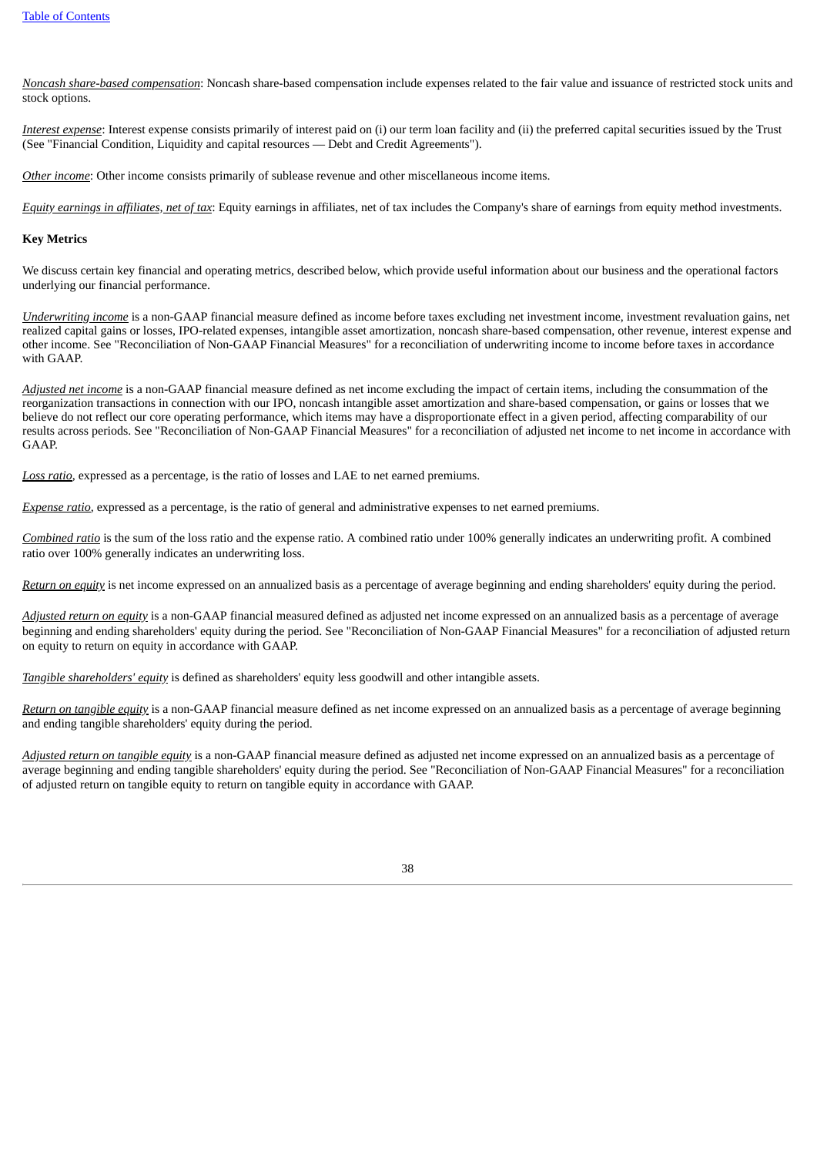*Noncash share-based compensation*: Noncash share-based compensation include expenses related to the fair value and issuance of restricted stock units and stock options.

*Interest expense*: Interest expense consists primarily of interest paid on (i) our term loan facility and (ii) the preferred capital securities issued by the Trust (See "Financial Condition, Liquidity and capital resources — Debt and Credit Agreements").

*Other income*: Other income consists primarily of sublease revenue and other miscellaneous income items.

*Equity earnings in affiliates, net of tax*: Equity earnings in affiliates, net of tax includes the Company's share of earnings from equity method investments.

#### **Key Metrics**

We discuss certain key financial and operating metrics, described below, which provide useful information about our business and the operational factors underlying our financial performance.

*Underwriting income* is a non-GAAP financial measure defined as income before taxes excluding net investment income, investment revaluation gains, net realized capital gains or losses, IPO-related expenses, intangible asset amortization, noncash share-based compensation, other revenue, interest expense and other income. See "Reconciliation of Non-GAAP Financial Measures" for a reconciliation of underwriting income to income before taxes in accordance with  $GAAP$ 

*Adjusted net income* is a non-GAAP financial measure defined as net income excluding the impact of certain items, including the consummation of the reorganization transactions in connection with our IPO, noncash intangible asset amortization and share-based compensation, or gains or losses that we believe do not reflect our core operating performance, which items may have a disproportionate effect in a given period, affecting comparability of our results across periods. See "Reconciliation of Non-GAAP Financial Measures" for a reconciliation of adjusted net income to net income in accordance with GAAP.

*Loss ratio*, expressed as a percentage, is the ratio of losses and LAE to net earned premiums.

*Expense ratio,* expressed as a percentage, is the ratio of general and administrative expenses to net earned premiums.

*Combined ratio* is the sum of the loss ratio and the expense ratio. A combined ratio under 100% generally indicates an underwriting profit. A combined ratio over 100% generally indicates an underwriting loss.

*Return on equity* is net income expressed on an annualized basis as a percentage of average beginning and ending shareholders' equity during the period.

*Adjusted return on equity* is a non-GAAP financial measured defined as adjusted net income expressed on an annualized basis as a percentage of average beginning and ending shareholders' equity during the period. See "Reconciliation of Non-GAAP Financial Measures" for a reconciliation of adjusted return on equity to return on equity in accordance with GAAP.

*Tangible shareholders' equity* is defined as shareholders' equity less goodwill and other intangible assets.

*Return on tangible equity* is a non-GAAP financial measure defined as net income expressed on an annualized basis as a percentage of average beginning and ending tangible shareholders' equity during the period.

*Adjusted return on tangible equity* is a non-GAAP financial measure defined as adjusted net income expressed on an annualized basis as a percentage of average beginning and ending tangible shareholders' equity during the period. See "Reconciliation of Non-GAAP Financial Measures" for a reconciliation of adjusted return on tangible equity to return on tangible equity in accordance with GAAP.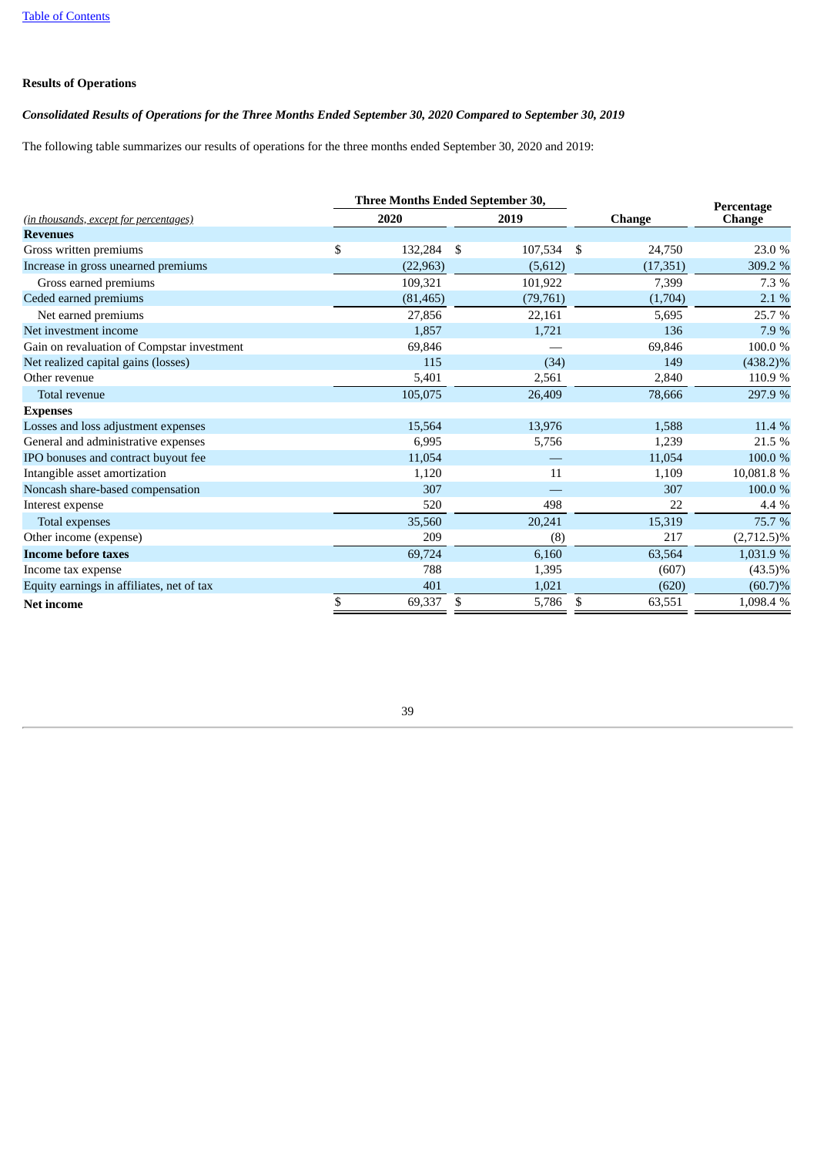# **Results of Operations**

# Consolidated Results of Operations for the Three Months Ended September 30, 2020 Compared to September 30, 2019

The following table summarizes our results of operations for the three months ended September 30, 2020 and 2019:

|                                            | Three Months Ended September 30, |             |               | Percentage<br><b>Change</b> |  |
|--------------------------------------------|----------------------------------|-------------|---------------|-----------------------------|--|
| (in thousands, except for percentages)     | 2020                             | 2019        | <b>Change</b> |                             |  |
| <b>Revenues</b>                            |                                  |             |               |                             |  |
| Gross written premiums                     | \$<br>132,284 \$                 | 107,534 \$  | 24,750        | 23.0 %                      |  |
| Increase in gross unearned premiums        | (22, 963)                        | (5,612)     | (17, 351)     | 309.2 %                     |  |
| Gross earned premiums                      | 109,321                          | 101,922     | 7,399         | 7.3 %                       |  |
| Ceded earned premiums                      | (81, 465)                        | (79, 761)   | (1,704)       | 2.1 %                       |  |
| Net earned premiums                        | 27,856                           | 22,161      | 5,695         | 25.7 %                      |  |
| Net investment income                      | 1,857                            | 1,721       | 136           | 7.9 %                       |  |
| Gain on revaluation of Compstar investment | 69,846                           |             | 69,846        | 100.0%                      |  |
| Net realized capital gains (losses)        | 115                              | (34)        | 149           | $(438.2)\%$                 |  |
| Other revenue                              | 5,401                            | 2,561       | 2,840         | 110.9%                      |  |
| Total revenue                              | 105,075                          | 26,409      | 78,666        | 297.9 %                     |  |
| <b>Expenses</b>                            |                                  |             |               |                             |  |
| Losses and loss adjustment expenses        | 15,564                           | 13,976      | 1,588         | 11.4 %                      |  |
| General and administrative expenses        | 6,995                            | 5,756       | 1,239         | 21.5 %                      |  |
| IPO bonuses and contract buyout fee        | 11,054                           |             | 11,054        | 100.0%                      |  |
| Intangible asset amortization              | 1,120                            | 11          | 1,109         | 10,081.8%                   |  |
| Noncash share-based compensation           | 307                              |             | 307           | 100.0%                      |  |
| Interest expense                           | 520                              | 498         | 22            | 4.4 %                       |  |
| Total expenses                             | 35,560                           | 20,241      | 15,319        | 75.7 %                      |  |
| Other income (expense)                     | 209                              | (8)         | 217           | $(2,712.5)\%$               |  |
| <b>Income before taxes</b>                 | 69,724                           | 6,160       | 63,564        | 1,031.9 %                   |  |
| Income tax expense                         | 788                              | 1,395       | (607)         | $(43.5)\%$                  |  |
| Equity earnings in affiliates, net of tax  | 401                              | 1,021       | (620)         | $(60.7)\%$                  |  |
| <b>Net income</b>                          | \$<br>69,337                     | \$<br>5,786 | \$<br>63,551  | 1,098.4 %                   |  |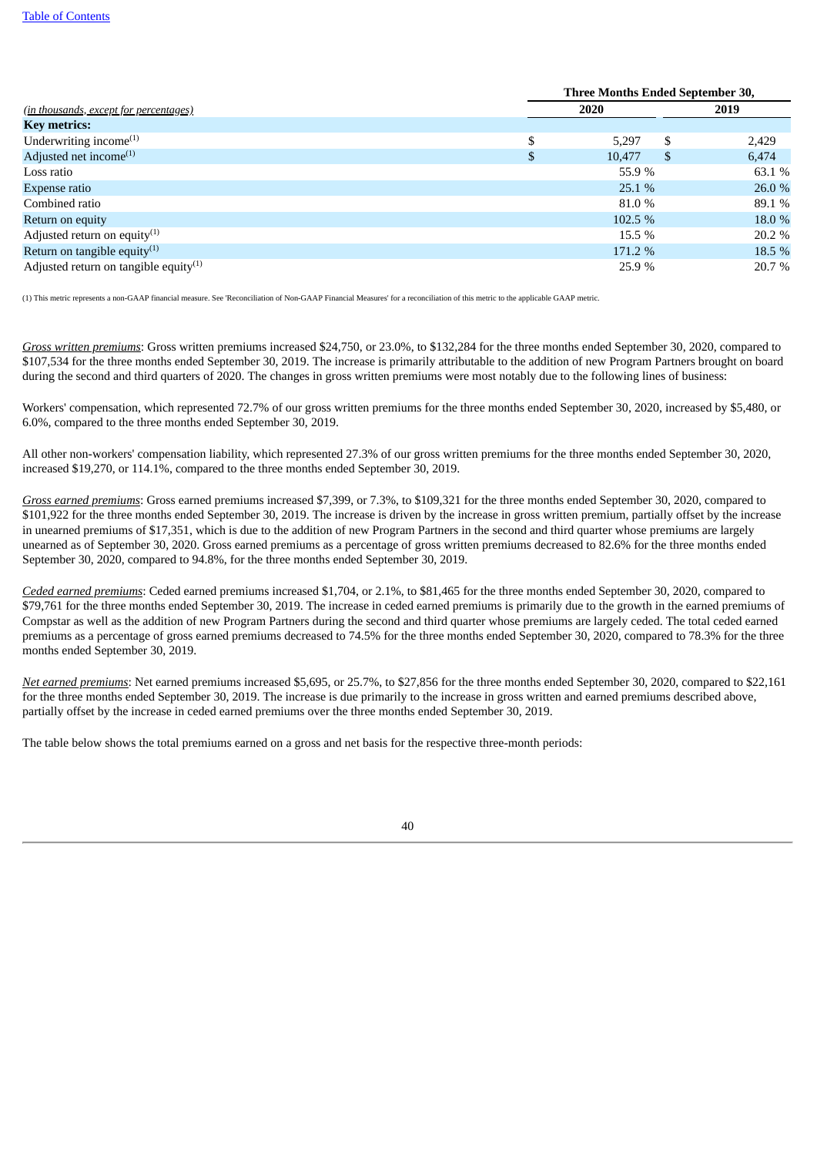|                                          | <b>Three Months Ended September 30,</b> |         |    |        |  |  |  |  |  |  |
|------------------------------------------|-----------------------------------------|---------|----|--------|--|--|--|--|--|--|
| (in thousands, except for percentages)   | 2020                                    |         |    | 2019   |  |  |  |  |  |  |
| <b>Key metrics:</b>                      |                                         |         |    |        |  |  |  |  |  |  |
| Underwriting income $(1)$                | \$                                      | 5.297   | \$ | 2,429  |  |  |  |  |  |  |
| Adjusted net income <sup>(1)</sup>       | \$                                      | 10,477  | S  | 6,474  |  |  |  |  |  |  |
| Loss ratio                               |                                         | 55.9 %  |    | 63.1 % |  |  |  |  |  |  |
| Expense ratio                            |                                         | 25.1 %  |    | 26.0 % |  |  |  |  |  |  |
| Combined ratio                           |                                         | 81.0 %  |    | 89.1 % |  |  |  |  |  |  |
| Return on equity                         |                                         | 102.5 % |    | 18.0 % |  |  |  |  |  |  |
| Adjusted return on equity <sup>(1)</sup> |                                         | 15.5 %  |    | 20.2 % |  |  |  |  |  |  |
| Return on tangible equity $(1)$          |                                         | 171.2 % |    | 18.5 % |  |  |  |  |  |  |
| Adjusted return on tangible equity $(1)$ |                                         | 25.9 %  |    | 20.7 % |  |  |  |  |  |  |

(1) This metric represents a non-GAAP financial measure. See 'Reconciliation of Non-GAAP Financial Measures' for a reconciliation of this metric to the applicable GAAP metric.

*Gross written premiums*: Gross written premiums increased \$24,750, or 23.0%, to \$132,284 for the three months ended September 30, 2020, compared to \$107,534 for the three months ended September 30, 2019. The increase is primarily attributable to the addition of new Program Partners brought on board during the second and third quarters of 2020. The changes in gross written premiums were most notably due to the following lines of business:

Workers' compensation, which represented 72.7% of our gross written premiums for the three months ended September 30, 2020, increased by \$5,480, or 6.0%, compared to the three months ended September 30, 2019.

All other non-workers' compensation liability, which represented 27.3% of our gross written premiums for the three months ended September 30, 2020, increased \$19,270, or 114.1%, compared to the three months ended September 30, 2019.

*Gross earned premiums*: Gross earned premiums increased \$7,399, or 7.3%, to \$109,321 for the three months ended September 30, 2020, compared to \$101,922 for the three months ended September 30, 2019. The increase is driven by the increase in gross written premium, partially offset by the increase in unearned premiums of \$17,351, which is due to the addition of new Program Partners in the second and third quarter whose premiums are largely unearned as of September 30, 2020. Gross earned premiums as a percentage of gross written premiums decreased to 82.6% for the three months ended September 30, 2020, compared to 94.8%, for the three months ended September 30, 2019.

*Ceded earned premiums*: Ceded earned premiums increased \$1,704, or 2.1%, to \$81,465 for the three months ended September 30, 2020, compared to \$79,761 for the three months ended September 30, 2019. The increase in ceded earned premiums is primarily due to the growth in the earned premiums of Compstar as well as the addition of new Program Partners during the second and third quarter whose premiums are largely ceded. The total ceded earned premiums as a percentage of gross earned premiums decreased to 74.5% for the three months ended September 30, 2020, compared to 78.3% for the three months ended September 30, 2019.

*Net earned premiums*: Net earned premiums increased \$5,695, or 25.7%, to \$27,856 for the three months ended September 30, 2020, compared to \$22,161 for the three months ended September 30, 2019. The increase is due primarily to the increase in gross written and earned premiums described above, partially offset by the increase in ceded earned premiums over the three months ended September 30, 2019.

The table below shows the total premiums earned on a gross and net basis for the respective three-month periods: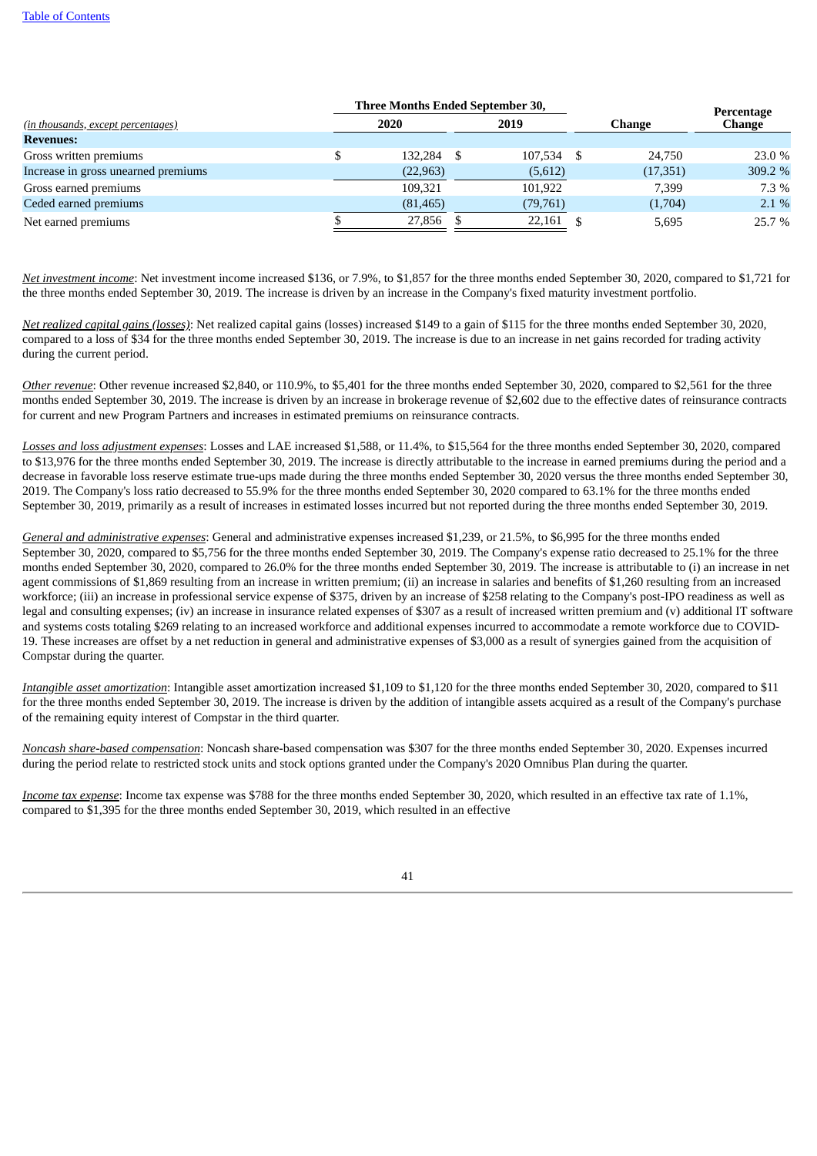|                                     |  | <b>Three Months Ended September 30,</b> |      |            |  |           | Percentage |  |
|-------------------------------------|--|-----------------------------------------|------|------------|--|-----------|------------|--|
| (in thousands, except percentages)  |  | 2020                                    | 2019 |            |  | Change    | Change     |  |
| <b>Revenues:</b>                    |  |                                         |      |            |  |           |            |  |
| Gross written premiums              |  | 132.284                                 |      | 107.534 \$ |  | 24,750    | 23.0 %     |  |
| Increase in gross unearned premiums |  | (22, 963)                               |      | (5,612)    |  | (17, 351) | 309.2 %    |  |
| Gross earned premiums               |  | 109,321                                 |      | 101,922    |  | 7,399     | 7.3 %      |  |
| Ceded earned premiums               |  | (81, 465)                               |      | (79, 761)  |  | (1,704)   | 2.1 %      |  |
| Net earned premiums                 |  | 27,856                                  |      | 22,161     |  | 5,695     | 25.7 %     |  |

*Net investment income*: Net investment income increased \$136, or 7.9%, to \$1,857 for the three months ended September 30, 2020, compared to \$1,721 for the three months ended September 30, 2019. The increase is driven by an increase in the Company's fixed maturity investment portfolio.

*Net realized capital gains (losses)*: Net realized capital gains (losses) increased \$149 to a gain of \$115 for the three months ended September 30, 2020, compared to a loss of \$34 for the three months ended September 30, 2019. The increase is due to an increase in net gains recorded for trading activity during the current period.

*Other revenue*: Other revenue increased \$2,840, or 110.9%, to \$5,401 for the three months ended September 30, 2020, compared to \$2,561 for the three months ended September 30, 2019. The increase is driven by an increase in brokerage revenue of \$2,602 due to the effective dates of reinsurance contracts for current and new Program Partners and increases in estimated premiums on reinsurance contracts.

*Losses and loss adjustment expenses*: Losses and LAE increased \$1,588, or 11.4%, to \$15,564 for the three months ended September 30, 2020, compared to \$13,976 for the three months ended September 30, 2019. The increase is directly attributable to the increase in earned premiums during the period and a decrease in favorable loss reserve estimate true-ups made during the three months ended September 30, 2020 versus the three months ended September 30, 2019. The Company's loss ratio decreased to 55.9% for the three months ended September 30, 2020 compared to 63.1% for the three months ended September 30, 2019, primarily as a result of increases in estimated losses incurred but not reported during the three months ended September 30, 2019.

*General and administrative expenses*: General and administrative expenses increased \$1,239, or 21.5%, to \$6,995 for the three months ended September 30, 2020, compared to \$5,756 for the three months ended September 30, 2019. The Company's expense ratio decreased to 25.1% for the three months ended September 30, 2020, compared to 26.0% for the three months ended September 30, 2019. The increase is attributable to (i) an increase in net agent commissions of \$1,869 resulting from an increase in written premium; (ii) an increase in salaries and benefits of \$1,260 resulting from an increased workforce; (iii) an increase in professional service expense of \$375, driven by an increase of \$258 relating to the Company's post-IPO readiness as well as legal and consulting expenses; (iv) an increase in insurance related expenses of \$307 as a result of increased written premium and (v) additional IT software and systems costs totaling \$269 relating to an increased workforce and additional expenses incurred to accommodate a remote workforce due to COVID-19. These increases are offset by a net reduction in general and administrative expenses of \$3,000 as a result of synergies gained from the acquisition of Compstar during the quarter.

*Intangible asset amortization*: Intangible asset amortization increased \$1,109 to \$1,120 for the three months ended September 30, 2020, compared to \$11 for the three months ended September 30, 2019. The increase is driven by the addition of intangible assets acquired as a result of the Company's purchase of the remaining equity interest of Compstar in the third quarter.

*Noncash share-based compensation*: Noncash share-based compensation was \$307 for the three months ended September 30, 2020. Expenses incurred during the period relate to restricted stock units and stock options granted under the Company's 2020 Omnibus Plan during the quarter.

*Income tax expense*: Income tax expense was \$788 for the three months ended September 30, 2020, which resulted in an effective tax rate of 1.1%, compared to \$1,395 for the three months ended September 30, 2019, which resulted in an effective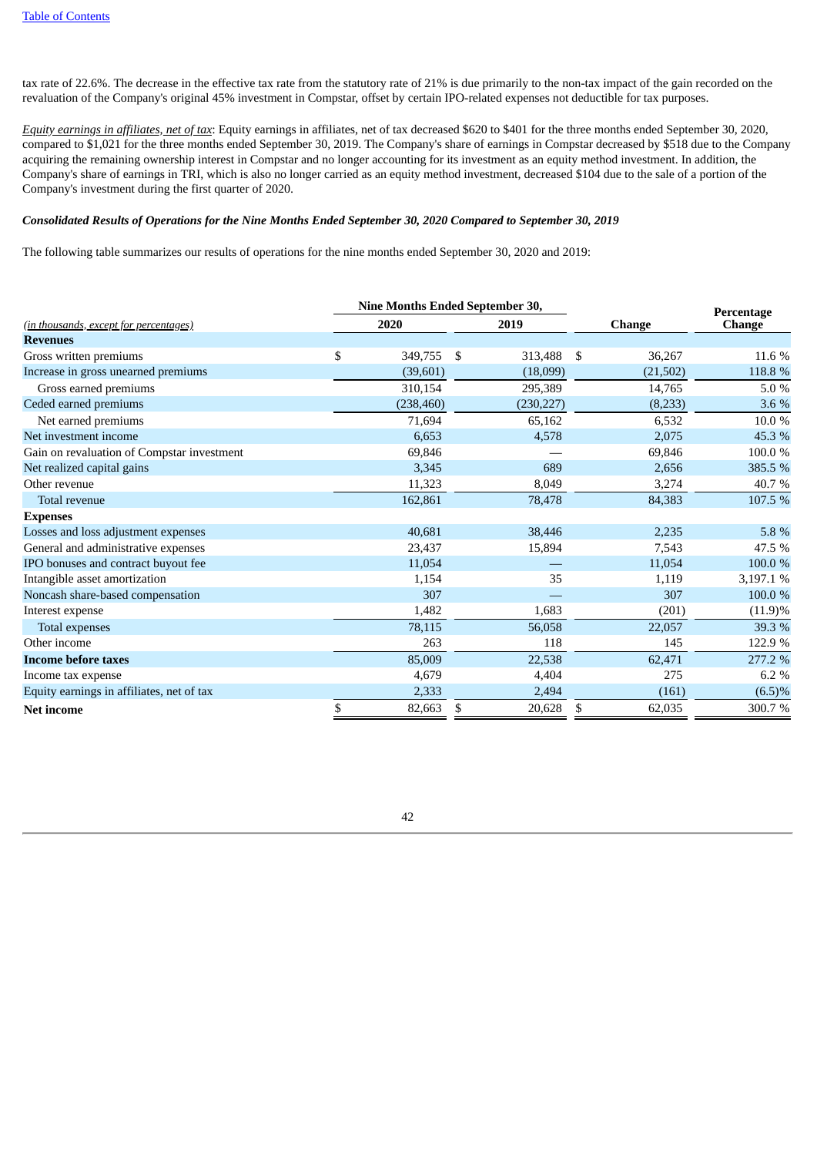tax rate of 22.6%. The decrease in the effective tax rate from the statutory rate of 21% is due primarily to the non-tax impact of the gain recorded on the revaluation of the Company's original 45% investment in Compstar, offset by certain IPO-related expenses not deductible for tax purposes.

*Equity earnings in affiliates, net of tax*: Equity earnings in affiliates, net of tax decreased \$620 to \$401 for the three months ended September 30, 2020, compared to \$1,021 for the three months ended September 30, 2019. The Company's share of earnings in Compstar decreased by \$518 due to the Company acquiring the remaining ownership interest in Compstar and no longer accounting for its investment as an equity method investment. In addition, the Company's share of earnings in TRI, which is also no longer carried as an equity method investment, decreased \$104 due to the sale of a portion of the Company's investment during the first quarter of 2020.

### Consolidated Results of Operations for the Nine Months Ended September 30, 2020 Compared to September 30, 2019

The following table summarizes our results of operations for the nine months ended September 30, 2020 and 2019:

|                                            |    | Nine Months Ended September 30, |    |            | Percentage<br><b>Change</b> |            |
|--------------------------------------------|----|---------------------------------|----|------------|-----------------------------|------------|
| (in thousands, except for percentages)     |    | 2020                            |    | 2019       |                             |            |
| <b>Revenues</b>                            |    |                                 |    |            |                             |            |
| Gross written premiums                     | \$ | 349,755                         | \$ | 313,488    | \$<br>36,267                | 11.6 %     |
| Increase in gross unearned premiums        |    | (39,601)                        |    | (18,099)   | (21, 502)                   | 118.8%     |
| Gross earned premiums                      |    | 310,154                         |    | 295,389    | 14,765                      | 5.0%       |
| Ceded earned premiums                      |    | (238, 460)                      |    | (230, 227) | (8,233)                     | 3.6 %      |
| Net earned premiums                        |    | 71,694                          |    | 65,162     | 6,532                       | $10.0\ \%$ |
| Net investment income                      |    | 6,653                           |    | 4,578      | 2,075                       | 45.3 %     |
| Gain on revaluation of Compstar investment |    | 69,846                          |    |            | 69,846                      | 100.0%     |
| Net realized capital gains                 |    | 3,345                           |    | 689        | 2,656                       | 385.5 %    |
| Other revenue                              |    | 11,323                          |    | 8,049      | 3,274                       | 40.7%      |
| Total revenue                              |    | 162,861                         |    | 78,478     | 84,383                      | 107.5 %    |
| <b>Expenses</b>                            |    |                                 |    |            |                             |            |
| Losses and loss adjustment expenses        |    | 40,681                          |    | 38,446     | 2,235                       | 5.8 %      |
| General and administrative expenses        |    | 23,437                          |    | 15,894     | 7,543                       | 47.5 %     |
| IPO bonuses and contract buyout fee        |    | 11,054                          |    |            | 11,054                      | 100.0%     |
| Intangible asset amortization              |    | 1,154                           |    | 35         | 1,119                       | 3,197.1 %  |
| Noncash share-based compensation           |    | 307                             |    |            | 307                         | 100.0%     |
| Interest expense                           |    | 1,482                           |    | 1,683      | (201)                       | (11.9)%    |
| Total expenses                             |    | 78,115                          |    | 56,058     | 22,057                      | 39.3 %     |
| Other income                               |    | 263                             |    | 118        | 145                         | 122.9 %    |
| <b>Income before taxes</b>                 |    | 85,009                          |    | 22,538     | 62,471                      | 277.2 %    |
| Income tax expense                         |    | 4,679                           |    | 4,404      | 275                         | 6.2%       |
| Equity earnings in affiliates, net of tax  |    | 2,333                           |    | 2,494      | (161)                       | $(6.5)\%$  |
| <b>Net income</b>                          | \$ | 82,663                          | \$ | 20,628     | \$<br>62,035                | 300.7%     |

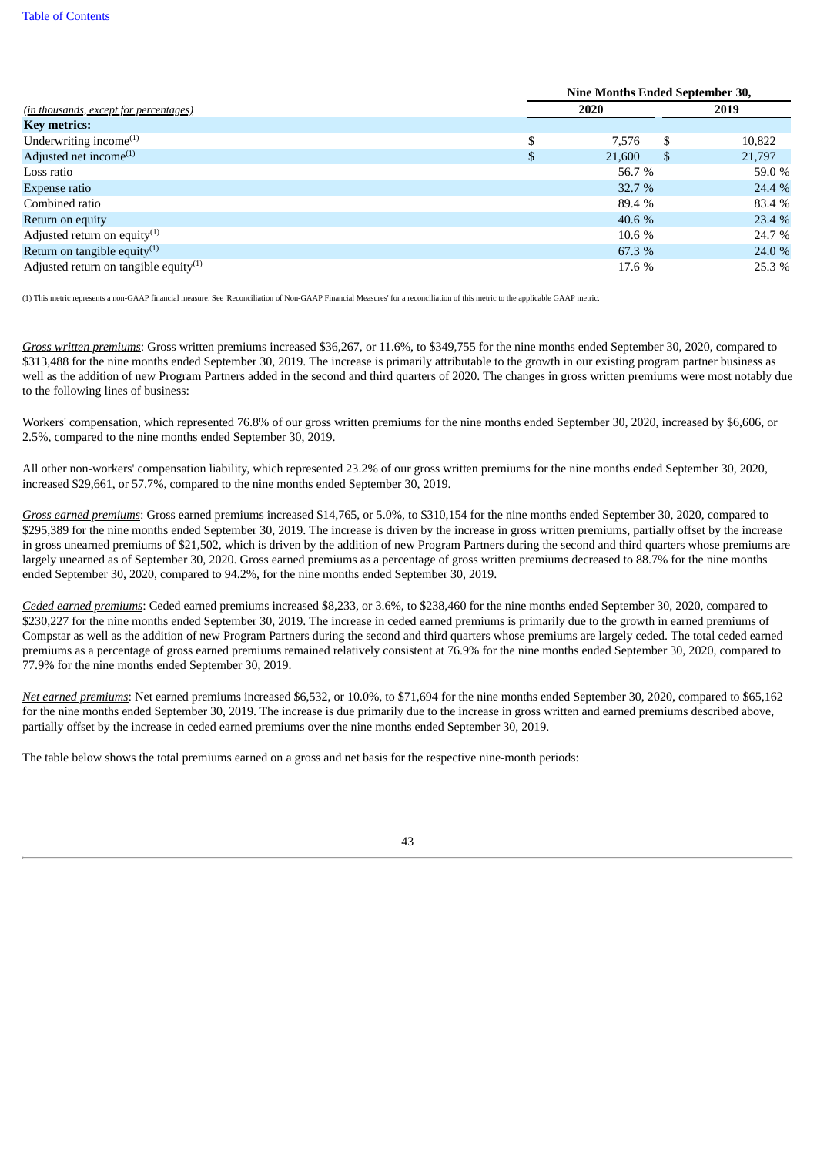|                                          | Nine Months Ended September 30, |          |    |        |  |  |  |
|------------------------------------------|---------------------------------|----------|----|--------|--|--|--|
| (in thousands, except for percentages)   |                                 | 2020     |    | 2019   |  |  |  |
| <b>Key metrics:</b>                      |                                 |          |    |        |  |  |  |
| Underwriting income $(1)$                | \$                              | 7.576    | \$ | 10,822 |  |  |  |
| Adjusted net income <sup>(1)</sup>       | S                               | 21,600   | -S | 21,797 |  |  |  |
| Loss ratio                               |                                 | 56.7%    |    | 59.0 % |  |  |  |
| Expense ratio                            |                                 | 32.7 %   |    | 24.4 % |  |  |  |
| Combined ratio                           |                                 | 89.4 %   |    | 83.4 % |  |  |  |
| Return on equity                         |                                 | 40.6 %   |    | 23.4 % |  |  |  |
| Adjusted return on equity <sup>(1)</sup> |                                 | $10.6\%$ |    | 24.7 % |  |  |  |
| Return on tangible equity $(1)$          |                                 | 67.3 %   |    | 24.0 % |  |  |  |
| Adjusted return on tangible equity $(1)$ |                                 | 17.6 %   |    | 25.3 % |  |  |  |

(1) This metric represents a non-GAAP financial measure. See 'Reconciliation of Non-GAAP Financial Measures' for a reconciliation of this metric to the applicable GAAP metric.

*Gross written premiums*: Gross written premiums increased \$36,267, or 11.6%, to \$349,755 for the nine months ended September 30, 2020, compared to \$313,488 for the nine months ended September 30, 2019. The increase is primarily attributable to the growth in our existing program partner business as well as the addition of new Program Partners added in the second and third quarters of 2020. The changes in gross written premiums were most notably due to the following lines of business:

Workers' compensation, which represented 76.8% of our gross written premiums for the nine months ended September 30, 2020, increased by \$6,606, or 2.5%, compared to the nine months ended September 30, 2019.

All other non-workers' compensation liability, which represented 23.2% of our gross written premiums for the nine months ended September 30, 2020, increased \$29,661, or 57.7%, compared to the nine months ended September 30, 2019.

*Gross earned premiums*: Gross earned premiums increased \$14,765, or 5.0%, to \$310,154 for the nine months ended September 30, 2020, compared to \$295,389 for the nine months ended September 30, 2019. The increase is driven by the increase in gross written premiums, partially offset by the increase in gross unearned premiums of \$21,502, which is driven by the addition of new Program Partners during the second and third quarters whose premiums are largely unearned as of September 30, 2020. Gross earned premiums as a percentage of gross written premiums decreased to 88.7% for the nine months ended September 30, 2020, compared to 94.2%, for the nine months ended September 30, 2019.

*Ceded earned premiums*: Ceded earned premiums increased \$8,233, or 3.6%, to \$238,460 for the nine months ended September 30, 2020, compared to \$230,227 for the nine months ended September 30, 2019. The increase in ceded earned premiums is primarily due to the growth in earned premiums of Compstar as well as the addition of new Program Partners during the second and third quarters whose premiums are largely ceded. The total ceded earned premiums as a percentage of gross earned premiums remained relatively consistent at 76.9% for the nine months ended September 30, 2020, compared to 77.9% for the nine months ended September 30, 2019.

*Net earned premiums*: Net earned premiums increased \$6,532, or 10.0%, to \$71,694 for the nine months ended September 30, 2020, compared to \$65,162 for the nine months ended September 30, 2019. The increase is due primarily due to the increase in gross written and earned premiums described above, partially offset by the increase in ceded earned premiums over the nine months ended September 30, 2019.

The table below shows the total premiums earned on a gross and net basis for the respective nine-month periods: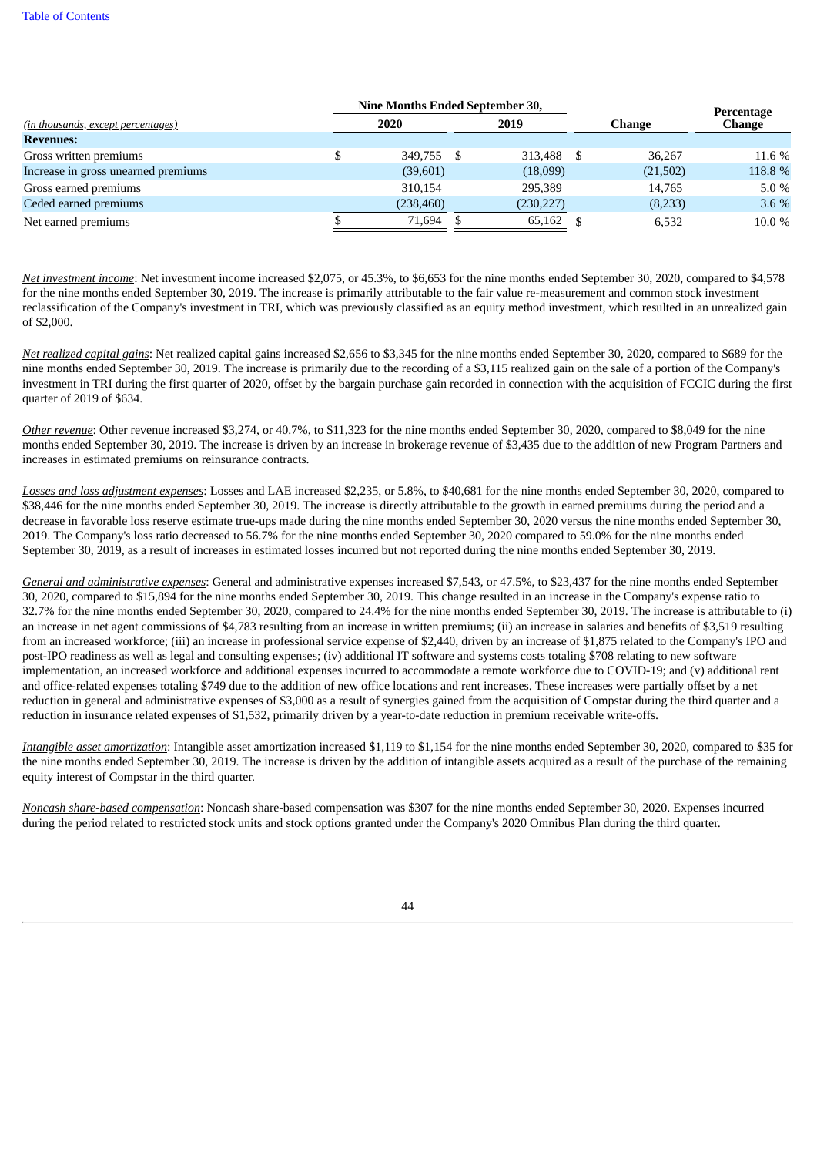|                                     | Nine Months Ended September 30, |            |           | Percentage |
|-------------------------------------|---------------------------------|------------|-----------|------------|
| (in thousands, except percentages)  | 2020                            | 2019       | Change    | Change     |
| <b>Revenues:</b>                    |                                 |            |           |            |
| Gross written premiums              | 349.755                         | 313.488 \$ | 36.267    | 11.6 %     |
| Increase in gross unearned premiums | (39,601)                        | (18,099)   | (21, 502) | 118.8 %    |
| Gross earned premiums               | 310.154                         | 295,389    | 14.765    | $5.0\%$    |
| Ceded earned premiums               | (238, 460)                      | (230, 227) | (8,233)   | $3.6\%$    |
| Net earned premiums                 | 71.694                          | 65,162     | 6,532     | 10.0 %     |

*Net investment income*: Net investment income increased \$2,075, or 45.3%, to \$6,653 for the nine months ended September 30, 2020, compared to \$4,578 for the nine months ended September 30, 2019. The increase is primarily attributable to the fair value re-measurement and common stock investment reclassification of the Company's investment in TRI, which was previously classified as an equity method investment, which resulted in an unrealized gain of \$2,000.

*Net realized capital gains*: Net realized capital gains increased \$2,656 to \$3,345 for the nine months ended September 30, 2020, compared to \$689 for the nine months ended September 30, 2019. The increase is primarily due to the recording of a \$3,115 realized gain on the sale of a portion of the Company's investment in TRI during the first quarter of 2020, offset by the bargain purchase gain recorded in connection with the acquisition of FCCIC during the first quarter of 2019 of \$634.

*Other revenue*: Other revenue increased \$3,274, or 40.7%, to \$11,323 for the nine months ended September 30, 2020, compared to \$8,049 for the nine months ended September 30, 2019. The increase is driven by an increase in brokerage revenue of \$3,435 due to the addition of new Program Partners and increases in estimated premiums on reinsurance contracts.

*Losses and loss adjustment expenses*: Losses and LAE increased \$2,235, or 5.8%, to \$40,681 for the nine months ended September 30, 2020, compared to \$38,446 for the nine months ended September 30, 2019. The increase is directly attributable to the growth in earned premiums during the period and a decrease in favorable loss reserve estimate true-ups made during the nine months ended September 30, 2020 versus the nine months ended September 30, 2019. The Company's loss ratio decreased to 56.7% for the nine months ended September 30, 2020 compared to 59.0% for the nine months ended September 30, 2019, as a result of increases in estimated losses incurred but not reported during the nine months ended September 30, 2019.

*General and administrative expenses*: General and administrative expenses increased \$7,543, or 47.5%, to \$23,437 for the nine months ended September 30, 2020, compared to \$15,894 for the nine months ended September 30, 2019. This change resulted in an increase in the Company's expense ratio to 32.7% for the nine months ended September 30, 2020, compared to 24.4% for the nine months ended September 30, 2019. The increase is attributable to (i) an increase in net agent commissions of \$4,783 resulting from an increase in written premiums; (ii) an increase in salaries and benefits of \$3,519 resulting from an increased workforce; (iii) an increase in professional service expense of \$2,440, driven by an increase of \$1,875 related to the Company's IPO and post-IPO readiness as well as legal and consulting expenses; (iv) additional IT software and systems costs totaling \$708 relating to new software implementation, an increased workforce and additional expenses incurred to accommodate a remote workforce due to COVID-19; and (v) additional rent and office-related expenses totaling \$749 due to the addition of new office locations and rent increases. These increases were partially offset by a net reduction in general and administrative expenses of \$3,000 as a result of synergies gained from the acquisition of Compstar during the third quarter and a reduction in insurance related expenses of \$1,532, primarily driven by a year-to-date reduction in premium receivable write-offs.

*Intangible asset amortization*: Intangible asset amortization increased \$1,119 to \$1,154 for the nine months ended September 30, 2020, compared to \$35 for the nine months ended September 30, 2019. The increase is driven by the addition of intangible assets acquired as a result of the purchase of the remaining equity interest of Compstar in the third quarter.

*Noncash share-based compensation*: Noncash share-based compensation was \$307 for the nine months ended September 30, 2020. Expenses incurred during the period related to restricted stock units and stock options granted under the Company's 2020 Omnibus Plan during the third quarter.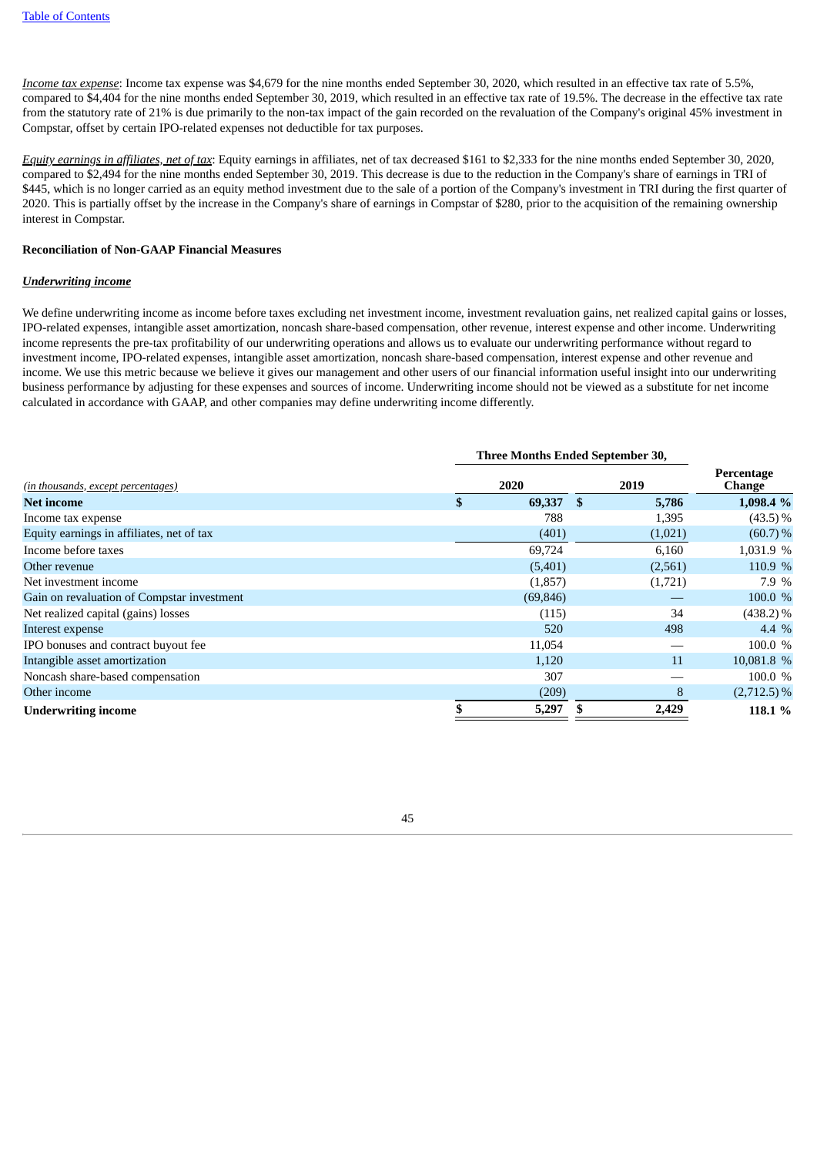*Income tax expense*: Income tax expense was \$4,679 for the nine months ended September 30, 2020, which resulted in an effective tax rate of 5.5%, compared to \$4,404 for the nine months ended September 30, 2019, which resulted in an effective tax rate of 19.5%. The decrease in the effective tax rate from the statutory rate of 21% is due primarily to the non-tax impact of the gain recorded on the revaluation of the Company's original 45% investment in Compstar, offset by certain IPO-related expenses not deductible for tax purposes.

*Equity earnings in affiliates, net of tax*: Equity earnings in affiliates, net of tax decreased \$161 to \$2,333 for the nine months ended September 30, 2020, compared to \$2,494 for the nine months ended September 30, 2019. This decrease is due to the reduction in the Company's share of earnings in TRI of \$445, which is no longer carried as an equity method investment due to the sale of a portion of the Company's investment in TRI during the first quarter of 2020. This is partially offset by the increase in the Company's share of earnings in Compstar of \$280, prior to the acquisition of the remaining ownership interest in Compstar.

#### **Reconciliation of Non-GAAP Financial Measures**

#### *Underwriting income*

We define underwriting income as income before taxes excluding net investment income, investment revaluation gains, net realized capital gains or losses, IPO-related expenses, intangible asset amortization, noncash share-based compensation, other revenue, interest expense and other income. Underwriting income represents the pre-tax profitability of our underwriting operations and allows us to evaluate our underwriting performance without regard to investment income, IPO-related expenses, intangible asset amortization, noncash share-based compensation, interest expense and other revenue and income. We use this metric because we believe it gives our management and other users of our financial information useful insight into our underwriting business performance by adjusting for these expenses and sources of income. Underwriting income should not be viewed as a substitute for net income calculated in accordance with GAAP, and other companies may define underwriting income differently.

|                                            | Three Months Ended September 30, |           |  |         |                             |  |
|--------------------------------------------|----------------------------------|-----------|--|---------|-----------------------------|--|
| (in thousands, except percentages)         | 2020                             |           |  | 2019    | Percentage<br><b>Change</b> |  |
| Net income                                 |                                  | 69,337 \$ |  | 5,786   | 1,098.4 %                   |  |
| Income tax expense                         |                                  | 788       |  | 1,395   | $(43.5)\%$                  |  |
| Equity earnings in affiliates, net of tax  |                                  | (401)     |  | (1,021) | $(60.7)\%$                  |  |
| Income before taxes                        |                                  | 69,724    |  | 6,160   | 1,031.9 %                   |  |
| Other revenue                              |                                  | (5,401)   |  | (2,561) | 110.9 %                     |  |
| Net investment income                      |                                  | (1,857)   |  | (1,721) | 7.9 %                       |  |
| Gain on revaluation of Compstar investment |                                  | (69, 846) |  |         | 100.0 %                     |  |
| Net realized capital (gains) losses        |                                  | (115)     |  | 34      | $(438.2)\%$                 |  |
| Interest expense                           |                                  | 520       |  | 498     | 4.4 $%$                     |  |
| IPO bonuses and contract buyout fee        |                                  | 11,054    |  |         | 100.0 %                     |  |
| Intangible asset amortization              |                                  | 1,120     |  | 11      | 10,081.8 %                  |  |
| Noncash share-based compensation           |                                  | 307       |  |         | 100.0 %                     |  |
| Other income                               |                                  | (209)     |  | 8       | $(2,712.5)\%$               |  |
| <b>Underwriting income</b>                 |                                  | 5,297     |  | 2,429   | 118.1 %                     |  |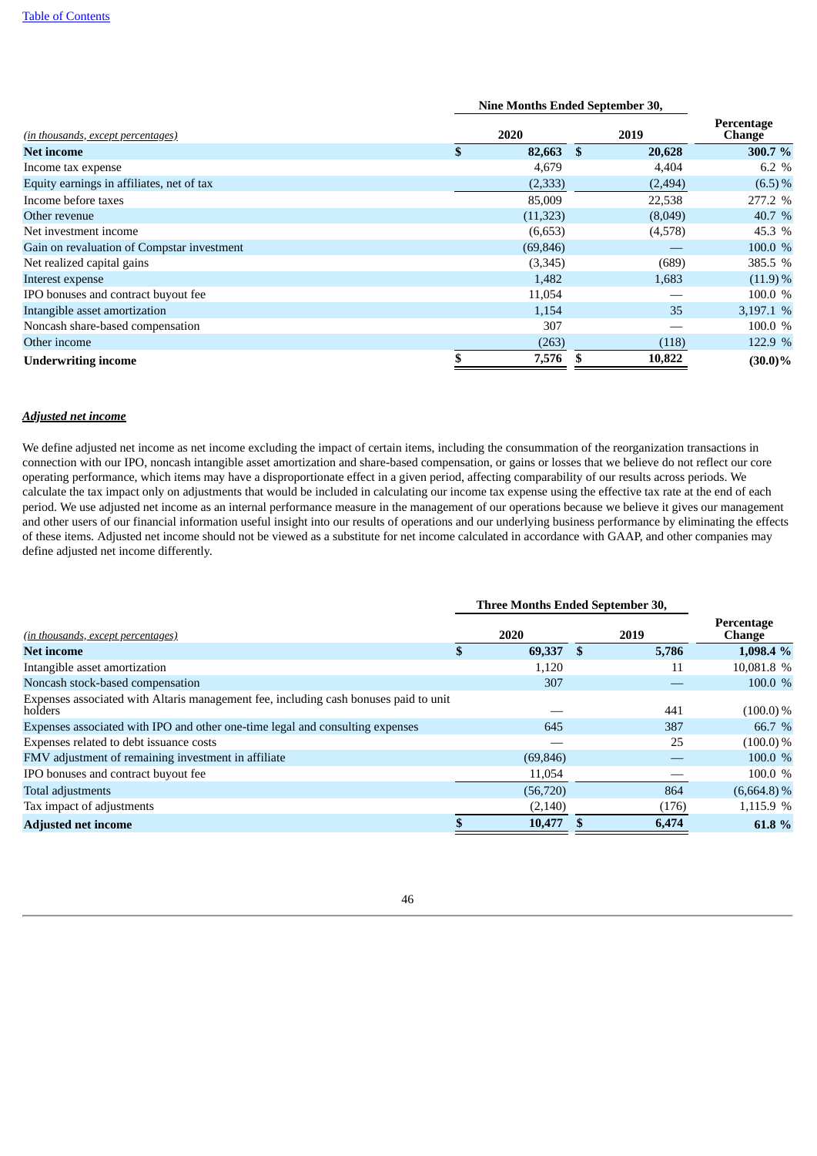|                                            | Nine Months Ended September 30, |           |      |          |                             |  |
|--------------------------------------------|---------------------------------|-----------|------|----------|-----------------------------|--|
| (in thousands, except percentages)         |                                 | 2020      | 2019 |          | Percentage<br><b>Change</b> |  |
| <b>Net income</b>                          | \$                              | 82,663    | - \$ | 20,628   | 300.7 %                     |  |
| Income tax expense                         |                                 | 4,679     |      | 4,404    | 6.2 %                       |  |
| Equity earnings in affiliates, net of tax  |                                 | (2, 333)  |      | (2, 494) | $(6.5) \%$                  |  |
| Income before taxes                        |                                 | 85,009    |      | 22,538   | 277.2 %                     |  |
| Other revenue                              |                                 | (11, 323) |      | (8,049)  | 40.7 %                      |  |
| Net investment income                      |                                 | (6,653)   |      | (4,578)  | 45.3 %                      |  |
| Gain on revaluation of Compstar investment |                                 | (69, 846) |      |          | 100.0 %                     |  |
| Net realized capital gains                 |                                 | (3,345)   |      | (689)    | 385.5 %                     |  |
| Interest expense                           |                                 | 1,482     |      | 1,683    | $(11.9)$ %                  |  |
| IPO bonuses and contract buyout fee        |                                 | 11,054    |      |          | 100.0 %                     |  |
| Intangible asset amortization              |                                 | 1,154     |      | 35       | 3,197.1 %                   |  |
| Noncash share-based compensation           |                                 | 307       |      |          | 100.0 %                     |  |
| Other income                               |                                 | (263)     |      | (118)    | 122.9 %                     |  |
| <b>Underwriting income</b>                 |                                 | 7,576     |      | 10,822   | $(30.0)\%$                  |  |

### *Adjusted net income*

We define adjusted net income as net income excluding the impact of certain items, including the consummation of the reorganization transactions in connection with our IPO, noncash intangible asset amortization and share-based compensation, or gains or losses that we believe do not reflect our core operating performance, which items may have a disproportionate effect in a given period, affecting comparability of our results across periods. We calculate the tax impact only on adjustments that would be included in calculating our income tax expense using the effective tax rate at the end of each period. We use adjusted net income as an internal performance measure in the management of our operations because we believe it gives our management and other users of our financial information useful insight into our results of operations and our underlying business performance by eliminating the effects of these items. Adjusted net income should not be viewed as a substitute for net income calculated in accordance with GAAP, and other companies may define adjusted net income differently.

|                                                                                                 | <b>Three Months Ended September 30,</b> |               |                      |
|-------------------------------------------------------------------------------------------------|-----------------------------------------|---------------|----------------------|
| (in thousands, except percentages)                                                              | 2020                                    | 2019          | Percentage<br>Change |
| <b>Net income</b>                                                                               | 69,337                                  | 5,786<br>- \$ | 1,098.4 %            |
| Intangible asset amortization                                                                   | 1,120                                   | 11            | 10,081.8 %           |
| Noncash stock-based compensation                                                                | 307                                     |               | 100.0 %              |
| Expenses associated with Altaris management fee, including cash bonuses paid to unit<br>holders |                                         | 441           | $(100.0)\%$          |
| Expenses associated with IPO and other one-time legal and consulting expenses                   | 645                                     | 387           | 66.7 %               |
| Expenses related to debt issuance costs                                                         |                                         | 25            | $(100.0)\%$          |
| FMV adjustment of remaining investment in affiliate                                             | (69, 846)                               |               | 100.0 %              |
| IPO bonuses and contract buyout fee                                                             | 11,054                                  |               | 100.0 %              |
| Total adjustments                                                                               | (56, 720)                               | 864           | $(6,664.8)\%$        |
| Tax impact of adjustments                                                                       | (2,140)                                 | (176)         | 1,115.9 %            |
| <b>Adjusted net income</b>                                                                      | 10,477                                  | 6,474         | 61.8 %               |

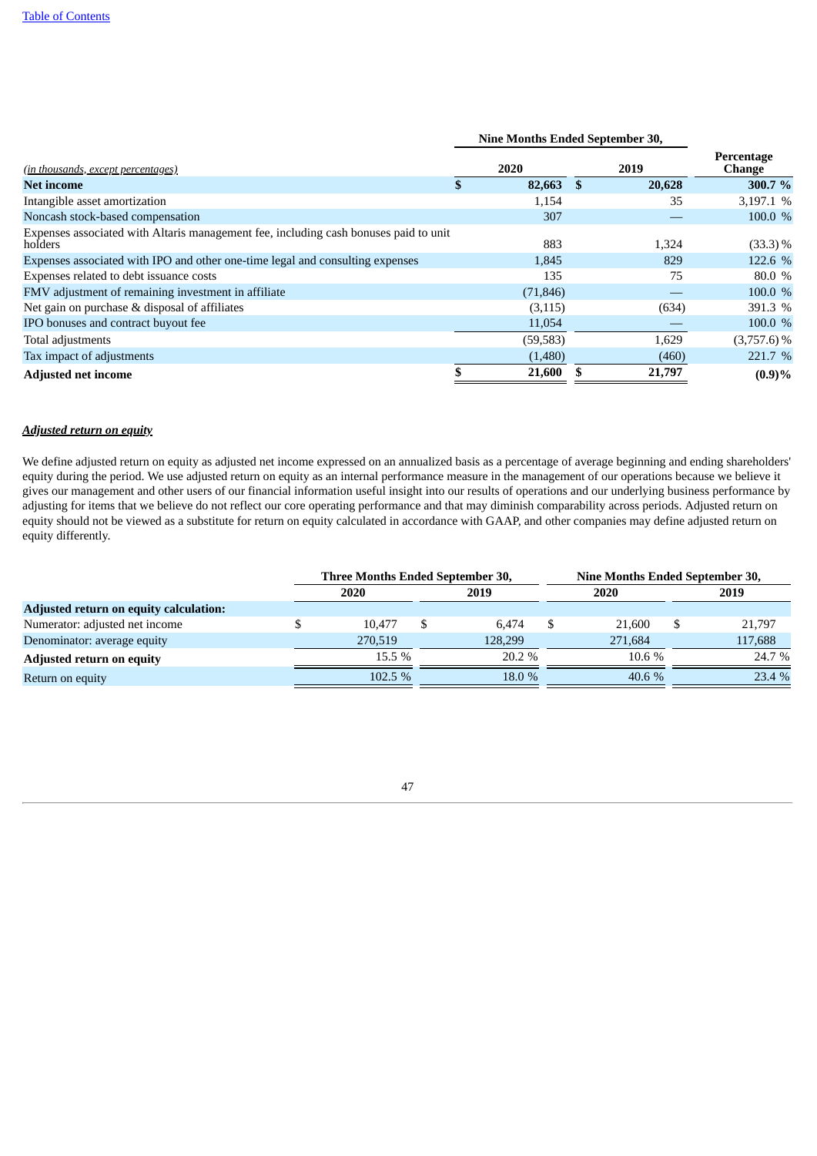|                                                                                                 | Nine Months Ended September 30, |                |                             |
|-------------------------------------------------------------------------------------------------|---------------------------------|----------------|-----------------------------|
| (in thousands, except percentages)                                                              | 2020                            | 2019           | Percentage<br><b>Change</b> |
| <b>Net income</b>                                                                               | 82,663                          | 20,628<br>- \$ | 300.7 %                     |
| Intangible asset amortization                                                                   | 1,154                           | 35             | 3,197.1 %                   |
| Noncash stock-based compensation                                                                | 307                             |                | 100.0 %                     |
| Expenses associated with Altaris management fee, including cash bonuses paid to unit<br>holders | 883                             | 1,324          | $(33.3)$ %                  |
| Expenses associated with IPO and other one-time legal and consulting expenses                   | 1,845                           | 829            | 122.6 %                     |
| Expenses related to debt issuance costs                                                         | 135                             | 75             | 80.0 %                      |
| FMV adjustment of remaining investment in affiliate                                             | (71, 846)                       |                | 100.0 %                     |
| Net gain on purchase & disposal of affiliates                                                   | (3, 115)                        | (634)          | 391.3 %                     |
| IPO bonuses and contract buyout fee                                                             | 11,054                          |                | 100.0 %                     |
| Total adjustments                                                                               | (59, 583)                       | 1,629          | $(3,757.6)$ %               |
| Tax impact of adjustments                                                                       | (1,480)                         | (460)          | 221.7 %                     |
| <b>Adjusted net income</b>                                                                      | 21,600                          | 21,797         | $(0.9)\%$                   |

## *Adjusted return on equity*

We define adjusted return on equity as adjusted net income expressed on an annualized basis as a percentage of average beginning and ending shareholders' equity during the period. We use adjusted return on equity as an internal performance measure in the management of our operations because we believe it gives our management and other users of our financial information useful insight into our results of operations and our underlying business performance by adjusting for items that we believe do not reflect our core operating performance and that may diminish comparability across periods. Adjusted return on equity should not be viewed as a substitute for return on equity calculated in accordance with GAAP, and other companies may define adjusted return on equity differently.

|                                        | Three Months Ended September 30, |         |  | Nine Months Ended September 30, |  |             |  |         |
|----------------------------------------|----------------------------------|---------|--|---------------------------------|--|-------------|--|---------|
|                                        |                                  | 2020    |  | 2019                            |  | <b>2020</b> |  | 2019    |
| Adjusted return on equity calculation: |                                  |         |  |                                 |  |             |  |         |
| Numerator: adjusted net income         |                                  | 10.477  |  | 6.474                           |  | 21,600      |  | 21,797  |
| Denominator: average equity            |                                  | 270,519 |  | 128,299                         |  | 271,684     |  | 117,688 |
| <b>Adjusted return on equity</b>       |                                  | 15.5 %  |  | 20.2 %                          |  | 10.6 %      |  | 24.7 %  |
| Return on equity                       |                                  | 102.5 % |  | 18.0 %                          |  | 40.6 %      |  | 23.4 %  |

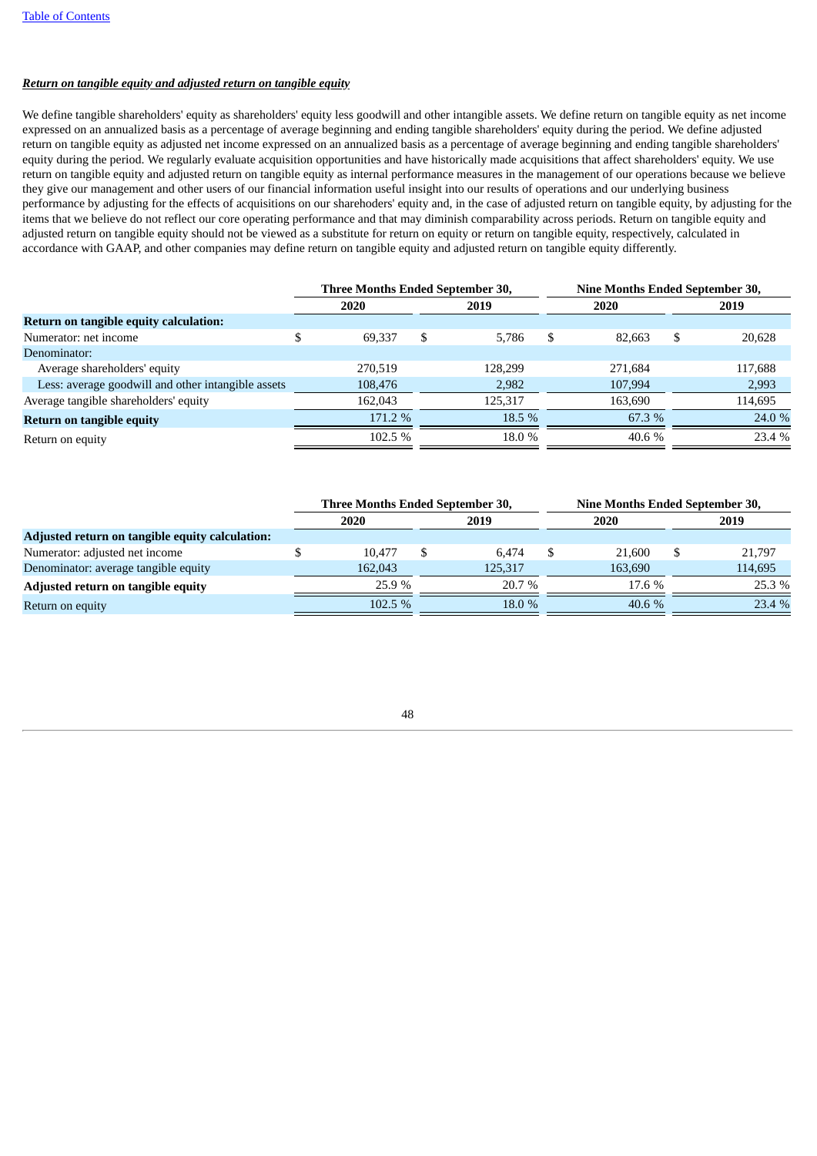# *Return on tangible equity and adjusted return on tangible equity*

We define tangible shareholders' equity as shareholders' equity less goodwill and other intangible assets. We define return on tangible equity as net income expressed on an annualized basis as a percentage of average beginning and ending tangible shareholders' equity during the period. We define adjusted return on tangible equity as adjusted net income expressed on an annualized basis as a percentage of average beginning and ending tangible shareholders' equity during the period. We regularly evaluate acquisition opportunities and have historically made acquisitions that affect shareholders' equity. We use return on tangible equity and adjusted return on tangible equity as internal performance measures in the management of our operations because we believe they give our management and other users of our financial information useful insight into our results of operations and our underlying business performance by adjusting for the effects of acquisitions on our sharehoders' equity and, in the case of adjusted return on tangible equity, by adjusting for the items that we believe do not reflect our core operating performance and that may diminish comparability across periods. Return on tangible equity and adjusted return on tangible equity should not be viewed as a substitute for return on equity or return on tangible equity, respectively, calculated in accordance with GAAP, and other companies may define return on tangible equity and adjusted return on tangible equity differently.

|                                                    | <b>Three Months Ended September 30,</b> |         |    | <b>Nine Months Ended September 30,</b> |              |              |
|----------------------------------------------------|-----------------------------------------|---------|----|----------------------------------------|--------------|--------------|
|                                                    |                                         | 2020    |    | 2019                                   | 2020         | 2019         |
| Return on tangible equity calculation:             |                                         |         |    |                                        |              |              |
| Numerator: net income                              | \$                                      | 69.337  | \$ | 5.786                                  | \$<br>82.663 | \$<br>20,628 |
| Denominator:                                       |                                         |         |    |                                        |              |              |
| Average shareholders' equity                       |                                         | 270.519 |    | 128,299                                | 271,684      | 117,688      |
| Less: average goodwill and other intangible assets |                                         | 108,476 |    | 2,982                                  | 107,994      | 2,993        |
| Average tangible shareholders' equity              |                                         | 162,043 |    | 125,317                                | 163,690      | 114,695      |
| Return on tangible equity                          |                                         | 171.2 % |    | 18.5 %                                 | 67.3 %       | 24.0 %       |
| Return on equity                                   |                                         | 102.5 % |    | 18.0 %                                 | 40.6 %       | 23.4 %       |

|                                                 | <b>Three Months Ended September 30,</b> |              |  | Nine Months Ended September 30, |  |         |      |         |
|-------------------------------------------------|-----------------------------------------|--------------|--|---------------------------------|--|---------|------|---------|
|                                                 |                                         | 2020<br>2019 |  | <b>2020</b>                     |  |         | 2019 |         |
| Adjusted return on tangible equity calculation: |                                         |              |  |                                 |  |         |      |         |
| Numerator: adjusted net income                  |                                         | 10.477       |  | 6.474                           |  | 21,600  |      | 21,797  |
| Denominator: average tangible equity            |                                         | 162,043      |  | 125,317                         |  | 163,690 |      | 114,695 |
| Adjusted return on tangible equity              |                                         | 25.9%        |  | 20.7 %                          |  | 17.6 %  |      | 25.3 %  |
| Return on equity                                |                                         | 102.5 %      |  | 18.0 %                          |  | 40.6 %  |      | 23.4 %  |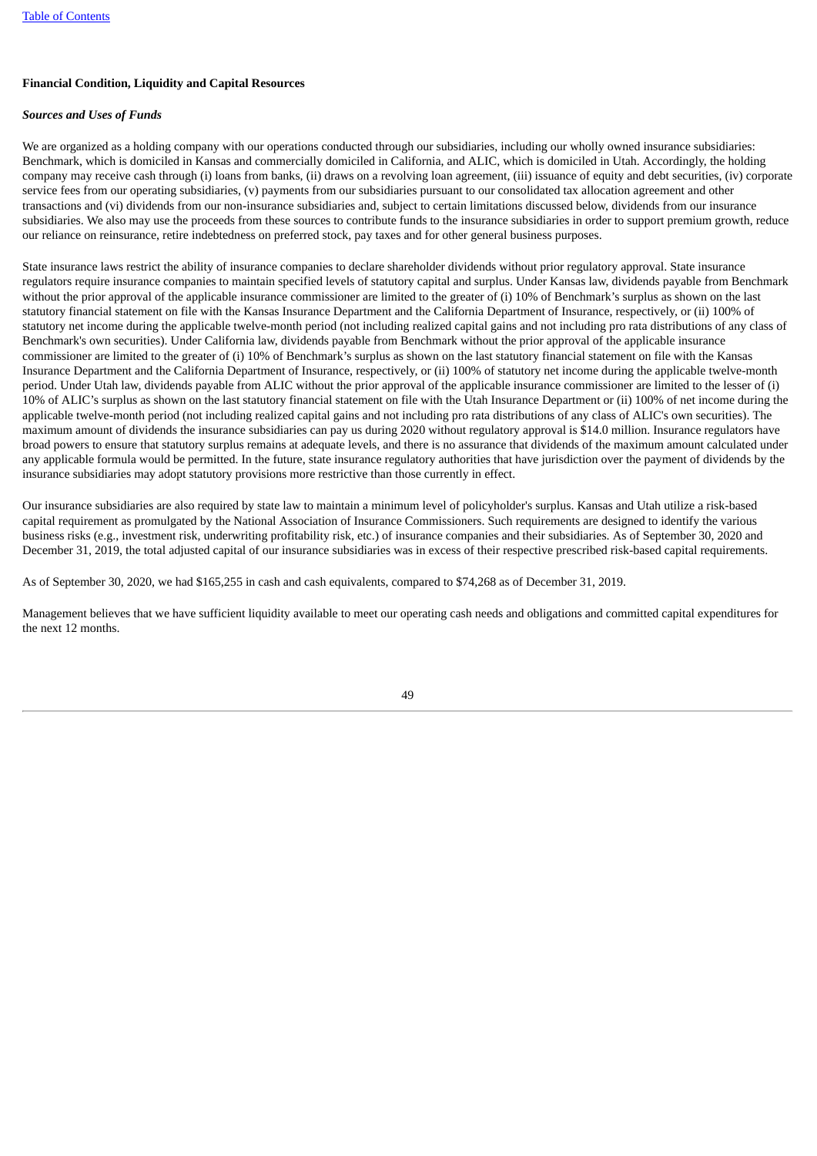### **Financial Condition, Liquidity and Capital Resources**

### *Sources and Uses of Funds*

We are organized as a holding company with our operations conducted through our subsidiaries, including our wholly owned insurance subsidiaries: Benchmark, which is domiciled in Kansas and commercially domiciled in California, and ALIC, which is domiciled in Utah. Accordingly, the holding company may receive cash through (i) loans from banks, (ii) draws on a revolving loan agreement, (iii) issuance of equity and debt securities, (iv) corporate service fees from our operating subsidiaries, (v) payments from our subsidiaries pursuant to our consolidated tax allocation agreement and other transactions and (vi) dividends from our non-insurance subsidiaries and, subject to certain limitations discussed below, dividends from our insurance subsidiaries. We also may use the proceeds from these sources to contribute funds to the insurance subsidiaries in order to support premium growth, reduce our reliance on reinsurance, retire indebtedness on preferred stock, pay taxes and for other general business purposes.

State insurance laws restrict the ability of insurance companies to declare shareholder dividends without prior regulatory approval. State insurance regulators require insurance companies to maintain specified levels of statutory capital and surplus. Under Kansas law, dividends payable from Benchmark without the prior approval of the applicable insurance commissioner are limited to the greater of (i) 10% of Benchmark's surplus as shown on the last statutory financial statement on file with the Kansas Insurance Department and the California Department of Insurance, respectively, or (ii) 100% of statutory net income during the applicable twelve-month period (not including realized capital gains and not including pro rata distributions of any class of Benchmark's own securities). Under California law, dividends payable from Benchmark without the prior approval of the applicable insurance commissioner are limited to the greater of (i) 10% of Benchmark's surplus as shown on the last statutory financial statement on file with the Kansas Insurance Department and the California Department of Insurance, respectively, or (ii) 100% of statutory net income during the applicable twelve-month period. Under Utah law, dividends payable from ALIC without the prior approval of the applicable insurance commissioner are limited to the lesser of (i) 10% of ALIC's surplus as shown on the last statutory financial statement on file with the Utah Insurance Department or (ii) 100% of net income during the applicable twelve-month period (not including realized capital gains and not including pro rata distributions of any class of ALIC's own securities). The maximum amount of dividends the insurance subsidiaries can pay us during 2020 without regulatory approval is \$14.0 million. Insurance regulators have broad powers to ensure that statutory surplus remains at adequate levels, and there is no assurance that dividends of the maximum amount calculated under any applicable formula would be permitted. In the future, state insurance regulatory authorities that have jurisdiction over the payment of dividends by the insurance subsidiaries may adopt statutory provisions more restrictive than those currently in effect.

Our insurance subsidiaries are also required by state law to maintain a minimum level of policyholder's surplus. Kansas and Utah utilize a risk-based capital requirement as promulgated by the National Association of Insurance Commissioners. Such requirements are designed to identify the various business risks (e.g., investment risk, underwriting profitability risk, etc.) of insurance companies and their subsidiaries. As of September 30, 2020 and December 31, 2019, the total adjusted capital of our insurance subsidiaries was in excess of their respective prescribed risk-based capital requirements.

As of September 30, 2020, we had \$165,255 in cash and cash equivalents, compared to \$74,268 as of December 31, 2019.

Management believes that we have sufficient liquidity available to meet our operating cash needs and obligations and committed capital expenditures for the next 12 months.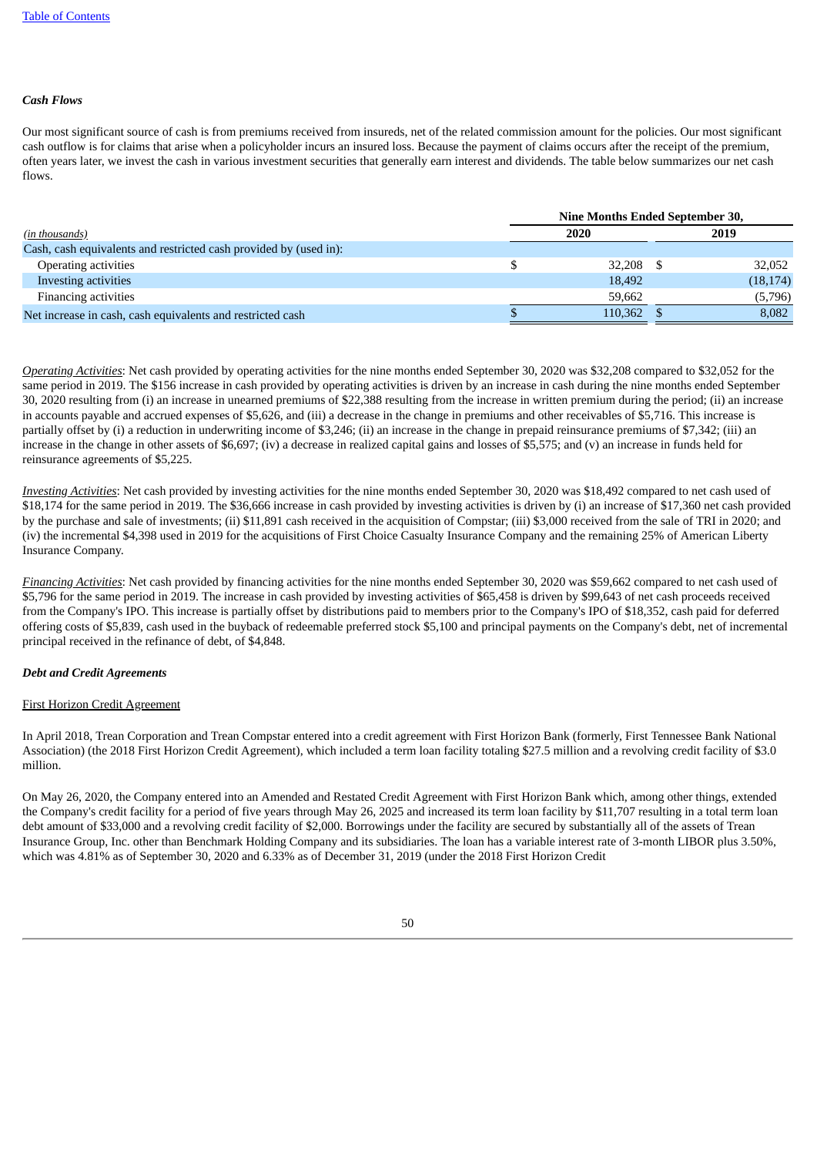### *Cash Flows*

Our most significant source of cash is from premiums received from insureds, net of the related commission amount for the policies. Our most significant cash outflow is for claims that arise when a policyholder incurs an insured loss. Because the payment of claims occurs after the receipt of the premium, often years later, we invest the cash in various investment securities that generally earn interest and dividends. The table below summarizes our net cash flows.

|                                                                   | Nine Months Ended September 30, |             |  |           |  |  |
|-------------------------------------------------------------------|---------------------------------|-------------|--|-----------|--|--|
| (in thousands)                                                    |                                 | 2020        |  | 2019      |  |  |
| Cash, cash equivalents and restricted cash provided by (used in): |                                 |             |  |           |  |  |
| Operating activities                                              |                                 | $32.208$ \$ |  | 32.052    |  |  |
| Investing activities                                              |                                 | 18,492      |  | (18, 174) |  |  |
| <b>Financing activities</b>                                       |                                 | 59.662      |  | (5,796)   |  |  |
| Net increase in cash, cash equivalents and restricted cash        |                                 | 110,362     |  | 8,082     |  |  |

*Operating Activities*: Net cash provided by operating activities for the nine months ended September 30, 2020 was \$32,208 compared to \$32,052 for the same period in 2019. The \$156 increase in cash provided by operating activities is driven by an increase in cash during the nine months ended September 30, 2020 resulting from (i) an increase in unearned premiums of \$22,388 resulting from the increase in written premium during the period; (ii) an increase in accounts payable and accrued expenses of \$5,626, and (iii) a decrease in the change in premiums and other receivables of \$5,716. This increase is partially offset by (i) a reduction in underwriting income of \$3,246; (ii) an increase in the change in prepaid reinsurance premiums of \$7,342; (iii) an increase in the change in other assets of \$6,697; (iv) a decrease in realized capital gains and losses of \$5,575; and (v) an increase in funds held for reinsurance agreements of \$5,225.

*Investing Activities*: Net cash provided by investing activities for the nine months ended September 30, 2020 was \$18,492 compared to net cash used of \$18,174 for the same period in 2019. The \$36,666 increase in cash provided by investing activities is driven by (i) an increase of \$17,360 net cash provided by the purchase and sale of investments; (ii) \$11,891 cash received in the acquisition of Compstar; (iii) \$3,000 received from the sale of TRI in 2020; and (iv) the incremental \$4,398 used in 2019 for the acquisitions of First Choice Casualty Insurance Company and the remaining 25% of American Liberty Insurance Company.

*Financing Activities*: Net cash provided by financing activities for the nine months ended September 30, 2020 was \$59,662 compared to net cash used of \$5,796 for the same period in 2019. The increase in cash provided by investing activities of \$65,458 is driven by \$99,643 of net cash proceeds received from the Company's IPO. This increase is partially offset by distributions paid to members prior to the Company's IPO of \$18,352, cash paid for deferred offering costs of \$5,839, cash used in the buyback of redeemable preferred stock \$5,100 and principal payments on the Company's debt, net of incremental principal received in the refinance of debt, of \$4,848.

#### *Debt and Credit Agreements*

#### First Horizon Credit Agreement

In April 2018, Trean Corporation and Trean Compstar entered into a credit agreement with First Horizon Bank (formerly, First Tennessee Bank National Association) (the 2018 First Horizon Credit Agreement), which included a term loan facility totaling \$27.5 million and a revolving credit facility of \$3.0 million.

On May 26, 2020, the Company entered into an Amended and Restated Credit Agreement with First Horizon Bank which, among other things, extended the Company's credit facility for a period of five years through May 26, 2025 and increased its term loan facility by \$11,707 resulting in a total term loan debt amount of \$33,000 and a revolving credit facility of \$2,000. Borrowings under the facility are secured by substantially all of the assets of Trean Insurance Group, Inc. other than Benchmark Holding Company and its subsidiaries. The loan has a variable interest rate of 3-month LIBOR plus 3.50%, which was 4.81% as of September 30, 2020 and 6.33% as of December 31, 2019 (under the 2018 First Horizon Credit

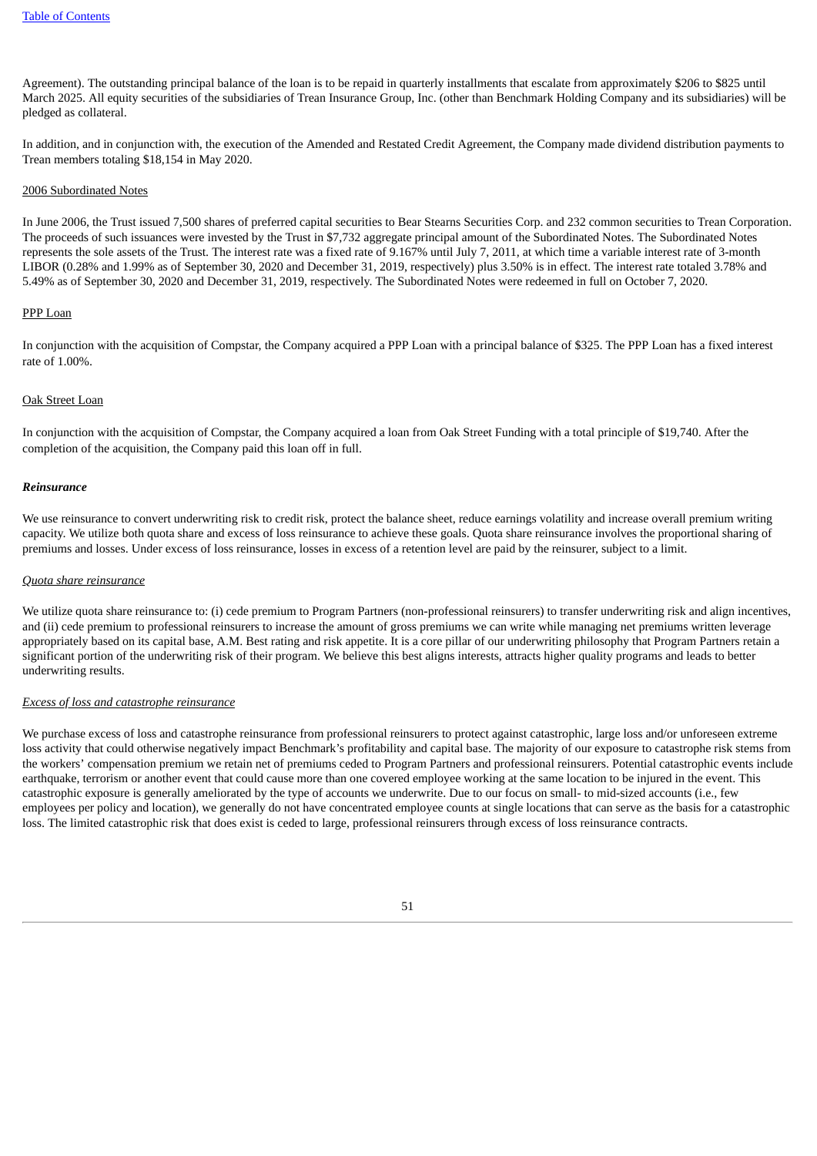Agreement). The outstanding principal balance of the loan is to be repaid in quarterly installments that escalate from approximately \$206 to \$825 until March 2025. All equity securities of the subsidiaries of Trean Insurance Group, Inc. (other than Benchmark Holding Company and its subsidiaries) will be pledged as collateral.

In addition, and in conjunction with, the execution of the Amended and Restated Credit Agreement, the Company made dividend distribution payments to Trean members totaling \$18,154 in May 2020.

#### 2006 Subordinated Notes

In June 2006, the Trust issued 7,500 shares of preferred capital securities to Bear Stearns Securities Corp. and 232 common securities to Trean Corporation. The proceeds of such issuances were invested by the Trust in \$7,732 aggregate principal amount of the Subordinated Notes. The Subordinated Notes represents the sole assets of the Trust. The interest rate was a fixed rate of 9.167% until July 7, 2011, at which time a variable interest rate of 3-month LIBOR (0.28% and 1.99% as of September 30, 2020 and December 31, 2019, respectively) plus 3.50% is in effect. The interest rate totaled 3.78% and 5.49% as of September 30, 2020 and December 31, 2019, respectively. The Subordinated Notes were redeemed in full on October 7, 2020.

#### PPP Loan

In conjunction with the acquisition of Compstar, the Company acquired a PPP Loan with a principal balance of \$325. The PPP Loan has a fixed interest rate of 1.00%.

### Oak Street Loan

In conjunction with the acquisition of Compstar, the Company acquired a loan from Oak Street Funding with a total principle of \$19,740. After the completion of the acquisition, the Company paid this loan off in full.

#### *Reinsurance*

We use reinsurance to convert underwriting risk to credit risk, protect the balance sheet, reduce earnings volatility and increase overall premium writing capacity. We utilize both quota share and excess of loss reinsurance to achieve these goals. Quota share reinsurance involves the proportional sharing of premiums and losses. Under excess of loss reinsurance, losses in excess of a retention level are paid by the reinsurer, subject to a limit.

#### *Quota share reinsurance*

We utilize quota share reinsurance to: (i) cede premium to Program Partners (non-professional reinsurers) to transfer underwriting risk and align incentives, and (ii) cede premium to professional reinsurers to increase the amount of gross premiums we can write while managing net premiums written leverage appropriately based on its capital base, A.M. Best rating and risk appetite. It is a core pillar of our underwriting philosophy that Program Partners retain a significant portion of the underwriting risk of their program. We believe this best aligns interests, attracts higher quality programs and leads to better underwriting results.

### *Excess of loss and catastrophe reinsurance*

We purchase excess of loss and catastrophe reinsurance from professional reinsurers to protect against catastrophic, large loss and/or unforeseen extreme loss activity that could otherwise negatively impact Benchmark's profitability and capital base. The majority of our exposure to catastrophe risk stems from the workers' compensation premium we retain net of premiums ceded to Program Partners and professional reinsurers. Potential catastrophic events include earthquake, terrorism or another event that could cause more than one covered employee working at the same location to be injured in the event. This catastrophic exposure is generally ameliorated by the type of accounts we underwrite. Due to our focus on small- to mid-sized accounts (i.e., few employees per policy and location), we generally do not have concentrated employee counts at single locations that can serve as the basis for a catastrophic loss. The limited catastrophic risk that does exist is ceded to large, professional reinsurers through excess of loss reinsurance contracts.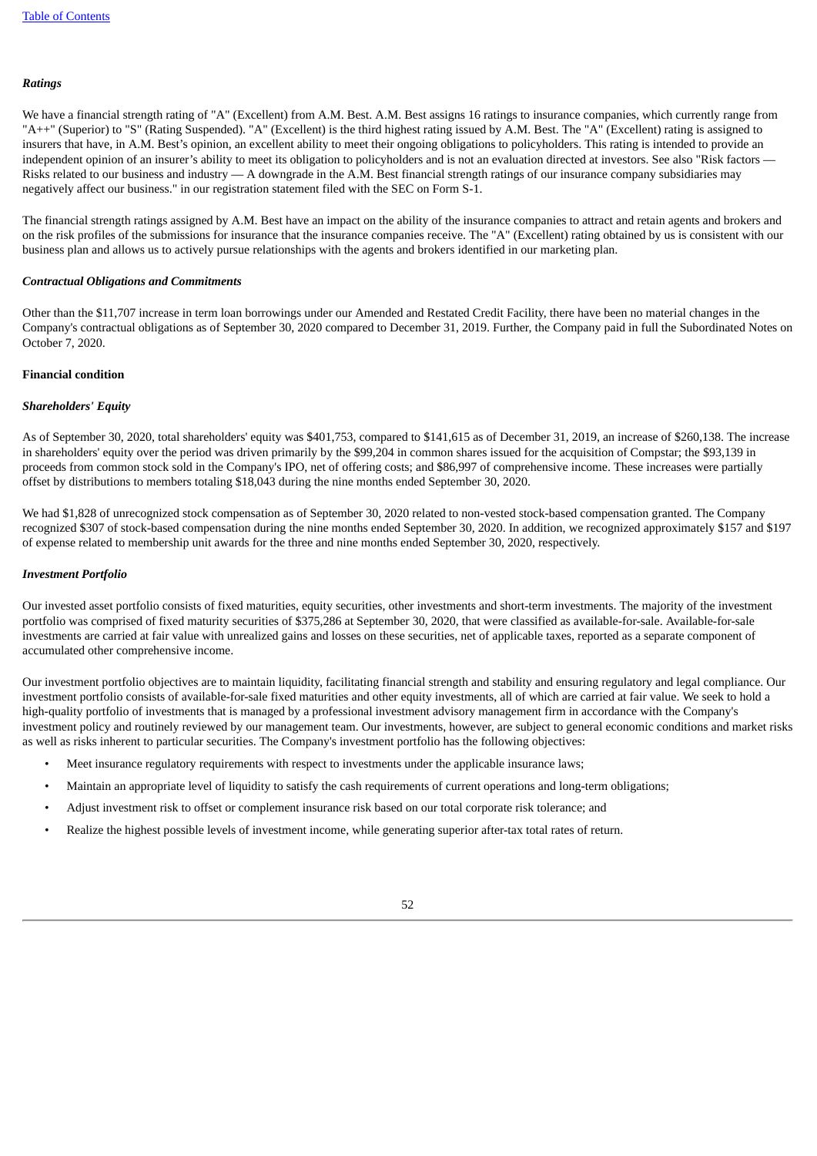### *Ratings*

We have a financial strength rating of "A" (Excellent) from A.M. Best. A.M. Best assigns 16 ratings to insurance companies, which currently range from "A++" (Superior) to "S" (Rating Suspended). "A" (Excellent) is the third highest rating issued by A.M. Best. The "A" (Excellent) rating is assigned to insurers that have, in A.M. Best's opinion, an excellent ability to meet their ongoing obligations to policyholders. This rating is intended to provide an independent opinion of an insurer's ability to meet its obligation to policyholders and is not an evaluation directed at investors. See also "Risk factors — Risks related to our business and industry — A downgrade in the A.M. Best financial strength ratings of our insurance company subsidiaries may negatively affect our business." in our registration statement filed with the SEC on Form S-1.

The financial strength ratings assigned by A.M. Best have an impact on the ability of the insurance companies to attract and retain agents and brokers and on the risk profiles of the submissions for insurance that the insurance companies receive. The "A" (Excellent) rating obtained by us is consistent with our business plan and allows us to actively pursue relationships with the agents and brokers identified in our marketing plan.

#### *Contractual Obligations and Commitments*

Other than the \$11,707 increase in term loan borrowings under our Amended and Restated Credit Facility, there have been no material changes in the Company's contractual obligations as of September 30, 2020 compared to December 31, 2019. Further, the Company paid in full the Subordinated Notes on October 7, 2020.

### **Financial condition**

### *Shareholders' Equity*

As of September 30, 2020, total shareholders' equity was \$401,753, compared to \$141,615 as of December 31, 2019, an increase of \$260,138. The increase in shareholders' equity over the period was driven primarily by the \$99,204 in common shares issued for the acquisition of Compstar; the \$93,139 in proceeds from common stock sold in the Company's IPO, net of offering costs; and \$86,997 of comprehensive income. These increases were partially offset by distributions to members totaling \$18,043 during the nine months ended September 30, 2020.

We had \$1,828 of unrecognized stock compensation as of September 30, 2020 related to non-vested stock-based compensation granted. The Company recognized \$307 of stock-based compensation during the nine months ended September 30, 2020. In addition, we recognized approximately \$157 and \$197 of expense related to membership unit awards for the three and nine months ended September 30, 2020, respectively.

### *Investment Portfolio*

Our invested asset portfolio consists of fixed maturities, equity securities, other investments and short-term investments. The majority of the investment portfolio was comprised of fixed maturity securities of \$375,286 at September 30, 2020, that were classified as available-for-sale. Available-for-sale investments are carried at fair value with unrealized gains and losses on these securities, net of applicable taxes, reported as a separate component of accumulated other comprehensive income.

Our investment portfolio objectives are to maintain liquidity, facilitating financial strength and stability and ensuring regulatory and legal compliance. Our investment portfolio consists of available-for-sale fixed maturities and other equity investments, all of which are carried at fair value. We seek to hold a high-quality portfolio of investments that is managed by a professional investment advisory management firm in accordance with the Company's investment policy and routinely reviewed by our management team. Our investments, however, are subject to general economic conditions and market risks as well as risks inherent to particular securities. The Company's investment portfolio has the following objectives:

- Meet insurance regulatory requirements with respect to investments under the applicable insurance laws;
- Maintain an appropriate level of liquidity to satisfy the cash requirements of current operations and long-term obligations;
- Adjust investment risk to offset or complement insurance risk based on our total corporate risk tolerance; and
- Realize the highest possible levels of investment income, while generating superior after-tax total rates of return.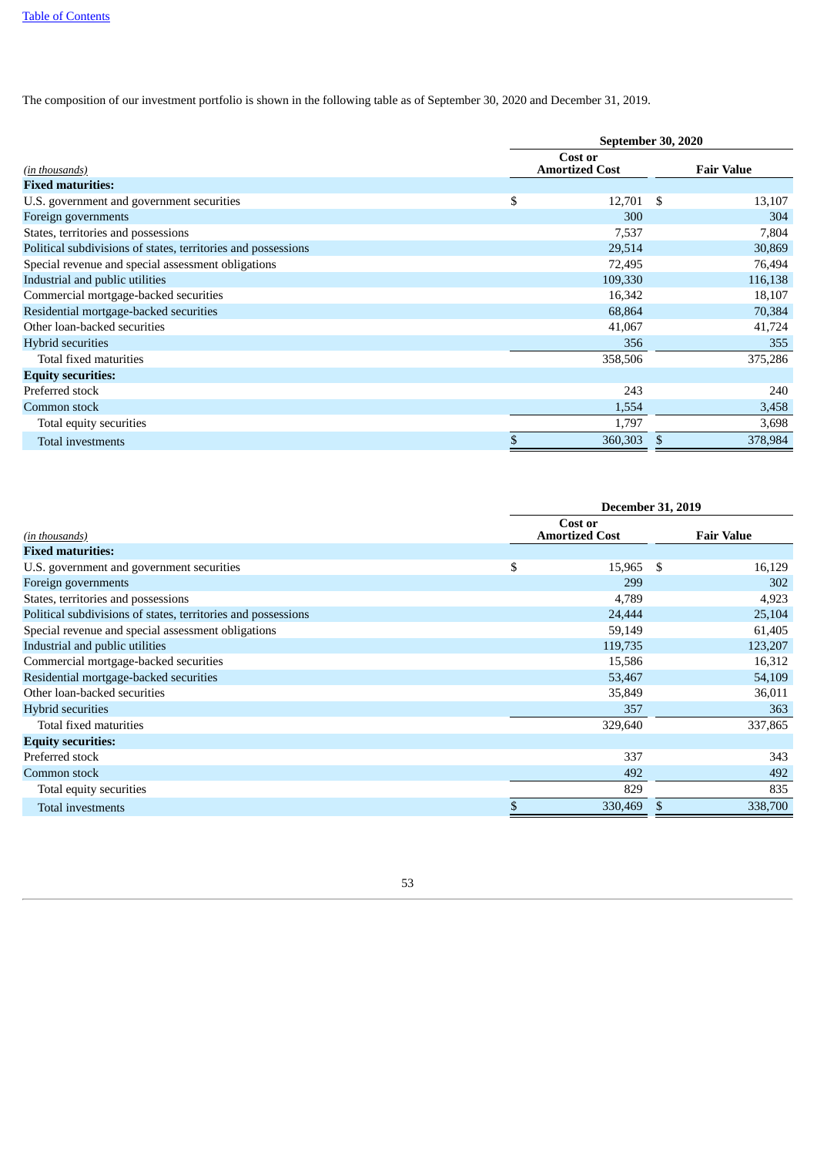The composition of our investment portfolio is shown in the following table as of September 30, 2020 and December 31, 2019.

|                                                               | September 30, 2020               |  |                   |  |  |  |  |
|---------------------------------------------------------------|----------------------------------|--|-------------------|--|--|--|--|
| (in thousands)                                                | Cost or<br><b>Amortized Cost</b> |  | <b>Fair Value</b> |  |  |  |  |
| <b>Fixed maturities:</b>                                      |                                  |  |                   |  |  |  |  |
| U.S. government and government securities                     | \$<br>$12,701$ \$                |  | 13,107            |  |  |  |  |
| Foreign governments                                           | 300                              |  | 304               |  |  |  |  |
| States, territories and possessions                           | 7,537                            |  | 7,804             |  |  |  |  |
| Political subdivisions of states, territories and possessions | 29,514                           |  | 30,869            |  |  |  |  |
| Special revenue and special assessment obligations            | 72,495                           |  | 76,494            |  |  |  |  |
| Industrial and public utilities                               | 109,330                          |  | 116,138           |  |  |  |  |
| Commercial mortgage-backed securities                         | 16,342                           |  | 18,107            |  |  |  |  |
| Residential mortgage-backed securities                        | 68,864                           |  | 70,384            |  |  |  |  |
| Other loan-backed securities                                  | 41,067                           |  | 41,724            |  |  |  |  |
| Hybrid securities                                             | 356                              |  | 355               |  |  |  |  |
| Total fixed maturities                                        | 358,506                          |  | 375,286           |  |  |  |  |
| <b>Equity securities:</b>                                     |                                  |  |                   |  |  |  |  |
| Preferred stock                                               | 243                              |  | 240               |  |  |  |  |
| Common stock                                                  | 1,554                            |  | 3,458             |  |  |  |  |
| Total equity securities                                       | 1,797                            |  | 3,698             |  |  |  |  |
| Total investments                                             | \$<br>360,303                    |  | 378,984           |  |  |  |  |

|                                                               | <b>December 31, 2019</b>         |                   |  |  |  |  |  |
|---------------------------------------------------------------|----------------------------------|-------------------|--|--|--|--|--|
| (in thousands)                                                | Cost or<br><b>Amortized Cost</b> | <b>Fair Value</b> |  |  |  |  |  |
| <b>Fixed maturities:</b>                                      |                                  |                   |  |  |  |  |  |
| U.S. government and government securities                     | \$<br>15,965 \$                  | 16,129            |  |  |  |  |  |
| Foreign governments                                           | 299                              | 302               |  |  |  |  |  |
| States, territories and possessions                           | 4,789                            | 4,923             |  |  |  |  |  |
| Political subdivisions of states, territories and possessions | 24,444                           | 25,104            |  |  |  |  |  |
| Special revenue and special assessment obligations            | 59,149                           | 61,405            |  |  |  |  |  |
| Industrial and public utilities                               | 119,735                          | 123,207           |  |  |  |  |  |
| Commercial mortgage-backed securities                         | 15,586                           | 16,312            |  |  |  |  |  |
| Residential mortgage-backed securities                        | 53,467                           | 54,109            |  |  |  |  |  |
| Other loan-backed securities                                  | 35,849                           | 36,011            |  |  |  |  |  |
| <b>Hybrid securities</b>                                      | 357                              | 363               |  |  |  |  |  |
| Total fixed maturities                                        | 329,640                          | 337,865           |  |  |  |  |  |
| <b>Equity securities:</b>                                     |                                  |                   |  |  |  |  |  |
| Preferred stock                                               | 337                              | 343               |  |  |  |  |  |
| Common stock                                                  | 492                              | 492               |  |  |  |  |  |
| Total equity securities                                       | 829                              | 835               |  |  |  |  |  |
| <b>Total investments</b>                                      | 330,469                          | 338,700           |  |  |  |  |  |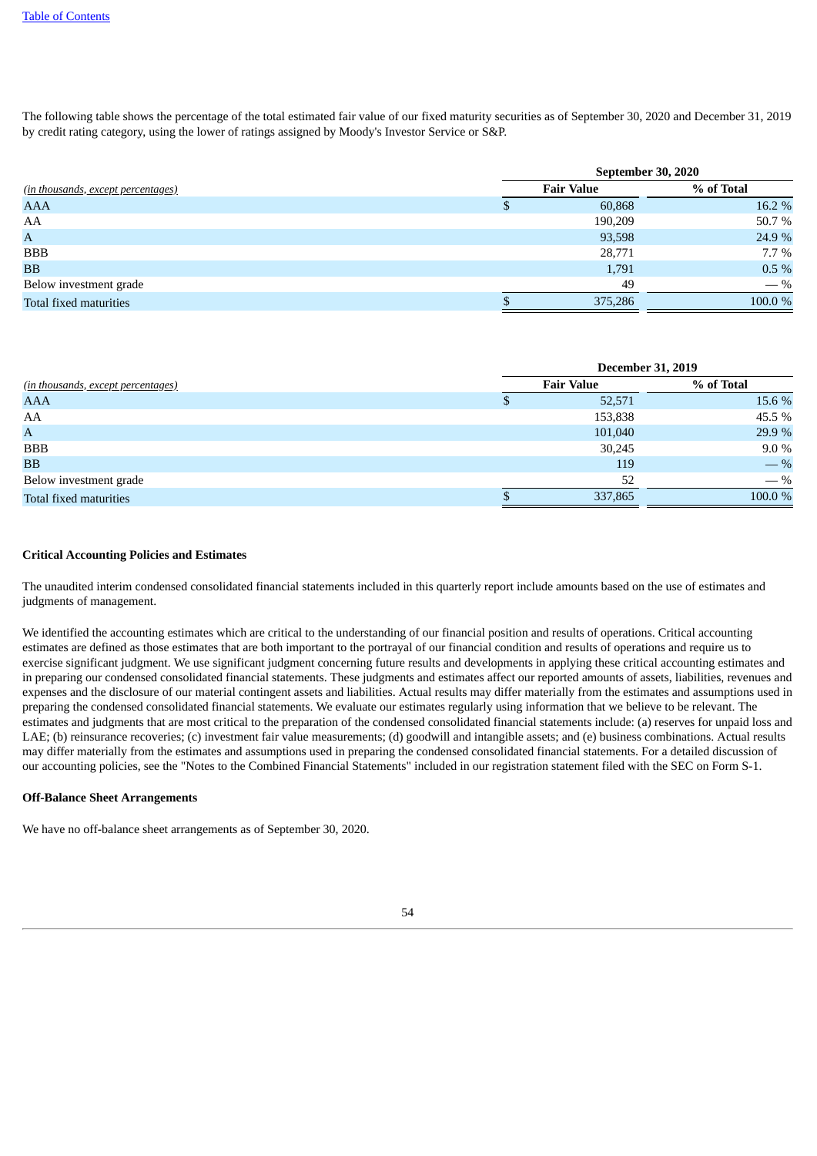The following table shows the percentage of the total estimated fair value of our fixed maturity securities as of September 30, 2020 and December 31, 2019 by credit rating category, using the lower of ratings assigned by Moody's Investor Service or S&P.

|                                    | September 30, 2020 |                   |            |
|------------------------------------|--------------------|-------------------|------------|
| (in thousands, except percentages) |                    | <b>Fair Value</b> | % of Total |
| <b>AAA</b>                         |                    | 60,868            | 16.2 %     |
| AA                                 |                    | 190,209           | 50.7 %     |
| $\mathbf{A}$                       |                    | 93,598            | 24.9 %     |
| <b>BBB</b>                         |                    | 28,771            | $7.7\%$    |
| <b>BB</b>                          |                    | 1,791             | $0.5\%$    |
| Below investment grade             |                    | 49                | $-$ %      |
| Total fixed maturities             |                    | 375,286           | 100.0 %    |

|                                    | <b>December 31, 2019</b> |                   |            |
|------------------------------------|--------------------------|-------------------|------------|
| (in thousands, except percentages) |                          | <b>Fair Value</b> | % of Total |
| <b>AAA</b>                         |                          | 52,571            | 15.6 %     |
| AA                                 |                          | 153,838           | 45.5 %     |
| $\mathbf{A}$                       |                          | 101,040           | 29.9 %     |
| <b>BBB</b>                         |                          | 30,245            | $9.0\%$    |
| <b>BB</b>                          |                          | 119               | $-$ %      |
| Below investment grade             |                          | 52                | $-$ %      |
| Total fixed maturities             |                          | 337,865           | 100.0 %    |

### **Critical Accounting Policies and Estimates**

The unaudited interim condensed consolidated financial statements included in this quarterly report include amounts based on the use of estimates and judgments of management.

We identified the accounting estimates which are critical to the understanding of our financial position and results of operations. Critical accounting estimates are defined as those estimates that are both important to the portrayal of our financial condition and results of operations and require us to exercise significant judgment. We use significant judgment concerning future results and developments in applying these critical accounting estimates and in preparing our condensed consolidated financial statements. These judgments and estimates affect our reported amounts of assets, liabilities, revenues and expenses and the disclosure of our material contingent assets and liabilities. Actual results may differ materially from the estimates and assumptions used in preparing the condensed consolidated financial statements. We evaluate our estimates regularly using information that we believe to be relevant. The estimates and judgments that are most critical to the preparation of the condensed consolidated financial statements include: (a) reserves for unpaid loss and LAE; (b) reinsurance recoveries; (c) investment fair value measurements; (d) goodwill and intangible assets; and (e) business combinations. Actual results may differ materially from the estimates and assumptions used in preparing the condensed consolidated financial statements. For a detailed discussion of our accounting policies, see the "Notes to the Combined Financial Statements" included in our registration statement filed with the SEC on Form S-1.

### **Off-Balance Sheet Arrangements**

<span id="page-53-0"></span>We have no off-balance sheet arrangements as of September 30, 2020.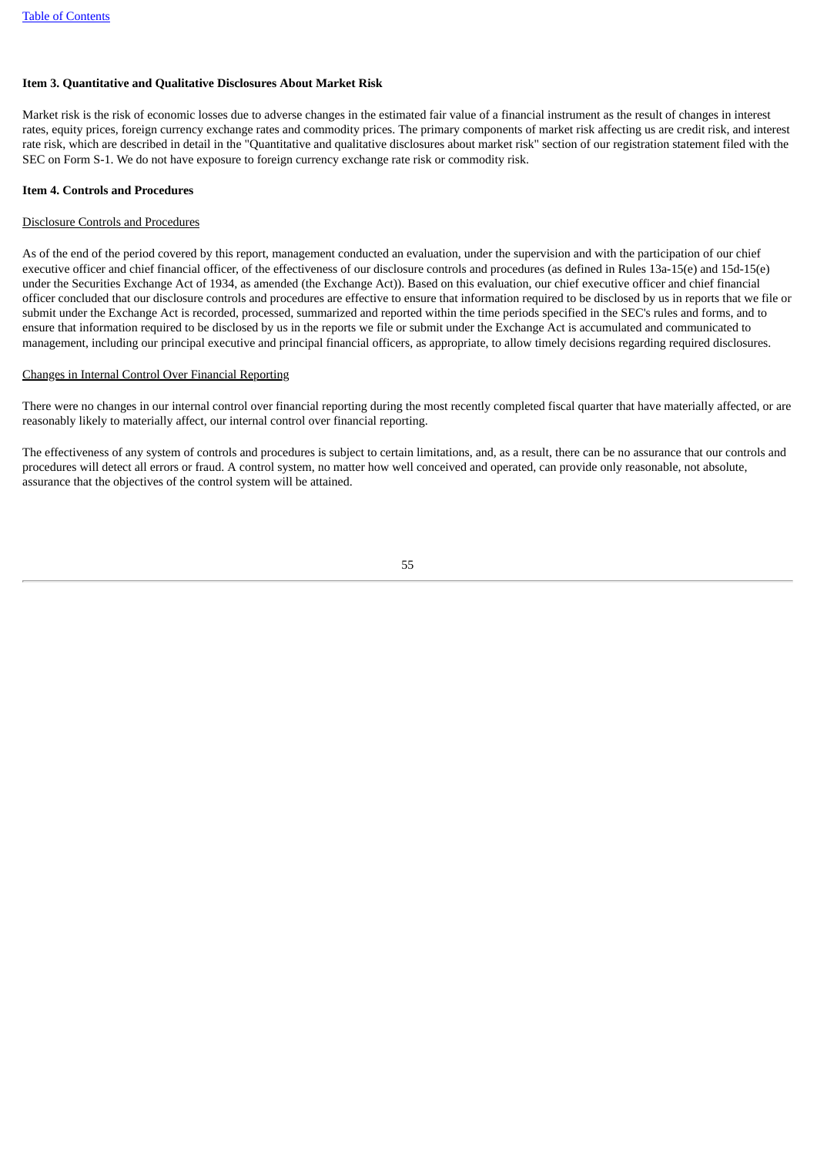### **Item 3. Quantitative and Qualitative Disclosures About Market Risk**

Market risk is the risk of economic losses due to adverse changes in the estimated fair value of a financial instrument as the result of changes in interest rates, equity prices, foreign currency exchange rates and commodity prices. The primary components of market risk affecting us are credit risk, and interest rate risk, which are described in detail in the "Quantitative and qualitative disclosures about market risk" section of our registration statement filed with the SEC on Form S-1. We do not have exposure to foreign currency exchange rate risk or commodity risk.

#### <span id="page-54-0"></span>**Item 4. Controls and Procedures**

### Disclosure Controls and Procedures

As of the end of the period covered by this report, management conducted an evaluation, under the supervision and with the participation of our chief executive officer and chief financial officer, of the effectiveness of our disclosure controls and procedures (as defined in Rules 13a-15(e) and 15d-15(e) under the Securities Exchange Act of 1934, as amended (the Exchange Act)). Based on this evaluation, our chief executive officer and chief financial officer concluded that our disclosure controls and procedures are effective to ensure that information required to be disclosed by us in reports that we file or submit under the Exchange Act is recorded, processed, summarized and reported within the time periods specified in the SEC's rules and forms, and to ensure that information required to be disclosed by us in the reports we file or submit under the Exchange Act is accumulated and communicated to management, including our principal executive and principal financial officers, as appropriate, to allow timely decisions regarding required disclosures.

### Changes in Internal Control Over Financial Reporting

There were no changes in our internal control over financial reporting during the most recently completed fiscal quarter that have materially affected, or are reasonably likely to materially affect, our internal control over financial reporting.

<span id="page-54-1"></span>The effectiveness of any system of controls and procedures is subject to certain limitations, and, as a result, there can be no assurance that our controls and procedures will detect all errors or fraud. A control system, no matter how well conceived and operated, can provide only reasonable, not absolute, assurance that the objectives of the control system will be attained.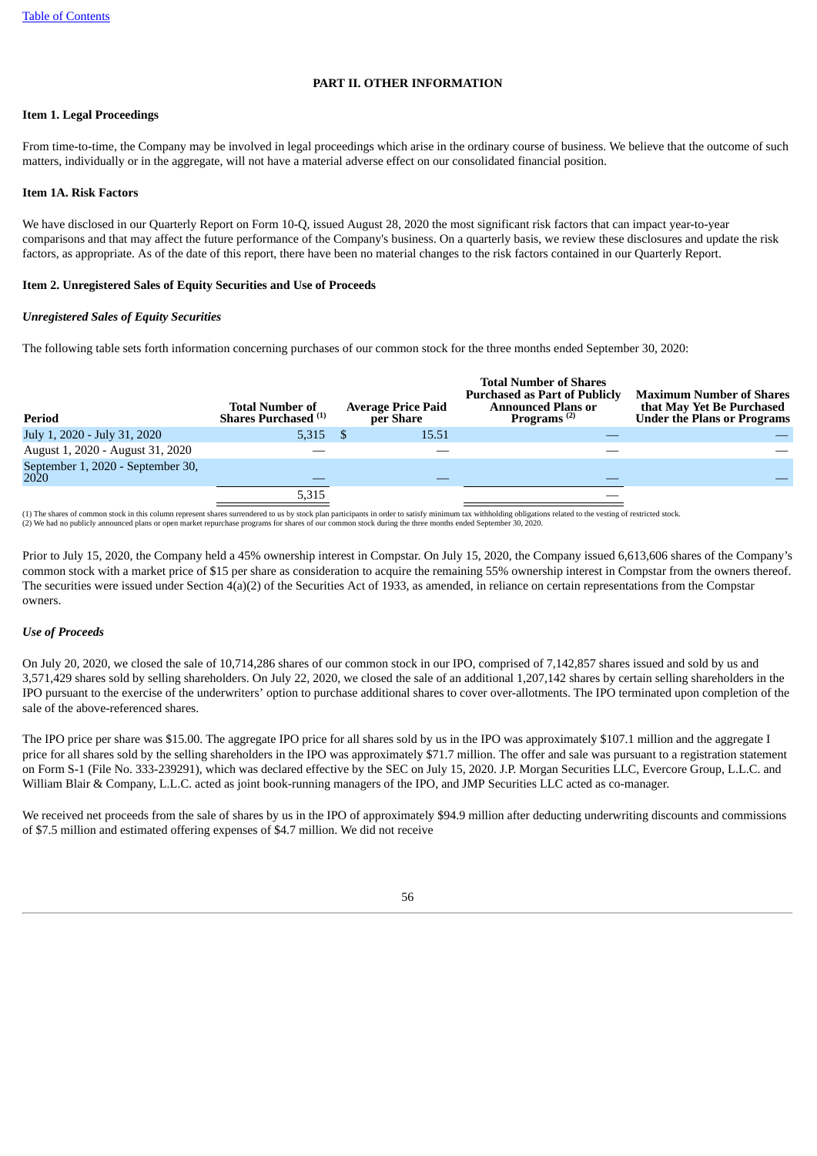# **PART II. OTHER INFORMATION**

### <span id="page-55-0"></span>**Item 1. Legal Proceedings**

From time-to-time, the Company may be involved in legal proceedings which arise in the ordinary course of business. We believe that the outcome of such matters, individually or in the aggregate, will not have a material adverse effect on our consolidated financial position.

### <span id="page-55-1"></span>**Item 1A. Risk Factors**

We have disclosed in our Quarterly Report on Form 10-Q, issued August 28, 2020 the most significant risk factors that can impact year-to-year comparisons and that may affect the future performance of the Company's business. On a quarterly basis, we review these disclosures and update the risk factors, as appropriate. As of the date of this report, there have been no material changes to the risk factors contained in our Quarterly Report.

### <span id="page-55-2"></span>**Item 2. Unregistered Sales of Equity Securities and Use of Proceeds**

### *Unregistered Sales of Equity Securities*

The following table sets forth information concerning purchases of our common stock for the three months ended September 30, 2020:

| Period                                    | <b>Total Number of</b><br><b>Shares Purchased</b> <sup>(1)</sup> | <b>Average Price Paid</b><br>per Share | <b>Total Number of Shares</b><br><b>Purchased as Part of Publicly</b><br><b>Announced Plans or</b><br>Programs <sup><math>(2)</math></sup> | <b>Maximum Number of Shares</b><br>that May Yet Be Purchased<br><b>Under the Plans or Programs</b> |
|-------------------------------------------|------------------------------------------------------------------|----------------------------------------|--------------------------------------------------------------------------------------------------------------------------------------------|----------------------------------------------------------------------------------------------------|
| July 1, 2020 - July 31, 2020              | 5,315                                                            | 15.51                                  |                                                                                                                                            |                                                                                                    |
| August 1, 2020 - August 31, 2020          |                                                                  |                                        |                                                                                                                                            |                                                                                                    |
| September 1, 2020 - September 30,<br>2020 |                                                                  |                                        |                                                                                                                                            |                                                                                                    |
|                                           | 5,315                                                            |                                        |                                                                                                                                            |                                                                                                    |

(1) The shares of common stock in this column represent shares surrendered to us by stock plan participants in order to satisfy minimum tax withholding obligations related to the vesting of restricted stock. (2) We had no publicly announced plans or open market repurchase programs for shares of our common stock during the three months ended September 30, 2020.

Prior to July 15, 2020, the Company held a 45% ownership interest in Compstar. On July 15, 2020, the Company issued 6,613,606 shares of the Company's common stock with a market price of \$15 per share as consideration to acquire the remaining 55% ownership interest in Compstar from the owners thereof. The securities were issued under Section 4(a)(2) of the Securities Act of 1933, as amended, in reliance on certain representations from the Compstar owners.

### *Use of Proceeds*

On July 20, 2020, we closed the sale of 10,714,286 shares of our common stock in our IPO, comprised of 7,142,857 shares issued and sold by us and 3,571,429 shares sold by selling shareholders. On July 22, 2020, we closed the sale of an additional 1,207,142 shares by certain selling shareholders in the IPO pursuant to the exercise of the underwriters' option to purchase additional shares to cover over-allotments. The IPO terminated upon completion of the sale of the above-referenced shares.

The IPO price per share was \$15.00. The aggregate IPO price for all shares sold by us in the IPO was approximately \$107.1 million and the aggregate I price for all shares sold by the selling shareholders in the IPO was approximately \$71.7 million. The offer and sale was pursuant to a registration statement on Form S-1 (File No. 333-239291), which was declared effective by the SEC on July 15, 2020. J.P. Morgan Securities LLC, Evercore Group, L.L.C. and William Blair & Company, L.L.C. acted as joint book-running managers of the IPO, and JMP Securities LLC acted as co-manager.

We received net proceeds from the sale of shares by us in the IPO of approximately \$94.9 million after deducting underwriting discounts and commissions of \$7.5 million and estimated offering expenses of \$4.7 million. We did not receive

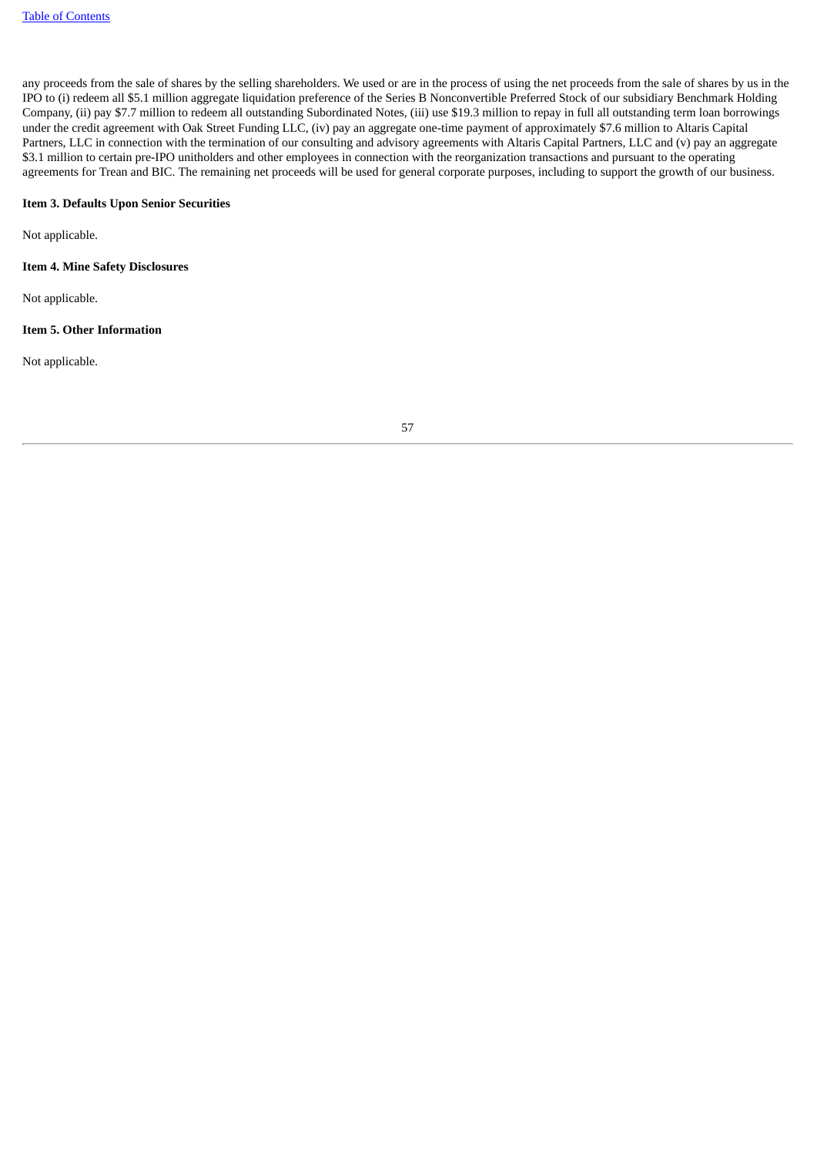any proceeds from the sale of shares by the selling shareholders. We used or are in the process of using the net proceeds from the sale of shares by us in the IPO to (i) redeem all \$5.1 million aggregate liquidation preference of the Series B Nonconvertible Preferred Stock of our subsidiary Benchmark Holding Company, (ii) pay \$7.7 million to redeem all outstanding Subordinated Notes, (iii) use \$19.3 million to repay in full all outstanding term loan borrowings under the credit agreement with Oak Street Funding LLC, (iv) pay an aggregate one-time payment of approximately \$7.6 million to Altaris Capital Partners, LLC in connection with the termination of our consulting and advisory agreements with Altaris Capital Partners, LLC and (v) pay an aggregate \$3.1 million to certain pre-IPO unitholders and other employees in connection with the reorganization transactions and pursuant to the operating agreements for Trean and BIC. The remaining net proceeds will be used for general corporate purposes, including to support the growth of our business.

#### <span id="page-56-0"></span>**Item 3. Defaults Upon Senior Securities**

Not applicable.

### <span id="page-56-1"></span>**Item 4. Mine Safety Disclosures**

Not applicable.

### <span id="page-56-2"></span>**Item 5. Other Information**

<span id="page-56-3"></span>Not applicable.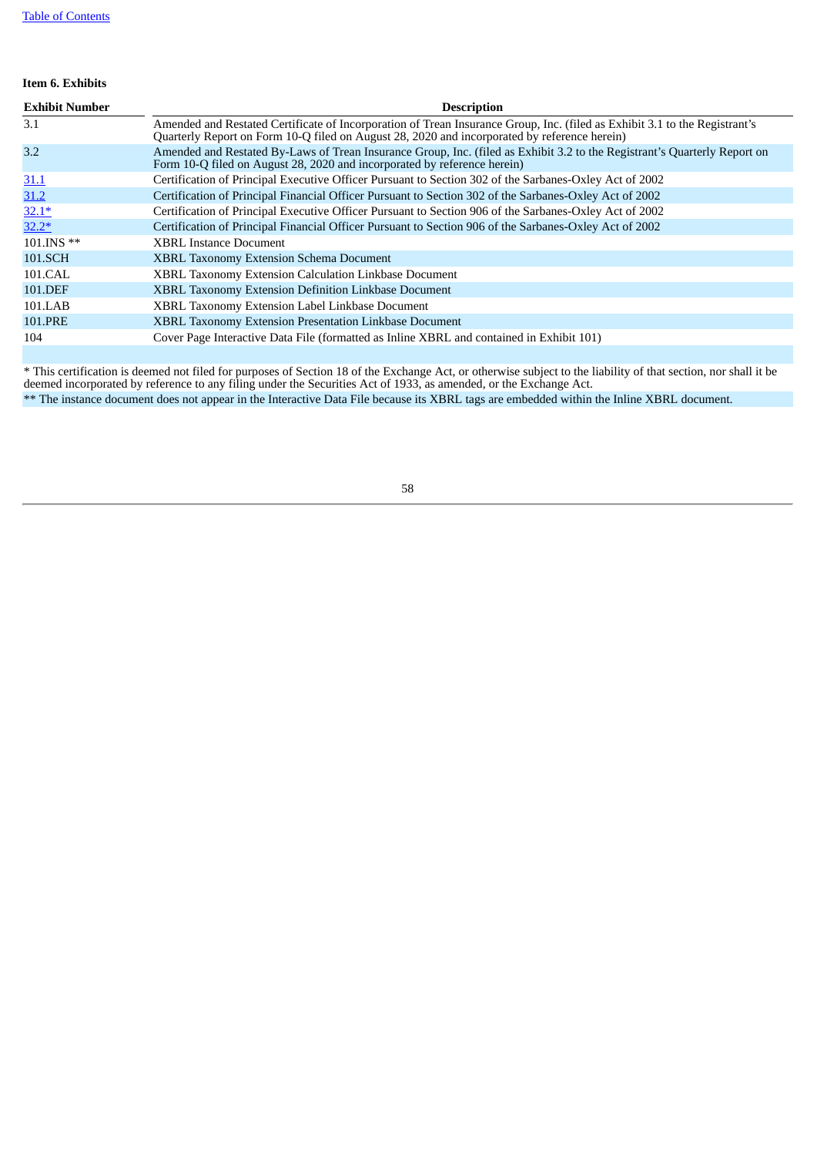# **Item 6. Exhibits**

| <b>Exhibit Number</b> | <b>Description</b>                                                                                                                                                                                                         |
|-----------------------|----------------------------------------------------------------------------------------------------------------------------------------------------------------------------------------------------------------------------|
| 3.1                   | Amended and Restated Certificate of Incorporation of Trean Insurance Group, Inc. (filed as Exhibit 3.1 to the Registrant's<br>Quarterly Report on Form 10-Q filed on August 28, 2020 and incorporated by reference herein) |
| 3.2                   | Amended and Restated By-Laws of Trean Insurance Group, Inc. (filed as Exhibit 3.2 to the Registrant's Quarterly Report on<br>Form 10-Q filed on August 28, 2020 and incorporated by reference herein)                      |
| 31.1                  | Certification of Principal Executive Officer Pursuant to Section 302 of the Sarbanes-Oxley Act of 2002                                                                                                                     |
| 31.2                  | Certification of Principal Financial Officer Pursuant to Section 302 of the Sarbanes-Oxley Act of 2002                                                                                                                     |
| $32.1*$               | Certification of Principal Executive Officer Pursuant to Section 906 of the Sarbanes-Oxley Act of 2002                                                                                                                     |
| $32.2*$               | Certification of Principal Financial Officer Pursuant to Section 906 of the Sarbanes-Oxley Act of 2002                                                                                                                     |
| $101.INS **$          | <b>XBRL Instance Document</b>                                                                                                                                                                                              |
| 101.SCH               | <b>XBRL Taxonomy Extension Schema Document</b>                                                                                                                                                                             |
| 101.CAL               | <b>XBRL Taxonomy Extension Calculation Linkbase Document</b>                                                                                                                                                               |
| 101.DEF               | <b>XBRL Taxonomy Extension Definition Linkbase Document</b>                                                                                                                                                                |
| 101.LAB               | XBRL Taxonomy Extension Label Linkbase Document                                                                                                                                                                            |
| <b>101.PRE</b>        | XBRL Taxonomy Extension Presentation Linkbase Document                                                                                                                                                                     |
| 104                   | Cover Page Interactive Data File (formatted as Inline XBRL and contained in Exhibit 101)                                                                                                                                   |

\* This certification is deemed not filed for purposes of Section 18 of the Exchange Act, or otherwise subject to the liability of that section, nor shall it be deemed incorporated by reference to any filing under the Securities Act of 1933, as amended, or the Exchange Act.

<span id="page-57-0"></span>\*\* The instance document does not appear in the Interactive Data File because its XBRL tags are embedded within the Inline XBRL document.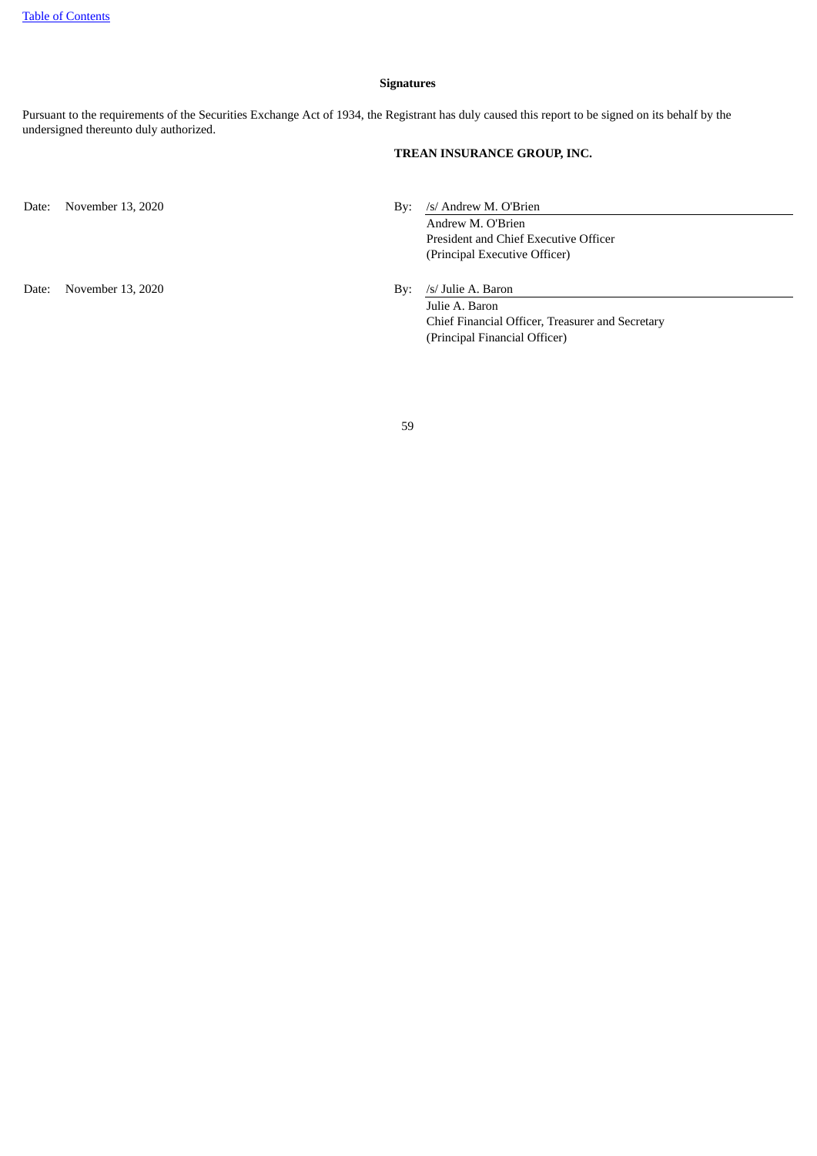### **Signatures**

Pursuant to the requirements of the Securities Exchange Act of 1934, the Registrant has duly caused this report to be signed on its behalf by the undersigned thereunto duly authorized.

# **TREAN INSURANCE GROUP, INC.**

Date: November 13, 2020 By: /s/ Julie A. Baron

Date: November 13, 2020 By: /s/ Andrew M. O'Brien

Andrew M. O'Brien President and Chief Executive Officer (Principal Executive Officer)

Julie A. Baron Chief Financial Officer, Treasurer and Secretary (Principal Financial Officer)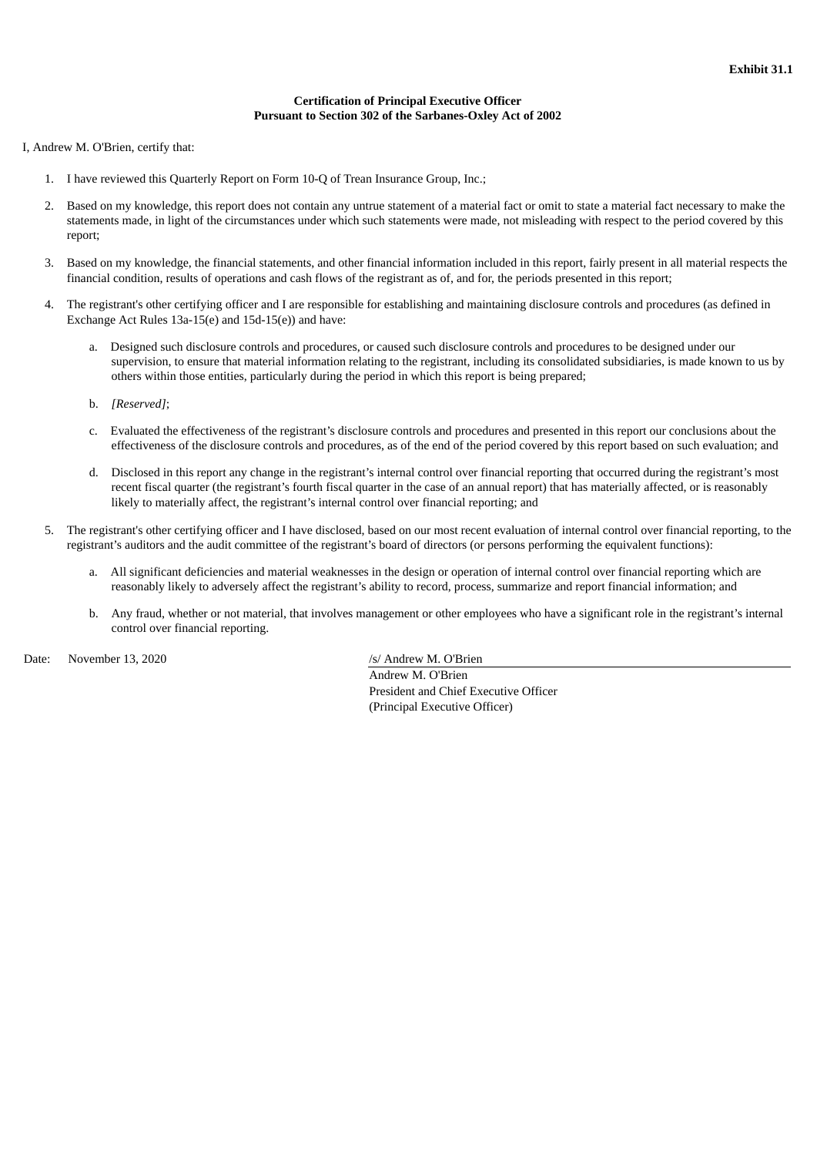# **Certification of Principal Executive Officer Pursuant to Section 302 of the Sarbanes-Oxley Act of 2002**

<span id="page-59-0"></span>I, Andrew M. O'Brien, certify that:

- 1. I have reviewed this Quarterly Report on Form 10-Q of Trean Insurance Group, Inc.;
- 2. Based on my knowledge, this report does not contain any untrue statement of a material fact or omit to state a material fact necessary to make the statements made, in light of the circumstances under which such statements were made, not misleading with respect to the period covered by this report;
- 3. Based on my knowledge, the financial statements, and other financial information included in this report, fairly present in all material respects the financial condition, results of operations and cash flows of the registrant as of, and for, the periods presented in this report;
- 4. The registrant's other certifying officer and I are responsible for establishing and maintaining disclosure controls and procedures (as defined in Exchange Act Rules 13a-15(e) and 15d-15(e)) and have:
	- a. Designed such disclosure controls and procedures, or caused such disclosure controls and procedures to be designed under our supervision, to ensure that material information relating to the registrant, including its consolidated subsidiaries, is made known to us by others within those entities, particularly during the period in which this report is being prepared;
	- b. *[Reserved]*;
	- c. Evaluated the effectiveness of the registrant's disclosure controls and procedures and presented in this report our conclusions about the effectiveness of the disclosure controls and procedures, as of the end of the period covered by this report based on such evaluation; and
	- d. Disclosed in this report any change in the registrant's internal control over financial reporting that occurred during the registrant's most recent fiscal quarter (the registrant's fourth fiscal quarter in the case of an annual report) that has materially affected, or is reasonably likely to materially affect, the registrant's internal control over financial reporting; and
- 5. The registrant's other certifying officer and I have disclosed, based on our most recent evaluation of internal control over financial reporting, to the registrant's auditors and the audit committee of the registrant's board of directors (or persons performing the equivalent functions):
	- a. All significant deficiencies and material weaknesses in the design or operation of internal control over financial reporting which are reasonably likely to adversely affect the registrant's ability to record, process, summarize and report financial information; and
	- b. Any fraud, whether or not material, that involves management or other employees who have a significant role in the registrant's internal control over financial reporting.

Date: November 13, 2020 /s/ Andrew M. O'Brien

Andrew M. O'Brien President and Chief Executive Officer (Principal Executive Officer)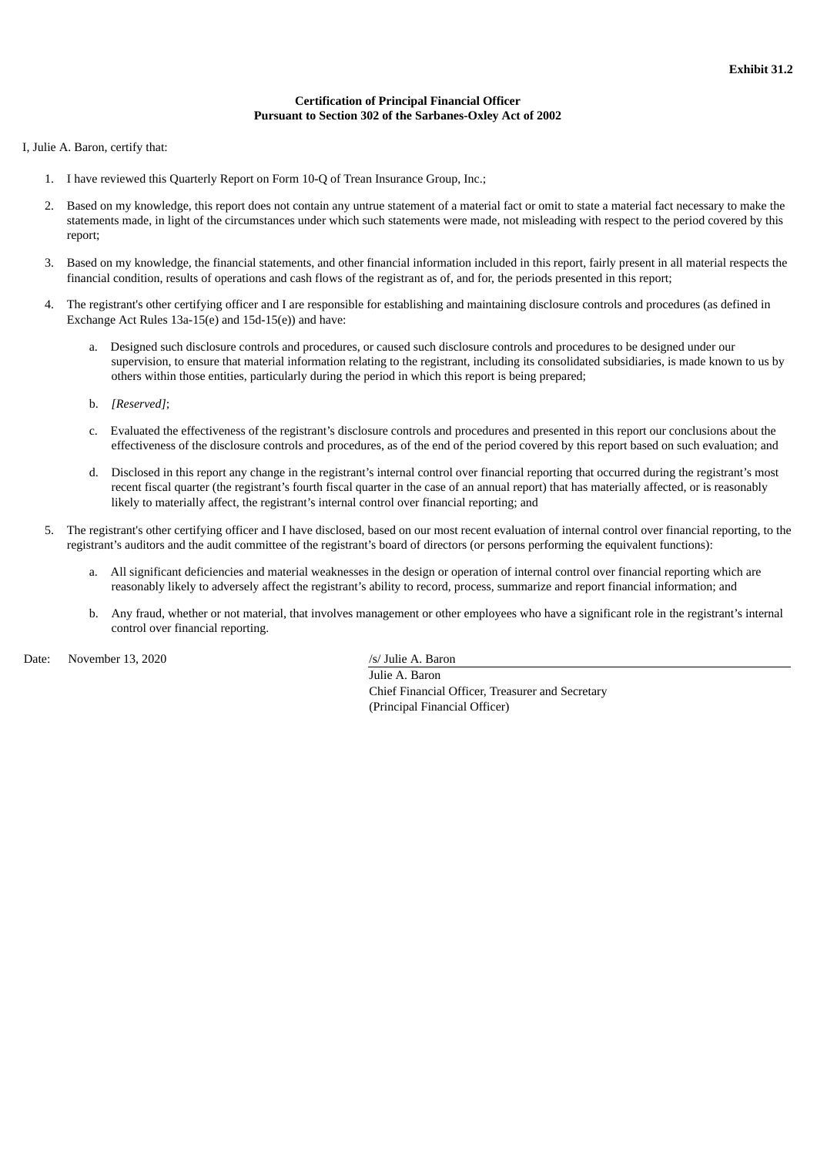# **Certification of Principal Financial Officer Pursuant to Section 302 of the Sarbanes-Oxley Act of 2002**

<span id="page-60-0"></span>I, Julie A. Baron, certify that:

- 1. I have reviewed this Quarterly Report on Form 10-Q of Trean Insurance Group, Inc.;
- 2. Based on my knowledge, this report does not contain any untrue statement of a material fact or omit to state a material fact necessary to make the statements made, in light of the circumstances under which such statements were made, not misleading with respect to the period covered by this report;
- 3. Based on my knowledge, the financial statements, and other financial information included in this report, fairly present in all material respects the financial condition, results of operations and cash flows of the registrant as of, and for, the periods presented in this report;
- 4. The registrant's other certifying officer and I are responsible for establishing and maintaining disclosure controls and procedures (as defined in Exchange Act Rules 13a-15(e) and 15d-15(e)) and have:
	- a. Designed such disclosure controls and procedures, or caused such disclosure controls and procedures to be designed under our supervision, to ensure that material information relating to the registrant, including its consolidated subsidiaries, is made known to us by others within those entities, particularly during the period in which this report is being prepared;
	- b. *[Reserved]*;
	- c. Evaluated the effectiveness of the registrant's disclosure controls and procedures and presented in this report our conclusions about the effectiveness of the disclosure controls and procedures, as of the end of the period covered by this report based on such evaluation; and
	- d. Disclosed in this report any change in the registrant's internal control over financial reporting that occurred during the registrant's most recent fiscal quarter (the registrant's fourth fiscal quarter in the case of an annual report) that has materially affected, or is reasonably likely to materially affect, the registrant's internal control over financial reporting; and
- 5. The registrant's other certifying officer and I have disclosed, based on our most recent evaluation of internal control over financial reporting, to the registrant's auditors and the audit committee of the registrant's board of directors (or persons performing the equivalent functions):
	- a. All significant deficiencies and material weaknesses in the design or operation of internal control over financial reporting which are reasonably likely to adversely affect the registrant's ability to record, process, summarize and report financial information; and
	- b. Any fraud, whether or not material, that involves management or other employees who have a significant role in the registrant's internal control over financial reporting.

Date: November 13, 2020 /s/ Julie A. Baron

Julie A. Baron Chief Financial Officer, Treasurer and Secretary (Principal Financial Officer)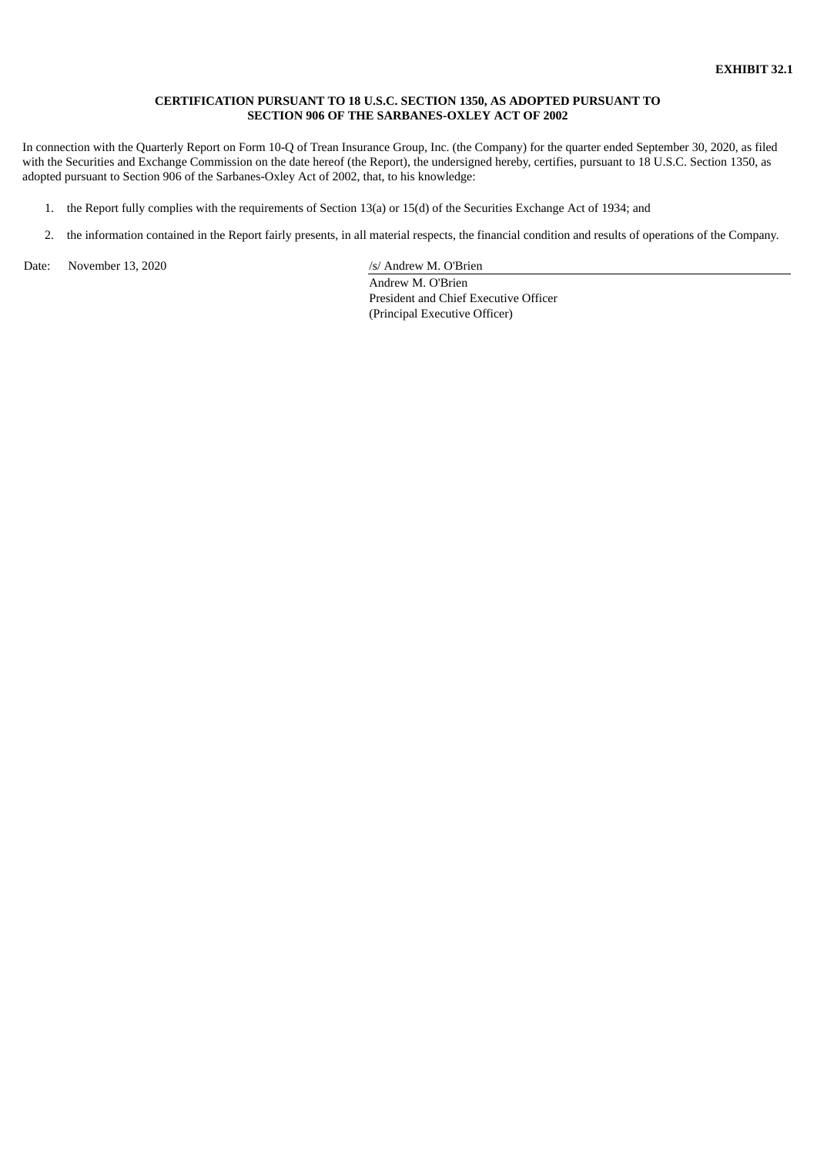### **CERTIFICATION PURSUANT TO 18 U.S.C. SECTION 1350, AS ADOPTED PURSUANT TO SECTION 906 OF THE SARBANES-OXLEY ACT OF 2002**

<span id="page-61-0"></span>In connection with the Quarterly Report on Form 10-Q of Trean Insurance Group, Inc. (the Company) for the quarter ended September 30, 2020, as filed with the Securities and Exchange Commission on the date hereof (the Report), the undersigned hereby, certifies, pursuant to 18 U.S.C. Section 1350, as adopted pursuant to Section 906 of the Sarbanes-Oxley Act of 2002, that, to his knowledge:

- 1. the Report fully complies with the requirements of Section 13(a) or 15(d) of the Securities Exchange Act of 1934; and
- 2. the information contained in the Report fairly presents, in all material respects, the financial condition and results of operations of the Company.

Date: November 13, 2020 /s/ Andrew M. O'Brien

Andrew M. O'Brien President and Chief Executive Officer (Principal Executive Officer)